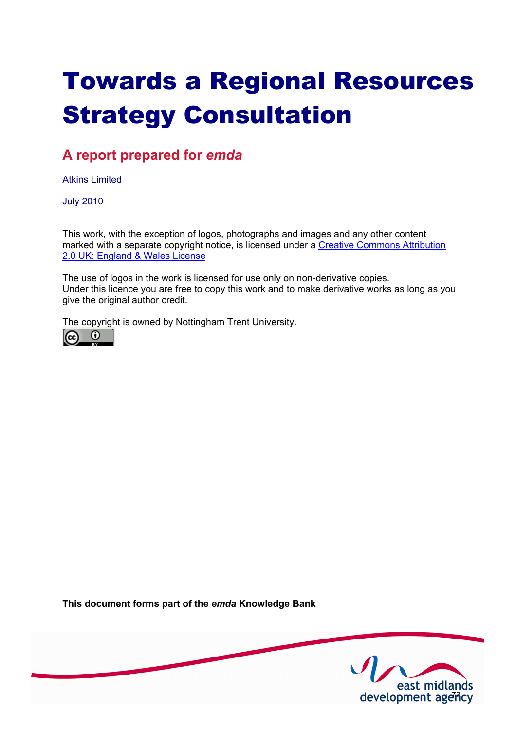# Towards a Regional Resources Strategy Consultation

### **A report prepared for** *emda*

Atkins Limited

July 2010

This work, with the exception of logos, photographs and images and any other content [marked with a separate copyright notice, is licensed under a Creative Commons Attribution](http://creativecommons.org/licenses/by/2.0/uk) 2.0 UK: England & Wales License

The use of logos in the work is licensed for use only on non-derivative copies. Under this licence you are free to copy this work and to make derivative works as long as you give the original author credit.

The copyright is owned by Nottingham Trent University.



**This document forms part of the** *emda* **Knowledge Bank** 

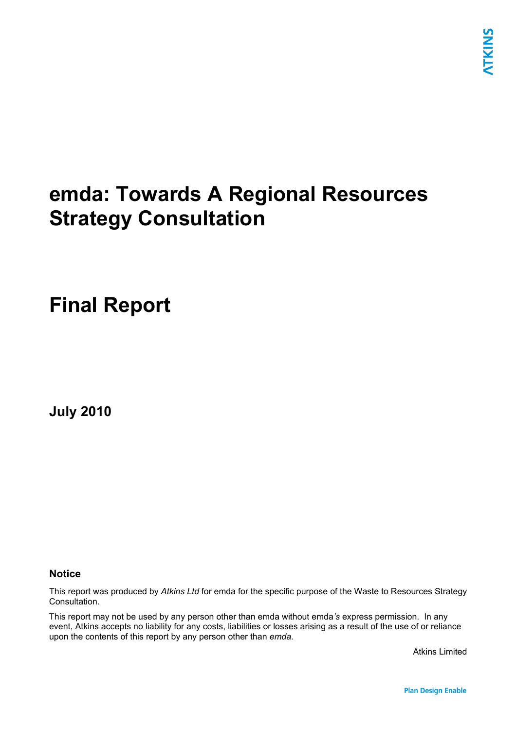## **emda: Towards A Regional Resources Strategy Consultation**

## **Final Report**

**July 2010** 

### **Notice**

This report was produced by *Atkins Ltd* for emda for the specific purpose of the Waste to Resources Strategy Consultation.

This report may not be used by any person other than emda without emda*'s* express permission. In any event, Atkins accepts no liability for any costs, liabilities or losses arising as a result of the use of or reliance upon the contents of this report by any person other than *emda*.

Atkins Limited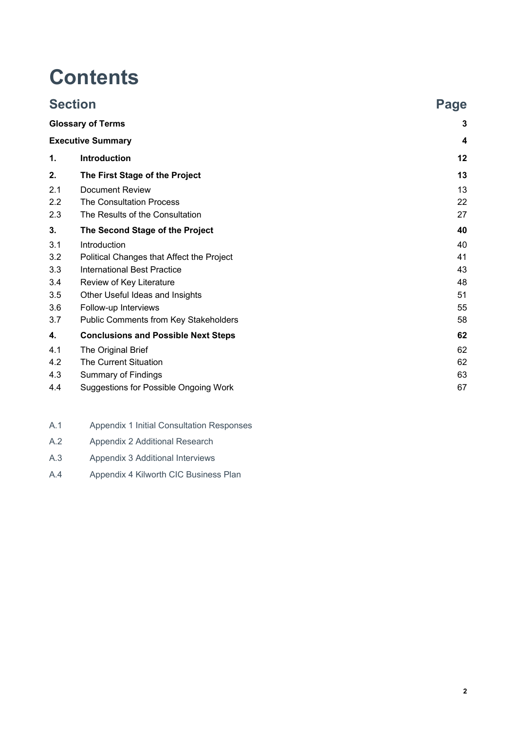## **Contents**

|     | <b>Section</b>                               | Page |
|-----|----------------------------------------------|------|
|     | <b>Glossary of Terms</b>                     | 3    |
|     | <b>Executive Summary</b>                     | 4    |
| 1.  | Introduction                                 | 12   |
| 2.  | The First Stage of the Project               | 13   |
| 2.1 | <b>Document Review</b>                       | 13   |
| 2.2 | <b>The Consultation Process</b>              | 22   |
| 2.3 | The Results of the Consultation              | 27   |
| 3.  | The Second Stage of the Project              | 40   |
| 3.1 | Introduction                                 | 40   |
| 3.2 | Political Changes that Affect the Project    | 41   |
| 3.3 | <b>International Best Practice</b>           | 43   |
| 3.4 | Review of Key Literature                     | 48   |
| 3.5 | Other Useful Ideas and Insights              | 51   |
| 3.6 | Follow-up Interviews                         | 55   |
| 3.7 | Public Comments from Key Stakeholders        | 58   |
| 4.  | <b>Conclusions and Possible Next Steps</b>   | 62   |
| 4.1 | The Original Brief                           | 62   |
| 4.2 | <b>The Current Situation</b>                 | 62   |
| 4.3 | <b>Summary of Findings</b>                   | 63   |
| 4.4 | <b>Suggestions for Possible Ongoing Work</b> | 67   |

- A.1 Appendix 1 Initial Consultation Responses
- A.2 Appendix 2 Additional Research
- A.3 Appendix 3 Additional Interviews
- A.4 Appendix 4 Kilworth CIC Business Plan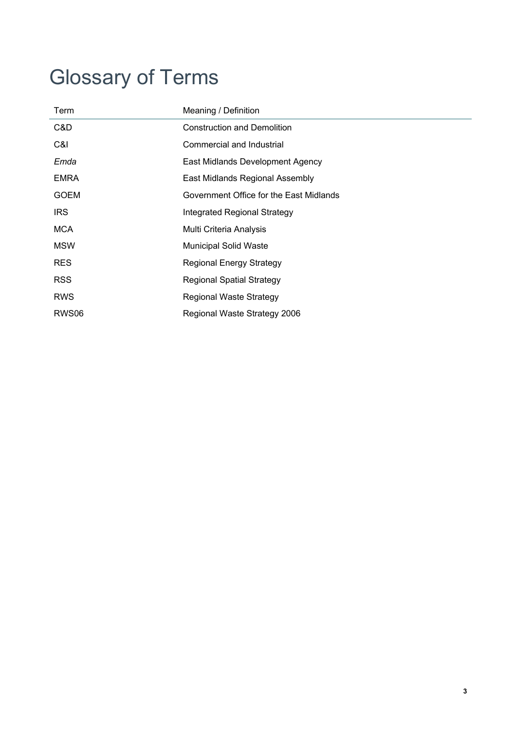## Glossary of Terms

| Meaning / Definition                    |
|-----------------------------------------|
| <b>Construction and Demolition</b>      |
| Commercial and Industrial               |
| East Midlands Development Agency        |
| East Midlands Regional Assembly         |
| Government Office for the East Midlands |
| <b>Integrated Regional Strategy</b>     |
| Multi Criteria Analysis                 |
| <b>Municipal Solid Waste</b>            |
| <b>Regional Energy Strategy</b>         |
| <b>Regional Spatial Strategy</b>        |
| <b>Regional Waste Strategy</b>          |
| Regional Waste Strategy 2006            |
|                                         |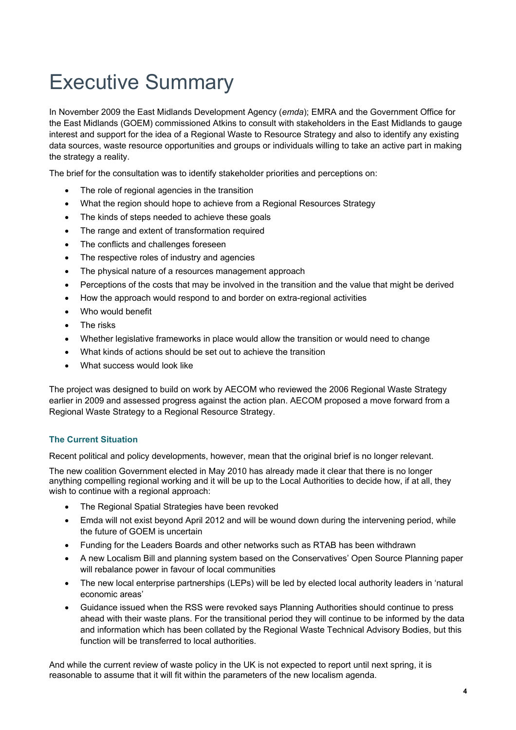## Executive Summary

In November 2009 the East Midlands Development Agency (*emda*); EMRA and the Government Office for the East Midlands (GOEM) commissioned Atkins to consult with stakeholders in the East Midlands to gauge interest and support for the idea of a Regional Waste to Resource Strategy and also to identify any existing data sources, waste resource opportunities and groups or individuals willing to take an active part in making the strategy a reality.

The brief for the consultation was to identify stakeholder priorities and perceptions on:

- The role of regional agencies in the transition
- What the region should hope to achieve from a Regional Resources Strategy
- The kinds of steps needed to achieve these goals
- The range and extent of transformation required
- The conflicts and challenges foreseen
- The respective roles of industry and agencies
- The physical nature of a resources management approach
- Perceptions of the costs that may be involved in the transition and the value that might be derived
- How the approach would respond to and border on extra-regional activities
- Who would benefit
- The risks
- Whether legislative frameworks in place would allow the transition or would need to change
- What kinds of actions should be set out to achieve the transition
- What success would look like

The project was designed to build on work by AECOM who reviewed the 2006 Regional Waste Strategy earlier in 2009 and assessed progress against the action plan. AECOM proposed a move forward from a Regional Waste Strategy to a Regional Resource Strategy.

### **The Current Situation**

Recent political and policy developments, however, mean that the original brief is no longer relevant.

The new coalition Government elected in May 2010 has already made it clear that there is no longer anything compelling regional working and it will be up to the Local Authorities to decide how, if at all, they wish to continue with a regional approach:

- The Regional Spatial Strategies have been revoked
- Emda will not exist beyond April 2012 and will be wound down during the intervening period, while the future of GOEM is uncertain
- Funding for the Leaders Boards and other networks such as RTAB has been withdrawn
- A new Localism Bill and planning system based on the Conservatives' Open Source Planning paper will rebalance power in favour of local communities
- The new local enterprise partnerships (LEPs) will be led by elected local authority leaders in 'natural economic areas'
- Guidance issued when the RSS were revoked says Planning Authorities should continue to press ahead with their waste plans. For the transitional period they will continue to be informed by the data and information which has been collated by the Regional Waste Technical Advisory Bodies, but this function will be transferred to local authorities.

And while the current review of waste policy in the UK is not expected to report until next spring, it is reasonable to assume that it will fit within the parameters of the new localism agenda.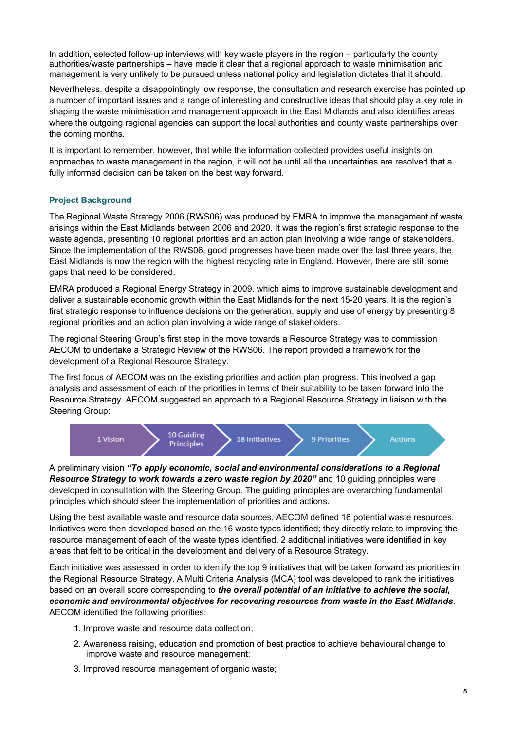In addition, selected follow-up interviews with key waste players in the region – particularly the county authorities/waste partnerships – have made it clear that a regional approach to waste minimisation and management is very unlikely to be pursued unless national policy and legislation dictates that it should.

Nevertheless, despite a disappointingly low response, the consultation and research exercise has pointed up a number of important issues and a range of interesting and constructive ideas that should play a key role in shaping the waste minimisation and management approach in the East Midlands and also identifies areas where the outgoing regional agencies can support the local authorities and county waste partnerships over the coming months.

It is important to remember, however, that while the information collected provides useful insights on approaches to waste management in the region, it will not be until all the uncertainties are resolved that a fully informed decision can be taken on the best way forward.

### **Project Background**

The Regional Waste Strategy 2006 (RWS06) was produced by EMRA to improve the management of waste arisings within the East Midlands between 2006 and 2020. It was the region's first strategic response to the waste agenda, presenting 10 regional priorities and an action plan involving a wide range of stakeholders. Since the implementation of the RWS06, good progresses have been made over the last three years, the East Midlands is now the region with the highest recycling rate in England. However, there are still some gaps that need to be considered.

EMRA produced a Regional Energy Strategy in 2009, which aims to improve sustainable development and deliver a sustainable economic growth within the East Midlands for the next 15-20 years. It is the region's first strategic response to influence decisions on the generation, supply and use of energy by presenting 8 regional priorities and an action plan involving a wide range of stakeholders.

The regional Steering Group's first step in the move towards a Resource Strategy was to commission AECOM to undertake a Strategic Review of the RWS06. The report provided a framework for the development of a Regional Resource Strategy.

The first focus of AECOM was on the existing priorities and action plan progress. This involved a gap analysis and assessment of each of the priorities in terms of their suitability to be taken forward into the Resource Strategy. AECOM suggested an approach to a Regional Resource Strategy in liaison with the Steering Group:



A preliminary vision *"To apply economic, social and environmental considerations to a Regional Resource Strategy to work towards a zero waste region by 2020"* and 10 guiding principles were developed in consultation with the Steering Group. The guiding principles are overarching fundamental principles which should steer the implementation of priorities and actions.

Using the best available waste and resource data sources, AECOM defined 16 potential waste resources. Initiatives were then developed based on the 16 waste types identified; they directly relate to improving the resource management of each of the waste types identified. 2 additional initiatives were identified in key areas that felt to be critical in the development and delivery of a Resource Strategy.

Each initiative was assessed in order to identify the top 9 initiatives that will be taken forward as priorities in the Regional Resource Strategy. A Multi Criteria Analysis (MCA) tool was developed to rank the initiatives based on an overall score corresponding to *the overall potential of an initiative to achieve the social, economic and environmental objectives for recovering resources from waste in the East Midlands*. AECOM identified the following priorities:

- 1. Improve waste and resource data collection;
- 2. Awareness raising, education and promotion of best practice to achieve behavioural change to improve waste and resource management;
- 3. Improved resource management of organic waste;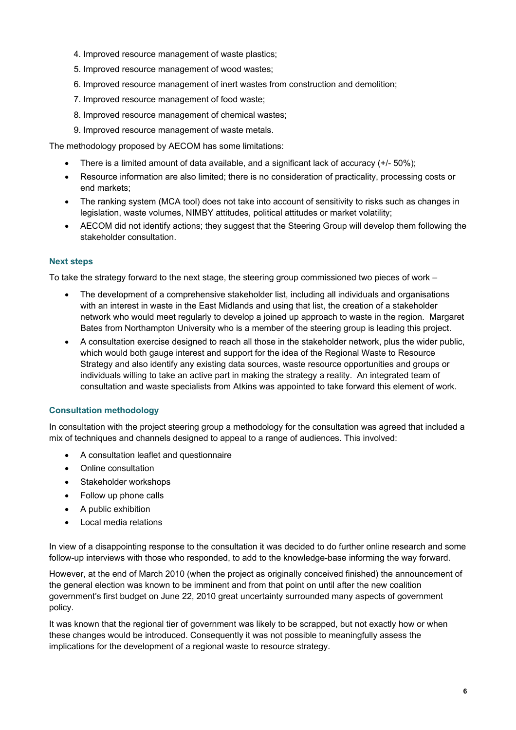- 4. Improved resource management of waste plastics;
- 5. Improved resource management of wood wastes;
- 6. Improved resource management of inert wastes from construction and demolition;
- 7. Improved resource management of food waste;
- 8. Improved resource management of chemical wastes;
- 9. Improved resource management of waste metals.

The methodology proposed by AECOM has some limitations:

- There is a limited amount of data available, and a significant lack of accuracy (+/- 50%);
- Resource information are also limited; there is no consideration of practicality, processing costs or end markets;
- The ranking system (MCA tool) does not take into account of sensitivity to risks such as changes in legislation, waste volumes, NIMBY attitudes, political attitudes or market volatility;
- AECOM did not identify actions; they suggest that the Steering Group will develop them following the stakeholder consultation.

### **Next steps**

To take the strategy forward to the next stage, the steering group commissioned two pieces of work –

- The development of a comprehensive stakeholder list, including all individuals and organisations with an interest in waste in the East Midlands and using that list, the creation of a stakeholder network who would meet regularly to develop a joined up approach to waste in the region. Margaret Bates from Northampton University who is a member of the steering group is leading this project.
- A consultation exercise designed to reach all those in the stakeholder network, plus the wider public, which would both gauge interest and support for the idea of the Regional Waste to Resource Strategy and also identify any existing data sources, waste resource opportunities and groups or individuals willing to take an active part in making the strategy a reality. An integrated team of consultation and waste specialists from Atkins was appointed to take forward this element of work.

### **Consultation methodology**

In consultation with the project steering group a methodology for the consultation was agreed that included a mix of techniques and channels designed to appeal to a range of audiences. This involved:

- A consultation leaflet and questionnaire
- Online consultation
- Stakeholder workshops
- Follow up phone calls
- A public exhibition
- Local media relations

In view of a disappointing response to the consultation it was decided to do further online research and some follow-up interviews with those who responded, to add to the knowledge-base informing the way forward.

However, at the end of March 2010 (when the project as originally conceived finished) the announcement of the general election was known to be imminent and from that point on until after the new coalition government's first budget on June 22, 2010 great uncertainty surrounded many aspects of government policy.

It was known that the regional tier of government was likely to be scrapped, but not exactly how or when these changes would be introduced. Consequently it was not possible to meaningfully assess the implications for the development of a regional waste to resource strategy.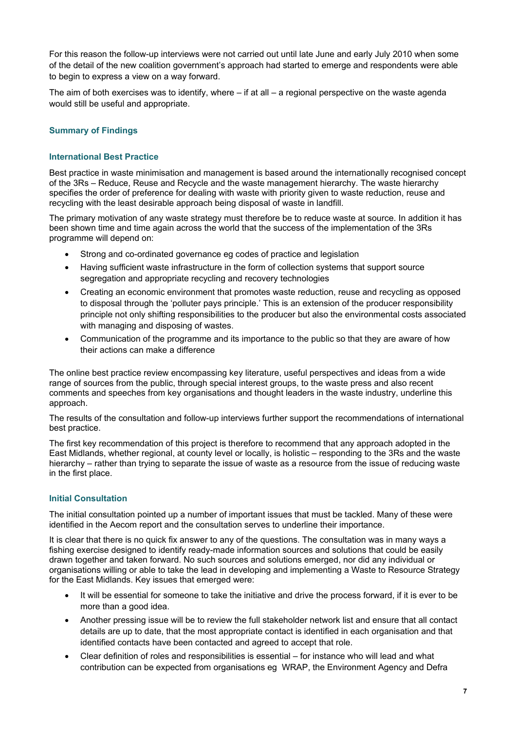For this reason the follow-up interviews were not carried out until late June and early July 2010 when some of the detail of the new coalition government's approach had started to emerge and respondents were able to begin to express a view on a way forward.

The aim of both exercises was to identify, where – if at all – a regional perspective on the waste agenda would still be useful and appropriate.

### **Summary of Findings**

### **International Best Practice**

Best practice in waste minimisation and management is based around the internationally recognised concept of the 3Rs – Reduce, Reuse and Recycle and the waste management hierarchy. The waste hierarchy specifies the order of preference for dealing with waste with priority given to waste reduction, reuse and recycling with the least desirable approach being disposal of waste in landfill.

The primary motivation of any waste strategy must therefore be to reduce waste at source. In addition it has been shown time and time again across the world that the success of the implementation of the 3Rs programme will depend on:

- Strong and co-ordinated governance eg codes of practice and legislation
- Having sufficient waste infrastructure in the form of collection systems that support source segregation and appropriate recycling and recovery technologies
- Creating an economic environment that promotes waste reduction, reuse and recycling as opposed to disposal through the 'polluter pays principle.' This is an extension of the producer responsibility principle not only shifting responsibilities to the producer but also the environmental costs associated with managing and disposing of wastes.
- Communication of the programme and its importance to the public so that they are aware of how their actions can make a difference

The online best practice review encompassing key literature, useful perspectives and ideas from a wide range of sources from the public, through special interest groups, to the waste press and also recent comments and speeches from key organisations and thought leaders in the waste industry, underline this approach.

The results of the consultation and follow-up interviews further support the recommendations of international best practice.

The first key recommendation of this project is therefore to recommend that any approach adopted in the East Midlands, whether regional, at county level or locally, is holistic – responding to the 3Rs and the waste hierarchy – rather than trying to separate the issue of waste as a resource from the issue of reducing waste in the first place.

### **Initial Consultation**

The initial consultation pointed up a number of important issues that must be tackled. Many of these were identified in the Aecom report and the consultation serves to underline their importance.

It is clear that there is no quick fix answer to any of the questions. The consultation was in many ways a fishing exercise designed to identify ready-made information sources and solutions that could be easily drawn together and taken forward. No such sources and solutions emerged, nor did any individual or organisations willing or able to take the lead in developing and implementing a Waste to Resource Strategy for the East Midlands. Key issues that emerged were:

- It will be essential for someone to take the initiative and drive the process forward, if it is ever to be more than a good idea.
- Another pressing issue will be to review the full stakeholder network list and ensure that all contact details are up to date, that the most appropriate contact is identified in each organisation and that identified contacts have been contacted and agreed to accept that role.
- Clear definition of roles and responsibilities is essential for instance who will lead and what contribution can be expected from organisations eg WRAP, the Environment Agency and Defra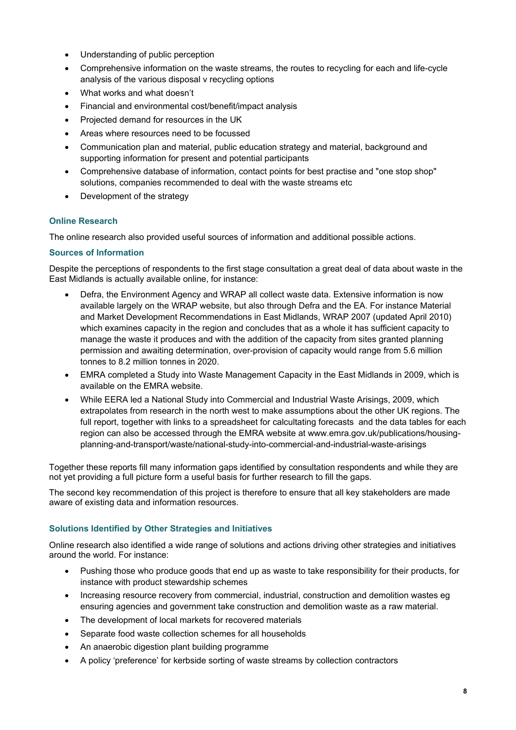- Understanding of public perception
- Comprehensive information on the waste streams, the routes to recycling for each and life-cycle analysis of the various disposal v recycling options
- What works and what doesn't
- Financial and environmental cost/benefit/impact analysis
- Projected demand for resources in the UK
- Areas where resources need to be focussed
- Communication plan and material, public education strategy and material, background and supporting information for present and potential participants
- Comprehensive database of information, contact points for best practise and "one stop shop" solutions, companies recommended to deal with the waste streams etc
- Development of the strategy

### **Online Research**

The online research also provided useful sources of information and additional possible actions.

### **Sources of Information**

Despite the perceptions of respondents to the first stage consultation a great deal of data about waste in the East Midlands is actually available online, for instance:

- Defra, the Environment Agency and WRAP all collect waste data. Extensive information is now available largely on the WRAP website, but also through Defra and the EA. For instance Material and Market Development Recommendations in East Midlands, WRAP 2007 (updated April 2010) which examines capacity in the region and concludes that as a whole it has sufficient capacity to manage the waste it produces and with the addition of the capacity from sites granted planning permission and awaiting determination, over-provision of capacity would range from 5.6 million tonnes to 8.2 million tonnes in 2020.
- EMRA completed a Study into Waste Management Capacity in the East Midlands in 2009, which is available on the EMRA website.
- While EERA led a National Study into Commercial and Industrial Waste Arisings, 2009, which extrapolates from research in the north west to make assumptions about the other UK regions. The full report, together with links to a spreadsheet for calcultating forecasts and the data tables for each region can also be accessed through the EMRA website at www.emra.gov.uk/publications/housingplanning-and-transport/waste/national-study-into-commercial-and-industrial-waste-arisings

Together these reports fill many information gaps identified by consultation respondents and while they are not yet providing a full picture form a useful basis for further research to fill the gaps.

The second key recommendation of this project is therefore to ensure that all key stakeholders are made aware of existing data and information resources.

### **Solutions Identified by Other Strategies and Initiatives**

Online research also identified a wide range of solutions and actions driving other strategies and initiatives around the world. For instance:

- Pushing those who produce goods that end up as waste to take responsibility for their products, for instance with product stewardship schemes
- Increasing resource recovery from commercial, industrial, construction and demolition wastes eg ensuring agencies and government take construction and demolition waste as a raw material.
- The development of local markets for recovered materials
- Separate food waste collection schemes for all households
- An anaerobic digestion plant building programme
- A policy 'preference' for kerbside sorting of waste streams by collection contractors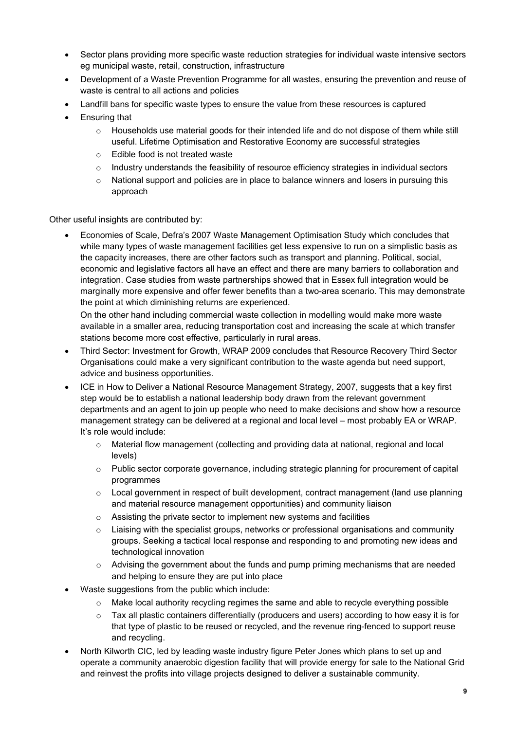- Sector plans providing more specific waste reduction strategies for individual waste intensive sectors eg municipal waste, retail, construction, infrastructure
- Development of a Waste Prevention Programme for all wastes, ensuring the prevention and reuse of waste is central to all actions and policies
- Landfill bans for specific waste types to ensure the value from these resources is captured
- Ensuring that
	- $\circ$  Households use material goods for their intended life and do not dispose of them while still useful. Lifetime Optimisation and Restorative Economy are successful strategies
	- o Edible food is not treated waste
	- $\circ$  Industry understands the feasibility of resource efficiency strategies in individual sectors
	- $\circ$  National support and policies are in place to balance winners and losers in pursuing this approach

Other useful insights are contributed by:

• Economies of Scale, Defra's 2007 Waste Management Optimisation Study which concludes that while many types of waste management facilities get less expensive to run on a simplistic basis as the capacity increases, there are other factors such as transport and planning. Political, social, economic and legislative factors all have an effect and there are many barriers to collaboration and integration. Case studies from waste partnerships showed that in Essex full integration would be marginally more expensive and offer fewer benefits than a two-area scenario. This may demonstrate the point at which diminishing returns are experienced.

On the other hand including commercial waste collection in modelling would make more waste available in a smaller area, reducing transportation cost and increasing the scale at which transfer stations become more cost effective, particularly in rural areas.

- Third Sector: Investment for Growth, WRAP 2009 concludes that Resource Recovery Third Sector Organisations could make a very significant contribution to the waste agenda but need support, advice and business opportunities.
- ICE in How to Deliver a National Resource Management Strategy, 2007, suggests that a key first step would be to establish a national leadership body drawn from the relevant government departments and an agent to join up people who need to make decisions and show how a resource management strategy can be delivered at a regional and local level – most probably EA or WRAP. It's role would include:
	- $\circ$  Material flow management (collecting and providing data at national, regional and local levels)
	- $\circ$  Public sector corporate governance, including strategic planning for procurement of capital programmes
	- $\circ$  Local government in respect of built development, contract management (land use planning and material resource management opportunities) and community liaison
	- o Assisting the private sector to implement new systems and facilities
	- $\circ$  Liaising with the specialist groups, networks or professional organisations and community groups. Seeking a tactical local response and responding to and promoting new ideas and technological innovation
	- $\circ$  Advising the government about the funds and pump priming mechanisms that are needed and helping to ensure they are put into place
- Waste suggestions from the public which include:
	- o Make local authority recycling regimes the same and able to recycle everything possible
	- $\circ$  Tax all plastic containers differentially (producers and users) according to how easy it is for that type of plastic to be reused or recycled, and the revenue ring-fenced to support reuse and recycling.
- North Kilworth CIC, led by leading waste industry figure Peter Jones which plans to set up and operate a community anaerobic digestion facility that will provide energy for sale to the National Grid and reinvest the profits into village projects designed to deliver a sustainable community.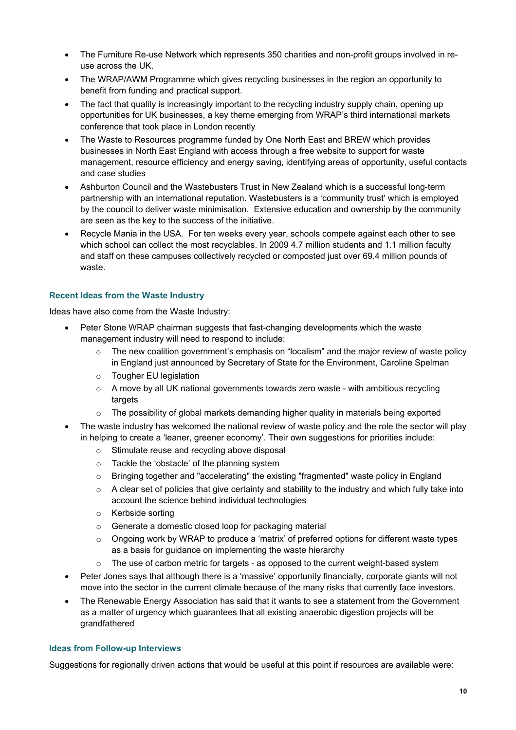- The Furniture Re-use Network which represents 350 charities and non-profit groups involved in reuse across the UK.
- The WRAP/AWM Programme which gives recycling businesses in the region an opportunity to benefit from funding and practical support.
- The fact that quality is increasingly important to the recycling industry supply chain, opening up opportunities for UK businesses, a key theme emerging from WRAP's third international markets conference that took place in London recently
- The Waste to Resources programme funded by One North East and BREW which provides businesses in North East England with access through a free website to support for waste management, resource efficiency and energy saving, identifying areas of opportunity, useful contacts and case studies
- Ashburton Council and the Wastebusters Trust in New Zealand which is a successful long-term partnership with an international reputation. Wastebusters is a 'community trust' which is employed by the council to deliver waste minimisation. Extensive education and ownership by the community are seen as the key to the success of the initiative.
- Recycle Mania in the USA. For ten weeks every year, schools compete against each other to see which school can collect the most recyclables. In 2009 4.7 million students and 1.1 million faculty and staff on these campuses collectively recycled or composted just over 69.4 million pounds of waste.

### **Recent Ideas from the Waste Industry**

Ideas have also come from the Waste Industry:

- Peter Stone WRAP chairman suggests that fast-changing developments which the waste management industry will need to respond to include:
	- o The new coalition government's emphasis on "localism" and the major review of waste policy in England just announced by Secretary of State for the Environment, Caroline Spelman
	- o Tougher EU legislation
	- $\circ$  A move by all UK national governments towards zero waste with ambitious recycling targets
	- $\circ$  The possibility of global markets demanding higher quality in materials being exported
- The waste industry has welcomed the national review of waste policy and the role the sector will play in helping to create a 'leaner, greener economy'. Their own suggestions for priorities include:
	- o Stimulate reuse and recycling above disposal
	- o Tackle the 'obstacle' of the planning system
	- $\circ$  Bringing together and "accelerating" the existing "fragmented" waste policy in England
	- $\circ$  A clear set of policies that give certainty and stability to the industry and which fully take into account the science behind individual technologies
	- o Kerbside sorting
	- o Generate a domestic closed loop for packaging material
	- $\circ$  Ongoing work by WRAP to produce a 'matrix' of preferred options for different waste types as a basis for guidance on implementing the waste hierarchy
	- $\circ$  The use of carbon metric for targets as opposed to the current weight-based system
- Peter Jones says that although there is a 'massive' opportunity financially, corporate giants will not move into the sector in the current climate because of the many risks that currently face investors.
- The Renewable Energy Association has said that it wants to see a statement from the Government as a matter of urgency which guarantees that all existing anaerobic digestion projects will be grandfathered

### **Ideas from Follow-up Interviews**

Suggestions for regionally driven actions that would be useful at this point if resources are available were: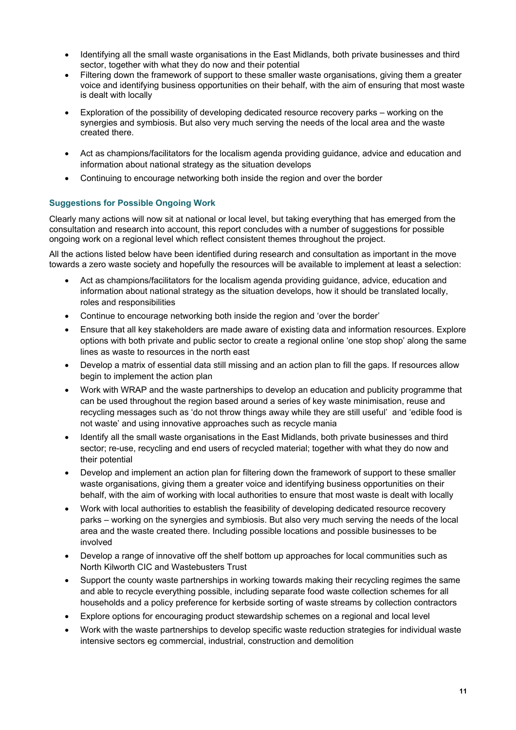- Identifying all the small waste organisations in the East Midlands, both private businesses and third sector, together with what they do now and their potential
- Filtering down the framework of support to these smaller waste organisations, giving them a greater voice and identifying business opportunities on their behalf, with the aim of ensuring that most waste is dealt with locally
- Exploration of the possibility of developing dedicated resource recovery parks working on the synergies and symbiosis. But also very much serving the needs of the local area and the waste created there.
- Act as champions/facilitators for the localism agenda providing guidance, advice and education and information about national strategy as the situation develops
- Continuing to encourage networking both inside the region and over the border

### **Suggestions for Possible Ongoing Work**

Clearly many actions will now sit at national or local level, but taking everything that has emerged from the consultation and research into account, this report concludes with a number of suggestions for possible ongoing work on a regional level which reflect consistent themes throughout the project.

All the actions listed below have been identified during research and consultation as important in the move towards a zero waste society and hopefully the resources will be available to implement at least a selection:

- Act as champions/facilitators for the localism agenda providing guidance, advice, education and information about national strategy as the situation develops, how it should be translated locally, roles and responsibilities
- Continue to encourage networking both inside the region and 'over the border'
- Ensure that all key stakeholders are made aware of existing data and information resources. Explore options with both private and public sector to create a regional online 'one stop shop' along the same lines as waste to resources in the north east
- Develop a matrix of essential data still missing and an action plan to fill the gaps. If resources allow begin to implement the action plan
- Work with WRAP and the waste partnerships to develop an education and publicity programme that can be used throughout the region based around a series of key waste minimisation, reuse and recycling messages such as 'do not throw things away while they are still useful' and 'edible food is not waste' and using innovative approaches such as recycle mania
- Identify all the small waste organisations in the East Midlands, both private businesses and third sector; re-use, recycling and end users of recycled material; together with what they do now and their potential
- Develop and implement an action plan for filtering down the framework of support to these smaller waste organisations, giving them a greater voice and identifying business opportunities on their behalf, with the aim of working with local authorities to ensure that most waste is dealt with locally
- Work with local authorities to establish the feasibility of developing dedicated resource recovery parks – working on the synergies and symbiosis. But also very much serving the needs of the local area and the waste created there. Including possible locations and possible businesses to be involved
- Develop a range of innovative off the shelf bottom up approaches for local communities such as North Kilworth CIC and Wastebusters Trust
- Support the county waste partnerships in working towards making their recycling regimes the same and able to recycle everything possible, including separate food waste collection schemes for all households and a policy preference for kerbside sorting of waste streams by collection contractors
- Explore options for encouraging product stewardship schemes on a regional and local level
- Work with the waste partnerships to develop specific waste reduction strategies for individual waste intensive sectors eg commercial, industrial, construction and demolition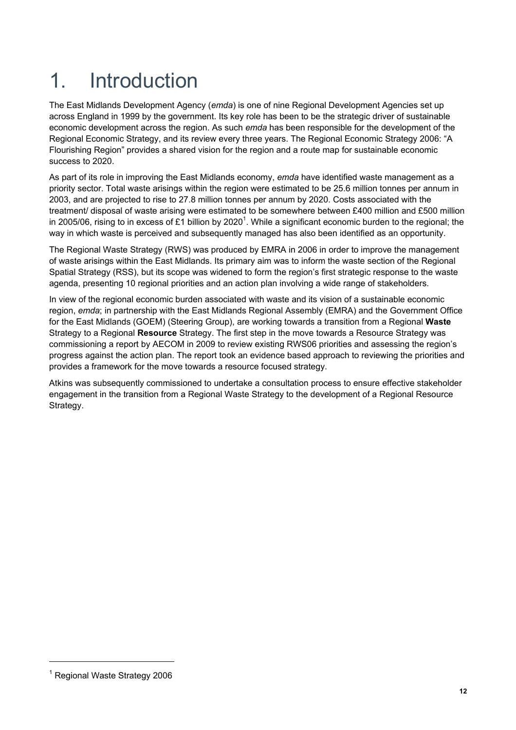## 1. Introduction

The East Midlands Development Agency (*emda*) is one of nine Regional Development Agencies set up across England in 1999 by the government. Its key role has been to be the strategic driver of sustainable economic development across the region. As such *emda* has been responsible for the development of the Regional Economic Strategy, and its review every three years. The Regional Economic Strategy 2006: "A Flourishing Region" provides a shared vision for the region and a route map for sustainable economic success to 2020.

As part of its role in improving the East Midlands economy, *emda* have identified waste management as a priority sector. Total waste arisings within the region were estimated to be 25.6 million tonnes per annum in 2003, and are projected to rise to 27.8 million tonnes per annum by 2020. Costs associated with the treatment/ disposal of waste arising were estimated to be somewhere between £400 million and £500 million in 2005/06, rising to in excess of £1 billion by 2020<sup>1</sup>. While a significant economic burden to the regional; the way in which waste is perceived and subsequently managed has also been identified as an opportunity.

The Regional Waste Strategy (RWS) was produced by EMRA in 2006 in order to improve the management of waste arisings within the East Midlands. Its primary aim was to inform the waste section of the Regional Spatial Strategy (RSS), but its scope was widened to form the region's first strategic response to the waste agenda, presenting 10 regional priorities and an action plan involving a wide range of stakeholders.

In view of the regional economic burden associated with waste and its vision of a sustainable economic region, *emda*; in partnership with the East Midlands Regional Assembly (EMRA) and the Government Office for the East Midlands (GOEM) (Steering Group), are working towards a transition from a Regional **Waste** Strategy to a Regional **Resource** Strategy. The first step in the move towards a Resource Strategy was commissioning a report by AECOM in 2009 to review existing RWS06 priorities and assessing the region's progress against the action plan. The report took an evidence based approach to reviewing the priorities and provides a framework for the move towards a resource focused strategy.

Atkins was subsequently commissioned to undertake a consultation process to ensure effective stakeholder engagement in the transition from a Regional Waste Strategy to the development of a Regional Resource Strategy.

l

<sup>&</sup>lt;sup>1</sup> Regional Waste Strategy 2006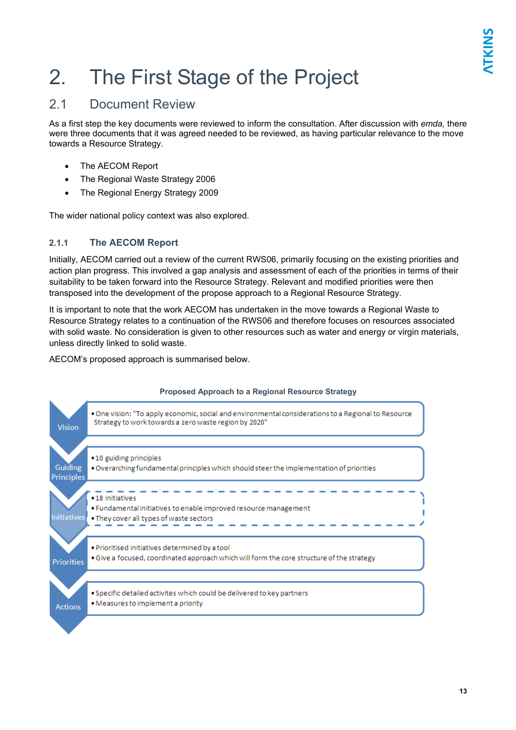## 2. The First Stage of the Project

### 2.1 Document Review

As a first step the key documents were reviewed to inform the consultation. After discussion with *emda,* there were three documents that it was agreed needed to be reviewed, as having particular relevance to the move towards a Resource Strategy.

- The AECOM Report
- The Regional Waste Strategy 2006
- The Regional Energy Strategy 2009

The wider national policy context was also explored.

### **2.1.1 The AECOM Report**

Initially, AECOM carried out a review of the current RWS06, primarily focusing on the existing priorities and action plan progress. This involved a gap analysis and assessment of each of the priorities in terms of their suitability to be taken forward into the Resource Strategy. Relevant and modified priorities were then transposed into the development of the propose approach to a Regional Resource Strategy.

It is important to note that the work AECOM has undertaken in the move towards a Regional Waste to Resource Strategy relates to a continuation of the RWS06 and therefore focuses on resources associated with solid waste. No consideration is given to other resources such as water and energy or virgin materials, unless directly linked to solid waste.

AECOM's proposed approach is summarised below.



### **Proposed Approach to a Regional Resource Strategy**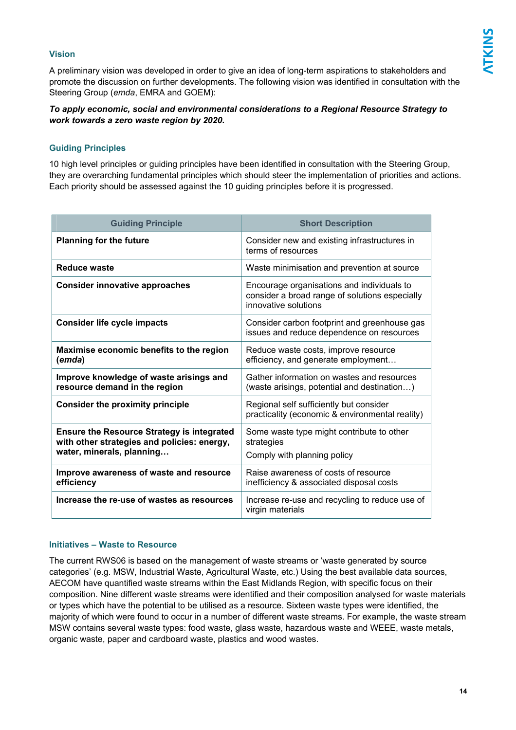### **Vision**

A preliminary vision was developed in order to give an idea of long-term aspirations to stakeholders and promote the discussion on further developments. The following vision was identified in consultation with the Steering Group (*emda*, EMRA and GOEM):

### *To apply economic, social and environmental considerations to a Regional Resource Strategy to work towards a zero waste region by 2020.*

### **Guiding Principles**

10 high level principles or guiding principles have been identified in consultation with the Steering Group, they are overarching fundamental principles which should steer the implementation of priorities and actions. Each priority should be assessed against the 10 guiding principles before it is progressed.

| <b>Guiding Principle</b>                                                                                                      | <b>Short Description</b>                                                                                             |
|-------------------------------------------------------------------------------------------------------------------------------|----------------------------------------------------------------------------------------------------------------------|
| <b>Planning for the future</b>                                                                                                | Consider new and existing infrastructures in<br>terms of resources                                                   |
| Reduce waste                                                                                                                  | Waste minimisation and prevention at source                                                                          |
| <b>Consider innovative approaches</b>                                                                                         | Encourage organisations and individuals to<br>consider a broad range of solutions especially<br>innovative solutions |
| <b>Consider life cycle impacts</b>                                                                                            | Consider carbon footprint and greenhouse gas<br>issues and reduce dependence on resources                            |
| Maximise economic benefits to the region<br>(emda)                                                                            | Reduce waste costs, improve resource<br>efficiency, and generate employment                                          |
| Improve knowledge of waste arisings and<br>resource demand in the region                                                      | Gather information on wastes and resources<br>(waste arisings, potential and destination)                            |
| <b>Consider the proximity principle</b>                                                                                       | Regional self sufficiently but consider<br>practicality (economic & environmental reality)                           |
| <b>Ensure the Resource Strategy is integrated</b><br>with other strategies and policies: energy,<br>water, minerals, planning | Some waste type might contribute to other<br>strategies<br>Comply with planning policy                               |
|                                                                                                                               |                                                                                                                      |
| Improve awareness of waste and resource<br>efficiency                                                                         | Raise awareness of costs of resource<br>inefficiency & associated disposal costs                                     |
| Increase the re-use of wastes as resources                                                                                    | Increase re-use and recycling to reduce use of<br>virgin materials                                                   |

### **Initiatives – Waste to Resource**

The current RWS06 is based on the management of waste streams or 'waste generated by source categories' (e.g. MSW, Industrial Waste, Agricultural Waste, etc.) Using the best available data sources, AECOM have quantified waste streams within the East Midlands Region, with specific focus on their composition. Nine different waste streams were identified and their composition analysed for waste materials or types which have the potential to be utilised as a resource. Sixteen waste types were identified, the majority of which were found to occur in a number of different waste streams. For example, the waste stream MSW contains several waste types: food waste, glass waste, hazardous waste and WEEE, waste metals, organic waste, paper and cardboard waste, plastics and wood wastes.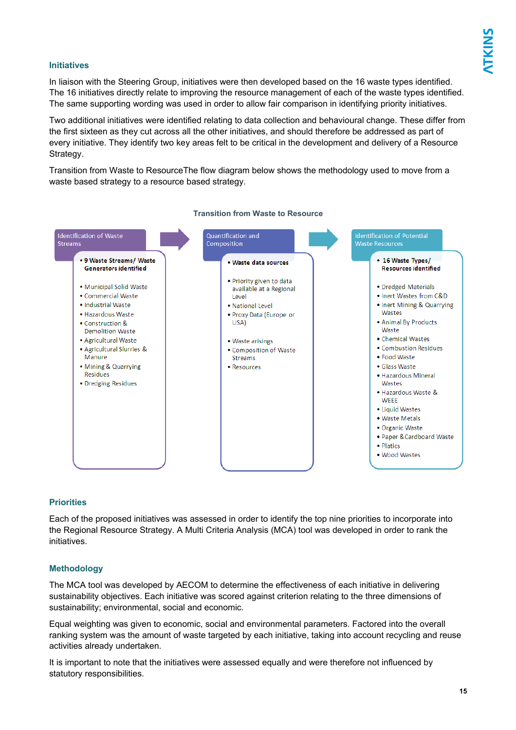### **Initiatives**

In liaison with the Steering Group, initiatives were then developed based on the 16 waste types identified. The 16 initiatives directly relate to improving the resource management of each of the waste types identified. The same supporting wording was used in order to allow fair comparison in identifying priority initiatives.

Two additional initiatives were identified relating to data collection and behavioural change. These differ from the first sixteen as they cut across all the other initiatives, and should therefore be addressed as part of every initiative. They identify two key areas felt to be critical in the development and delivery of a Resource Strategy.

Transition from Waste to ResourceThe flow diagram below shows the methodology used to move from a waste based strategy to a resource based strategy.



#### **Transition from Waste to Resource**

### **Priorities**

Each of the proposed initiatives was assessed in order to identify the top nine priorities to incorporate into the Regional Resource Strategy. A Multi Criteria Analysis (MCA) tool was developed in order to rank the initiatives.

### **Methodology**

The MCA tool was developed by AECOM to determine the effectiveness of each initiative in delivering sustainability objectives. Each initiative was scored against criterion relating to the three dimensions of sustainability; environmental, social and economic.

Equal weighting was given to economic, social and environmental parameters. Factored into the overall ranking system was the amount of waste targeted by each initiative, taking into account recycling and reuse activities already undertaken.

It is important to note that the initiatives were assessed equally and were therefore not influenced by statutory responsibilities.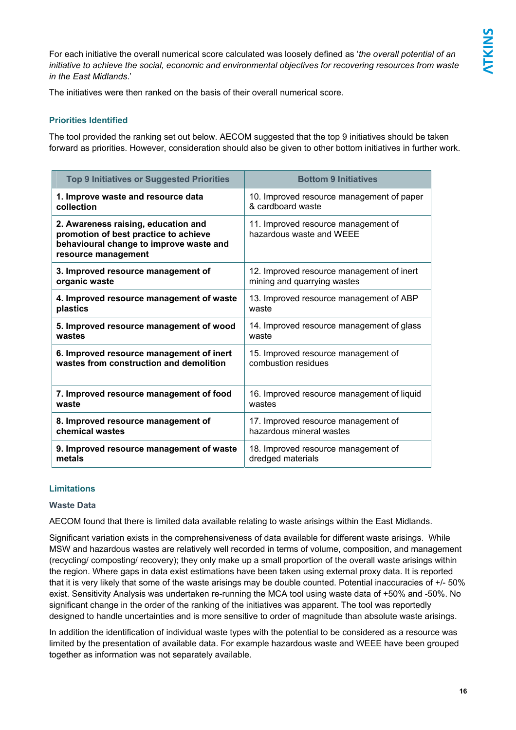For each initiative the overall numerical score calculated was loosely defined as '*the overall potential of an initiative to achieve the social, economic and environmental objectives for recovering resources from waste in the East Midlands*.'

The initiatives were then ranked on the basis of their overall numerical score.

### **Priorities Identified**

The tool provided the ranking set out below. AECOM suggested that the top 9 initiatives should be taken forward as priorities. However, consideration should also be given to other bottom initiatives in further work.

| <b>Top 9 Initiatives or Suggested Priorities</b>                                                                                               | <b>Bottom 9 Initiatives</b>                                     |
|------------------------------------------------------------------------------------------------------------------------------------------------|-----------------------------------------------------------------|
| 1. Improve waste and resource data                                                                                                             | 10. Improved resource management of paper                       |
| collection                                                                                                                                     | & cardboard waste                                               |
| 2. Awareness raising, education and<br>promotion of best practice to achieve<br>behavioural change to improve waste and<br>resource management | 11. Improved resource management of<br>hazardous waste and WEEE |
| 3. Improved resource management of                                                                                                             | 12. Improved resource management of inert                       |
| organic waste                                                                                                                                  | mining and quarrying wastes                                     |
| 4. Improved resource management of waste                                                                                                       | 13. Improved resource management of ABP                         |
| plastics                                                                                                                                       | waste                                                           |
| 5. Improved resource management of wood                                                                                                        | 14. Improved resource management of glass                       |
| wastes                                                                                                                                         | waste                                                           |
| 6. Improved resource management of inert                                                                                                       | 15. Improved resource management of                             |
| wastes from construction and demolition                                                                                                        | combustion residues                                             |
| 7. Improved resource management of food                                                                                                        | 16. Improved resource management of liquid                      |
| waste                                                                                                                                          | wastes                                                          |
| 8. Improved resource management of                                                                                                             | 17. Improved resource management of                             |
| chemical wastes                                                                                                                                | hazardous mineral wastes                                        |
| 9. Improved resource management of waste                                                                                                       | 18. Improved resource management of                             |
| metals                                                                                                                                         | dredged materials                                               |

### **Limitations**

### **Waste Data**

AECOM found that there is limited data available relating to waste arisings within the East Midlands.

Significant variation exists in the comprehensiveness of data available for different waste arisings. While MSW and hazardous wastes are relatively well recorded in terms of volume, composition, and management (recycling/ composting/ recovery); they only make up a small proportion of the overall waste arisings within the region. Where gaps in data exist estimations have been taken using external proxy data. It is reported that it is very likely that some of the waste arisings may be double counted. Potential inaccuracies of +/- 50% exist. Sensitivity Analysis was undertaken re-running the MCA tool using waste data of +50% and -50%. No significant change in the order of the ranking of the initiatives was apparent. The tool was reportedly designed to handle uncertainties and is more sensitive to order of magnitude than absolute waste arisings.

In addition the identification of individual waste types with the potential to be considered as a resource was limited by the presentation of available data. For example hazardous waste and WEEE have been grouped together as information was not separately available.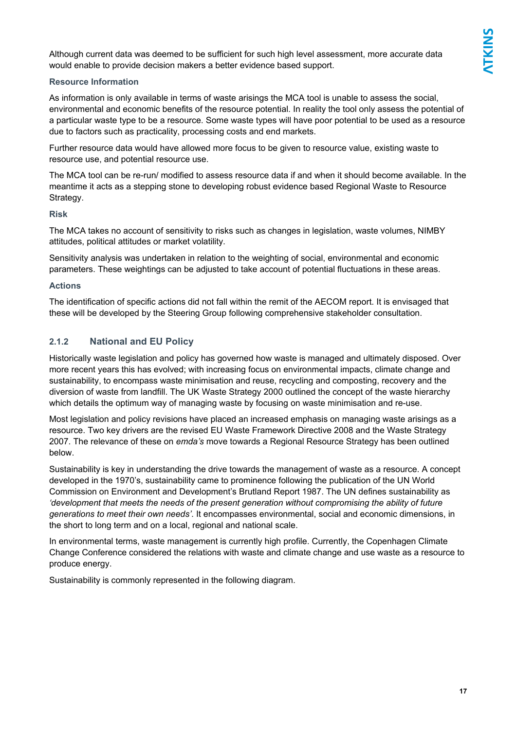Although current data was deemed to be sufficient for such high level assessment, more accurate data would enable to provide decision makers a better evidence based support.

### **Resource Information**

As information is only available in terms of waste arisings the MCA tool is unable to assess the social, environmental and economic benefits of the resource potential. In reality the tool only assess the potential of a particular waste type to be a resource. Some waste types will have poor potential to be used as a resource due to factors such as practicality, processing costs and end markets.

Further resource data would have allowed more focus to be given to resource value, existing waste to resource use, and potential resource use.

The MCA tool can be re-run/ modified to assess resource data if and when it should become available. In the meantime it acts as a stepping stone to developing robust evidence based Regional Waste to Resource Strategy.

### **Risk**

The MCA takes no account of sensitivity to risks such as changes in legislation, waste volumes, NIMBY attitudes, political attitudes or market volatility.

Sensitivity analysis was undertaken in relation to the weighting of social, environmental and economic parameters. These weightings can be adjusted to take account of potential fluctuations in these areas.

### **Actions**

The identification of specific actions did not fall within the remit of the AECOM report. It is envisaged that these will be developed by the Steering Group following comprehensive stakeholder consultation.

### **2.1.2 National and EU Policy**

Historically waste legislation and policy has governed how waste is managed and ultimately disposed. Over more recent years this has evolved; with increasing focus on environmental impacts, climate change and sustainability, to encompass waste minimisation and reuse, recycling and composting, recovery and the diversion of waste from landfill. The UK Waste Strategy 2000 outlined the concept of the waste hierarchy which details the optimum way of managing waste by focusing on waste minimisation and re-use.

Most legislation and policy revisions have placed an increased emphasis on managing waste arisings as a resource. Two key drivers are the revised EU Waste Framework Directive 2008 and the Waste Strategy 2007. The relevance of these on *emda's* move towards a Regional Resource Strategy has been outlined below.

Sustainability is key in understanding the drive towards the management of waste as a resource. A concept developed in the 1970's, sustainability came to prominence following the publication of the UN World Commission on Environment and Development's Brutland Report 1987. The UN defines sustainability as *'development that meets the needs of the present generation without compromising the ability of future generations to meet their own needs'*. It encompasses environmental, social and economic dimensions, in the short to long term and on a local, regional and national scale.

In environmental terms, waste management is currently high profile. Currently, the Copenhagen Climate Change Conference considered the relations with waste and climate change and use waste as a resource to produce energy.

Sustainability is commonly represented in the following diagram.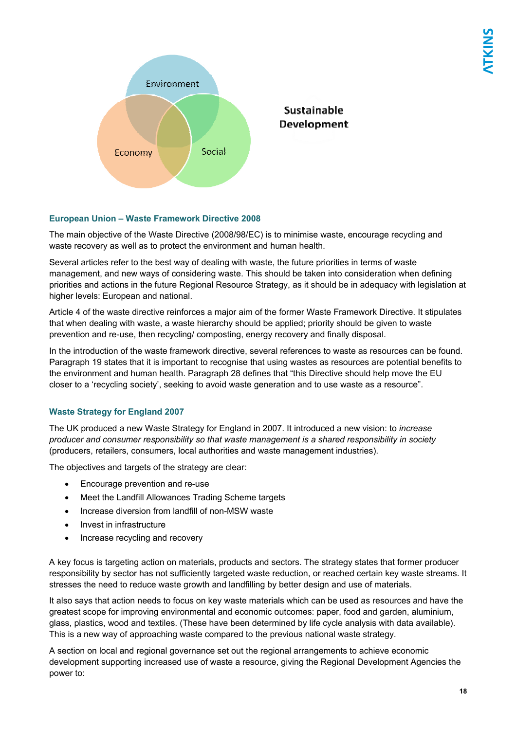

### **European Union – Waste Framework Directive 2008**

The main objective of the Waste Directive (2008/98/EC) is to minimise waste, encourage recycling and waste recovery as well as to protect the environment and human health.

Several articles refer to the best way of dealing with waste, the future priorities in terms of waste management, and new ways of considering waste. This should be taken into consideration when defining priorities and actions in the future Regional Resource Strategy, as it should be in adequacy with legislation at higher levels: European and national.

Article 4 of the waste directive reinforces a major aim of the former Waste Framework Directive. It stipulates that when dealing with waste, a waste hierarchy should be applied; priority should be given to waste prevention and re-use, then recycling/ composting, energy recovery and finally disposal.

In the introduction of the waste framework directive, several references to waste as resources can be found. Paragraph 19 states that it is important to recognise that using wastes as resources are potential benefits to the environment and human health. Paragraph 28 defines that "this Directive should help move the EU closer to a 'recycling society', seeking to avoid waste generation and to use waste as a resource".

### **Waste Strategy for England 2007**

The UK produced a new Waste Strategy for England in 2007. It introduced a new vision: to *increase producer and consumer responsibility so that waste management is a shared responsibility in society* (producers, retailers, consumers, local authorities and waste management industries).

The objectives and targets of the strategy are clear:

- Encourage prevention and re-use
- Meet the Landfill Allowances Trading Scheme targets
- Increase diversion from landfill of non-MSW waste
- Invest in infrastructure
- Increase recycling and recovery

A key focus is targeting action on materials, products and sectors. The strategy states that former producer responsibility by sector has not sufficiently targeted waste reduction, or reached certain key waste streams. It stresses the need to reduce waste growth and landfilling by better design and use of materials.

It also says that action needs to focus on key waste materials which can be used as resources and have the greatest scope for improving environmental and economic outcomes: paper, food and garden, aluminium, glass, plastics, wood and textiles. (These have been determined by life cycle analysis with data available). This is a new way of approaching waste compared to the previous national waste strategy.

A section on local and regional governance set out the regional arrangements to achieve economic development supporting increased use of waste a resource, giving the Regional Development Agencies the power to: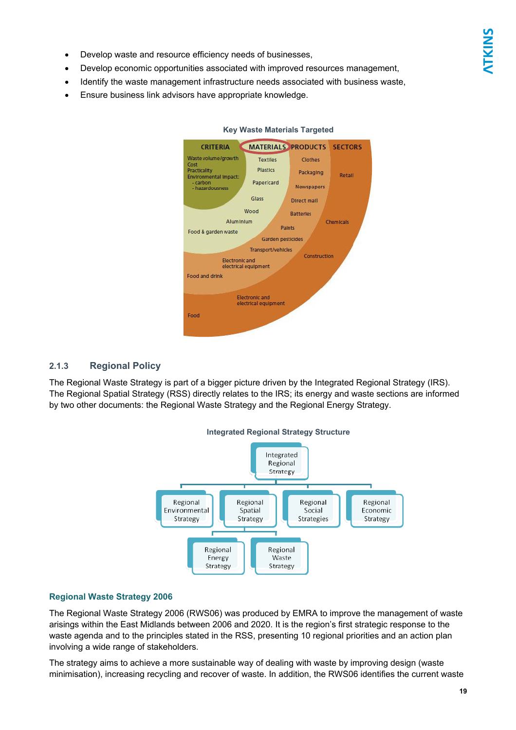- Develop waste and resource efficiency needs of businesses,
- Develop economic opportunities associated with improved resources management,
- Identify the waste management infrastructure needs associated with business waste,
- Ensure business link advisors have appropriate knowledge.



#### **Key Waste Materials Targeted**

### **2.1.3 Regional Policy**

The Regional Waste Strategy is part of a bigger picture driven by the Integrated Regional Strategy (IRS). The Regional Spatial Strategy (RSS) directly relates to the IRS; its energy and waste sections are informed by two other documents: the Regional Waste Strategy and the Regional Energy Strategy.



### **Regional Waste Strategy 2006**

The Regional Waste Strategy 2006 (RWS06) was produced by EMRA to improve the management of waste arisings within the East Midlands between 2006 and 2020. It is the region's first strategic response to the waste agenda and to the principles stated in the RSS, presenting 10 regional priorities and an action plan involving a wide range of stakeholders.

The strategy aims to achieve a more sustainable way of dealing with waste by improving design (waste minimisation), increasing recycling and recover of waste. In addition, the RWS06 identifies the current waste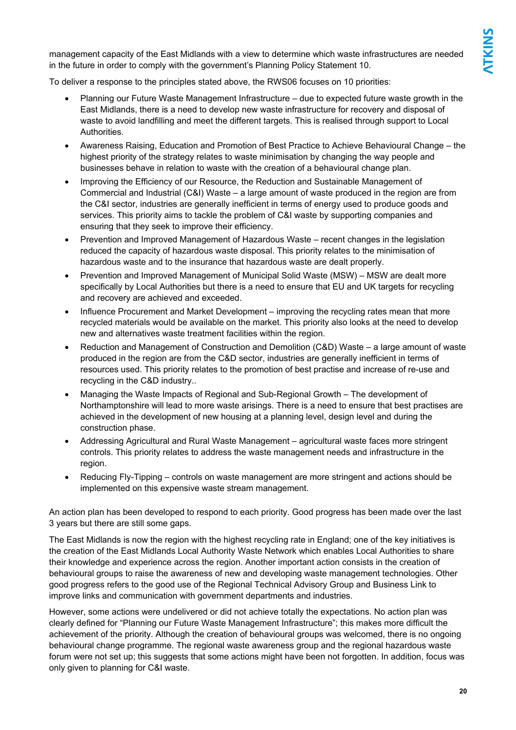management capacity of the East Midlands with a view to determine which waste infrastructures are needed in the future in order to comply with the government's Planning Policy Statement 10.

To deliver a response to the principles stated above, the RWS06 focuses on 10 priorities:

- Planning our Future Waste Management Infrastructure due to expected future waste growth in the East Midlands, there is a need to develop new waste infrastructure for recovery and disposal of waste to avoid landfilling and meet the different targets. This is realised through support to Local **Authorities**
- Awareness Raising, Education and Promotion of Best Practice to Achieve Behavioural Change the highest priority of the strategy relates to waste minimisation by changing the way people and businesses behave in relation to waste with the creation of a behavioural change plan.
- Improving the Efficiency of our Resource, the Reduction and Sustainable Management of Commercial and Industrial (C&I) Waste – a large amount of waste produced in the region are from the C&I sector, industries are generally inefficient in terms of energy used to produce goods and services. This priority aims to tackle the problem of C&I waste by supporting companies and ensuring that they seek to improve their efficiency.
- Prevention and Improved Management of Hazardous Waste recent changes in the legislation reduced the capacity of hazardous waste disposal. This priority relates to the minimisation of hazardous waste and to the insurance that hazardous waste are dealt properly.
- Prevention and Improved Management of Municipal Solid Waste (MSW) MSW are dealt more specifically by Local Authorities but there is a need to ensure that EU and UK targets for recycling and recovery are achieved and exceeded.
- Influence Procurement and Market Development improving the recycling rates mean that more recycled materials would be available on the market. This priority also looks at the need to develop new and alternatives waste treatment facilities within the region.
- Reduction and Management of Construction and Demolition (C&D) Waste a large amount of waste produced in the region are from the C&D sector, industries are generally inefficient in terms of resources used. This priority relates to the promotion of best practise and increase of re-use and recycling in the C&D industry..
- Managing the Waste Impacts of Regional and Sub-Regional Growth The development of Northamptonshire will lead to more waste arisings. There is a need to ensure that best practises are achieved in the development of new housing at a planning level, design level and during the construction phase.
- Addressing Agricultural and Rural Waste Management agricultural waste faces more stringent controls. This priority relates to address the waste management needs and infrastructure in the region.
- Reducing Fly-Tipping controls on waste management are more stringent and actions should be implemented on this expensive waste stream management.

An action plan has been developed to respond to each priority. Good progress has been made over the last 3 years but there are still some gaps.

The East Midlands is now the region with the highest recycling rate in England; one of the key initiatives is the creation of the East Midlands Local Authority Waste Network which enables Local Authorities to share their knowledge and experience across the region. Another important action consists in the creation of behavioural groups to raise the awareness of new and developing waste management technologies. Other good progress refers to the good use of the Regional Technical Advisory Group and Business Link to improve links and communication with government departments and industries.

However, some actions were undelivered or did not achieve totally the expectations. No action plan was clearly defined for "Planning our Future Waste Management Infrastructure"; this makes more difficult the achievement of the priority. Although the creation of behavioural groups was welcomed, there is no ongoing behavioural change programme. The regional waste awareness group and the regional hazardous waste forum were not set up; this suggests that some actions might have been not forgotten. In addition, focus was only given to planning for C&I waste.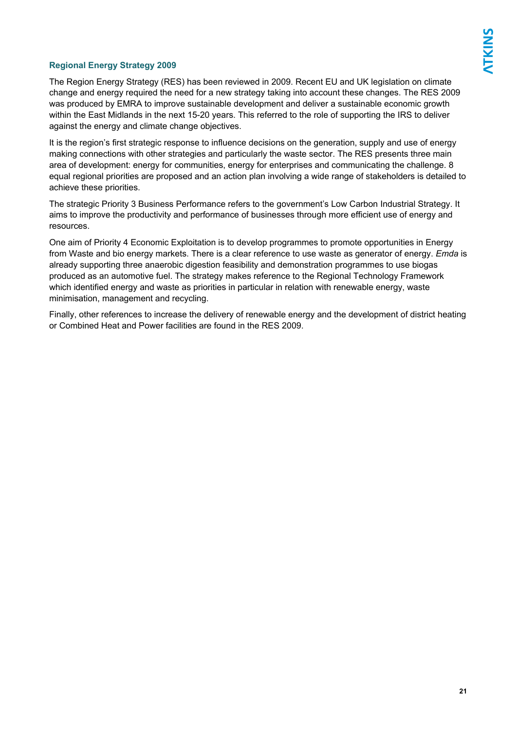### **Regional Energy Strategy 2009**

The Region Energy Strategy (RES) has been reviewed in 2009. Recent EU and UK legislation on climate change and energy required the need for a new strategy taking into account these changes. The RES 2009 was produced by EMRA to improve sustainable development and deliver a sustainable economic growth within the East Midlands in the next 15-20 years. This referred to the role of supporting the IRS to deliver against the energy and climate change objectives.

It is the region's first strategic response to influence decisions on the generation, supply and use of energy making connections with other strategies and particularly the waste sector. The RES presents three main area of development: energy for communities, energy for enterprises and communicating the challenge. 8 equal regional priorities are proposed and an action plan involving a wide range of stakeholders is detailed to achieve these priorities.

The strategic Priority 3 Business Performance refers to the government's Low Carbon Industrial Strategy. It aims to improve the productivity and performance of businesses through more efficient use of energy and resources.

One aim of Priority 4 Economic Exploitation is to develop programmes to promote opportunities in Energy from Waste and bio energy markets. There is a clear reference to use waste as generator of energy. *Emda* is already supporting three anaerobic digestion feasibility and demonstration programmes to use biogas produced as an automotive fuel. The strategy makes reference to the Regional Technology Framework which identified energy and waste as priorities in particular in relation with renewable energy, waste minimisation, management and recycling.

Finally, other references to increase the delivery of renewable energy and the development of district heating or Combined Heat and Power facilities are found in the RES 2009.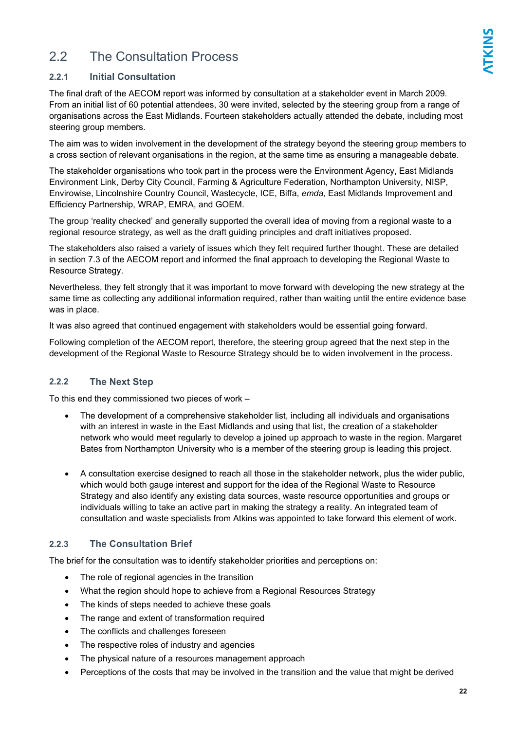### 2.2 The Consultation Process

### **2.2.1 Initial Consultation**

The final draft of the AECOM report was informed by consultation at a stakeholder event in March 2009. From an initial list of 60 potential attendees, 30 were invited, selected by the steering group from a range of organisations across the East Midlands. Fourteen stakeholders actually attended the debate, including most steering group members.

The aim was to widen involvement in the development of the strategy beyond the steering group members to a cross section of relevant organisations in the region, at the same time as ensuring a manageable debate.

The stakeholder organisations who took part in the process were the Environment Agency, East Midlands Environment Link, Derby City Council, Farming & Agriculture Federation, Northampton University, NISP, Envirowise, Lincolnshire Country Council, Wastecycle, ICE, Biffa, *emda,* East Midlands Improvement and Efficiency Partnership, WRAP, EMRA, and GOEM.

The group 'reality checked' and generally supported the overall idea of moving from a regional waste to a regional resource strategy, as well as the draft guiding principles and draft initiatives proposed.

The stakeholders also raised a variety of issues which they felt required further thought. These are detailed in section 7.3 of the AECOM report and informed the final approach to developing the Regional Waste to Resource Strategy.

Nevertheless, they felt strongly that it was important to move forward with developing the new strategy at the same time as collecting any additional information required, rather than waiting until the entire evidence base was in place.

It was also agreed that continued engagement with stakeholders would be essential going forward.

Following completion of the AECOM report, therefore, the steering group agreed that the next step in the development of the Regional Waste to Resource Strategy should be to widen involvement in the process.

### **2.2.2 The Next Step**

To this end they commissioned two pieces of work –

- The development of a comprehensive stakeholder list, including all individuals and organisations with an interest in waste in the East Midlands and using that list, the creation of a stakeholder network who would meet regularly to develop a joined up approach to waste in the region. Margaret Bates from Northampton University who is a member of the steering group is leading this project.
- A consultation exercise designed to reach all those in the stakeholder network, plus the wider public, which would both gauge interest and support for the idea of the Regional Waste to Resource Strategy and also identify any existing data sources, waste resource opportunities and groups or individuals willing to take an active part in making the strategy a reality. An integrated team of consultation and waste specialists from Atkins was appointed to take forward this element of work.

### **2.2.3 The Consultation Brief**

The brief for the consultation was to identify stakeholder priorities and perceptions on:

- The role of regional agencies in the transition
- What the region should hope to achieve from a Regional Resources Strategy
- The kinds of steps needed to achieve these goals
- The range and extent of transformation required
- The conflicts and challenges foreseen
- The respective roles of industry and agencies
- The physical nature of a resources management approach
- Perceptions of the costs that may be involved in the transition and the value that might be derived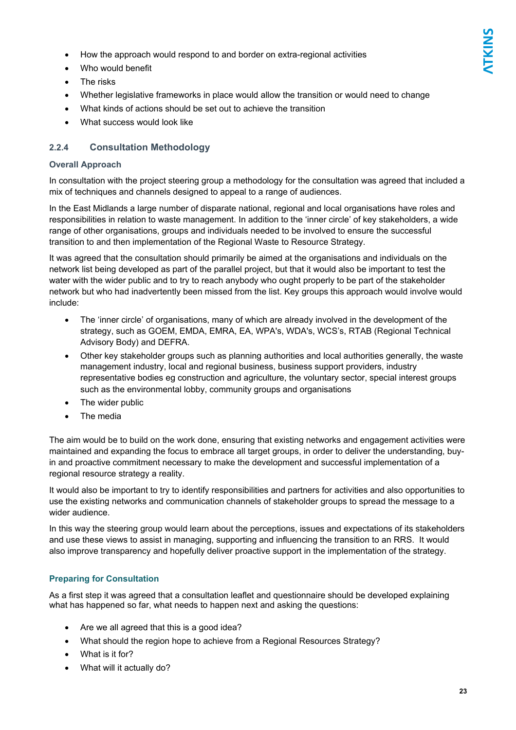- How the approach would respond to and border on extra-regional activities
- Who would benefit
- The risks
- Whether legislative frameworks in place would allow the transition or would need to change
- What kinds of actions should be set out to achieve the transition
- What success would look like

### **2.2.4 Consultation Methodology**

### **Overall Approach**

In consultation with the project steering group a methodology for the consultation was agreed that included a mix of techniques and channels designed to appeal to a range of audiences.

In the East Midlands a large number of disparate national, regional and local organisations have roles and responsibilities in relation to waste management. In addition to the 'inner circle' of key stakeholders, a wide range of other organisations, groups and individuals needed to be involved to ensure the successful transition to and then implementation of the Regional Waste to Resource Strategy.

It was agreed that the consultation should primarily be aimed at the organisations and individuals on the network list being developed as part of the parallel project, but that it would also be important to test the water with the wider public and to try to reach anybody who ought properly to be part of the stakeholder network but who had inadvertently been missed from the list. Key groups this approach would involve would include:

- The 'inner circle' of organisations, many of which are already involved in the development of the strategy, such as GOEM, EMDA, EMRA, EA, WPA's, WDA's, WCS's, RTAB (Regional Technical Advisory Body) and DEFRA.
- Other key stakeholder groups such as planning authorities and local authorities generally, the waste management industry, local and regional business, business support providers, industry representative bodies eg construction and agriculture, the voluntary sector, special interest groups such as the environmental lobby, community groups and organisations
- The wider public
- The media

The aim would be to build on the work done, ensuring that existing networks and engagement activities were maintained and expanding the focus to embrace all target groups, in order to deliver the understanding, buyin and proactive commitment necessary to make the development and successful implementation of a regional resource strategy a reality.

It would also be important to try to identify responsibilities and partners for activities and also opportunities to use the existing networks and communication channels of stakeholder groups to spread the message to a wider audience.

In this way the steering group would learn about the perceptions, issues and expectations of its stakeholders and use these views to assist in managing, supporting and influencing the transition to an RRS. It would also improve transparency and hopefully deliver proactive support in the implementation of the strategy.

### **Preparing for Consultation**

As a first step it was agreed that a consultation leaflet and questionnaire should be developed explaining what has happened so far, what needs to happen next and asking the questions:

- Are we all agreed that this is a good idea?
- What should the region hope to achieve from a Regional Resources Strategy?
- What is it for?
- What will it actually do?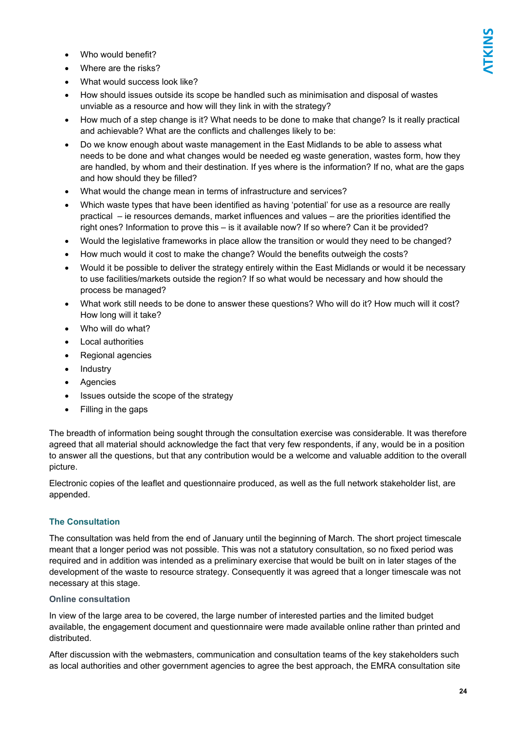- Who would benefit?
- Where are the risks?
- What would success look like?
- How should issues outside its scope be handled such as minimisation and disposal of wastes unviable as a resource and how will they link in with the strategy?
- How much of a step change is it? What needs to be done to make that change? Is it really practical and achievable? What are the conflicts and challenges likely to be:
- Do we know enough about waste management in the East Midlands to be able to assess what needs to be done and what changes would be needed eg waste generation, wastes form, how they are handled, by whom and their destination. If yes where is the information? If no, what are the gaps and how should they be filled?
- What would the change mean in terms of infrastructure and services?
- Which waste types that have been identified as having 'potential' for use as a resource are really practical – ie resources demands, market influences and values – are the priorities identified the right ones? Information to prove this – is it available now? If so where? Can it be provided?
- Would the legislative frameworks in place allow the transition or would they need to be changed?
- How much would it cost to make the change? Would the benefits outweigh the costs?
- Would it be possible to deliver the strategy entirely within the East Midlands or would it be necessary to use facilities/markets outside the region? If so what would be necessary and how should the process be managed?
- What work still needs to be done to answer these questions? Who will do it? How much will it cost? How long will it take?
- Who will do what?
- Local authorities
- Regional agencies
- Industry
- Agencies
- Issues outside the scope of the strategy
- Filling in the gaps

The breadth of information being sought through the consultation exercise was considerable. It was therefore agreed that all material should acknowledge the fact that very few respondents, if any, would be in a position to answer all the questions, but that any contribution would be a welcome and valuable addition to the overall picture.

Electronic copies of the leaflet and questionnaire produced, as well as the full network stakeholder list, are appended.

### **The Consultation**

The consultation was held from the end of January until the beginning of March. The short project timescale meant that a longer period was not possible. This was not a statutory consultation, so no fixed period was required and in addition was intended as a preliminary exercise that would be built on in later stages of the development of the waste to resource strategy. Consequently it was agreed that a longer timescale was not necessary at this stage.

### **Online consultation**

In view of the large area to be covered, the large number of interested parties and the limited budget available, the engagement document and questionnaire were made available online rather than printed and distributed.

After discussion with the webmasters, communication and consultation teams of the key stakeholders such as local authorities and other government agencies to agree the best approach, the EMRA consultation site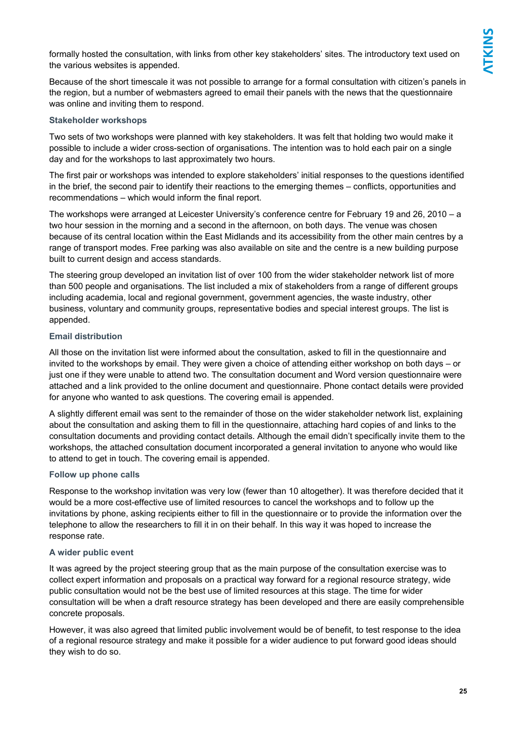formally hosted the consultation, with links from other key stakeholders' sites. The introductory text used on the various websites is appended.

Because of the short timescale it was not possible to arrange for a formal consultation with citizen's panels in the region, but a number of webmasters agreed to email their panels with the news that the questionnaire was online and inviting them to respond.

### **Stakeholder workshops**

Two sets of two workshops were planned with key stakeholders. It was felt that holding two would make it possible to include a wider cross-section of organisations. The intention was to hold each pair on a single day and for the workshops to last approximately two hours.

The first pair or workshops was intended to explore stakeholders' initial responses to the questions identified in the brief, the second pair to identify their reactions to the emerging themes – conflicts, opportunities and recommendations – which would inform the final report.

The workshops were arranged at Leicester University's conference centre for February 19 and 26, 2010 – a two hour session in the morning and a second in the afternoon, on both days. The venue was chosen because of its central location within the East Midlands and its accessibility from the other main centres by a range of transport modes. Free parking was also available on site and the centre is a new building purpose built to current design and access standards.

The steering group developed an invitation list of over 100 from the wider stakeholder network list of more than 500 people and organisations. The list included a mix of stakeholders from a range of different groups including academia, local and regional government, government agencies, the waste industry, other business, voluntary and community groups, representative bodies and special interest groups. The list is appended.

### **Email distribution**

All those on the invitation list were informed about the consultation, asked to fill in the questionnaire and invited to the workshops by email. They were given a choice of attending either workshop on both days – or just one if they were unable to attend two. The consultation document and Word version questionnaire were attached and a link provided to the online document and questionnaire. Phone contact details were provided for anyone who wanted to ask questions. The covering email is appended.

A slightly different email was sent to the remainder of those on the wider stakeholder network list, explaining about the consultation and asking them to fill in the questionnaire, attaching hard copies of and links to the consultation documents and providing contact details. Although the email didn't specifically invite them to the workshops, the attached consultation document incorporated a general invitation to anyone who would like to attend to get in touch. The covering email is appended.

### **Follow up phone calls**

Response to the workshop invitation was very low (fewer than 10 altogether). It was therefore decided that it would be a more cost-effective use of limited resources to cancel the workshops and to follow up the invitations by phone, asking recipients either to fill in the questionnaire or to provide the information over the telephone to allow the researchers to fill it in on their behalf. In this way it was hoped to increase the response rate.

### **A wider public event**

It was agreed by the project steering group that as the main purpose of the consultation exercise was to collect expert information and proposals on a practical way forward for a regional resource strategy, wide public consultation would not be the best use of limited resources at this stage. The time for wider consultation will be when a draft resource strategy has been developed and there are easily comprehensible concrete proposals.

However, it was also agreed that limited public involvement would be of benefit, to test response to the idea of a regional resource strategy and make it possible for a wider audience to put forward good ideas should they wish to do so.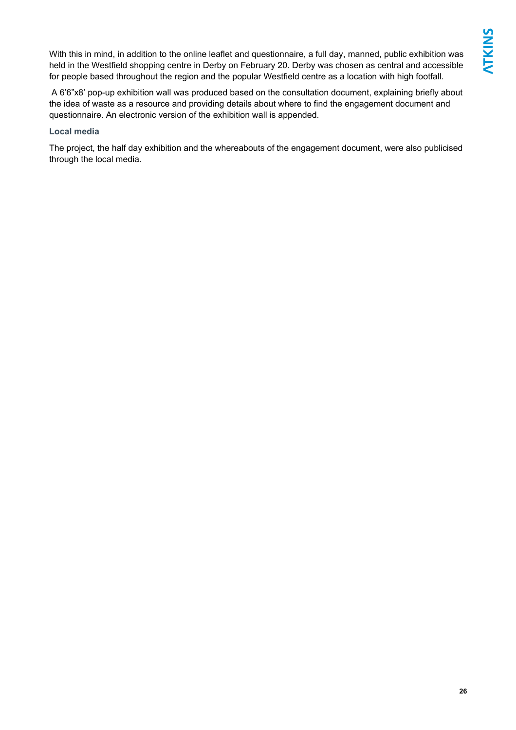With this in mind, in addition to the online leaflet and questionnaire, a full day, manned, public exhibition was held in the Westfield shopping centre in Derby on February 20. Derby was chosen as central and accessible for people based throughout the region and the popular Westfield centre as a location with high footfall.

 A 6'6"x8' pop-up exhibition wall was produced based on the consultation document, explaining briefly about the idea of waste as a resource and providing details about where to find the engagement document and questionnaire. An electronic version of the exhibition wall is appended.

### **Local media**

The project, the half day exhibition and the whereabouts of the engagement document, were also publicised through the local media.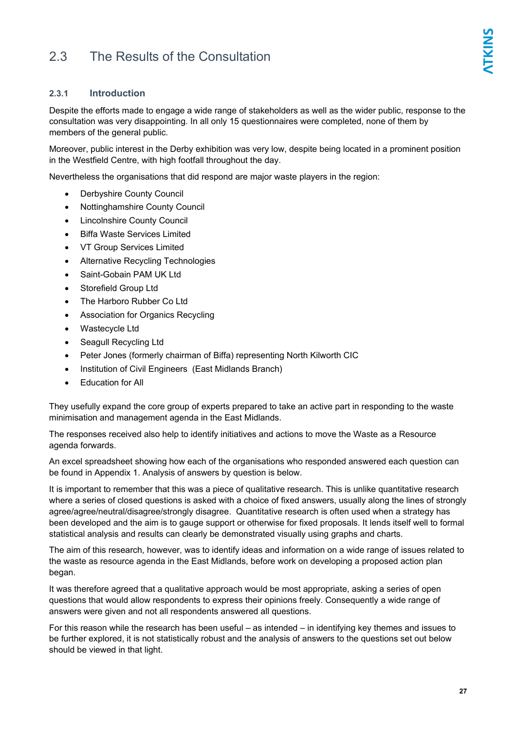### 2.3 The Results of the Consultation

Despite the efforts made to engage a wide range of stakeholders as well as the wider public, response to the consultation was very disappointing. In all only 15 questionnaires were completed, none of them by members of the general public.

Moreover, public interest in the Derby exhibition was very low, despite being located in a prominent position in the Westfield Centre, with high footfall throughout the day.

Nevertheless the organisations that did respond are major waste players in the region:

- Derbyshire County Council
- Nottinghamshire County Council
- Lincolnshire County Council
- Biffa Waste Services Limited
- VT Group Services Limited
- Alternative Recycling Technologies
- Saint-Gobain PAM UK Ltd
- Storefield Group Ltd
- The Harboro Rubber Co Ltd
- Association for Organics Recycling
- Wastecycle Ltd
- Seagull Recycling Ltd
- Peter Jones (formerly chairman of Biffa) representing North Kilworth CIC
- Institution of Civil Engineers (East Midlands Branch)
- Education for All

They usefully expand the core group of experts prepared to take an active part in responding to the waste minimisation and management agenda in the East Midlands.

The responses received also help to identify initiatives and actions to move the Waste as a Resource agenda forwards.

An excel spreadsheet showing how each of the organisations who responded answered each question can be found in Appendix 1. Analysis of answers by question is below.

It is important to remember that this was a piece of qualitative research. This is unlike quantitative research where a series of closed questions is asked with a choice of fixed answers, usually along the lines of strongly agree/agree/neutral/disagree/strongly disagree. Quantitative research is often used when a strategy has been developed and the aim is to gauge support or otherwise for fixed proposals. It lends itself well to formal statistical analysis and results can clearly be demonstrated visually using graphs and charts.

The aim of this research, however, was to identify ideas and information on a wide range of issues related to the waste as resource agenda in the East Midlands, before work on developing a proposed action plan began.

It was therefore agreed that a qualitative approach would be most appropriate, asking a series of open questions that would allow respondents to express their opinions freely. Consequently a wide range of answers were given and not all respondents answered all questions.

For this reason while the research has been useful – as intended – in identifying key themes and issues to be further explored, it is not statistically robust and the analysis of answers to the questions set out below should be viewed in that light.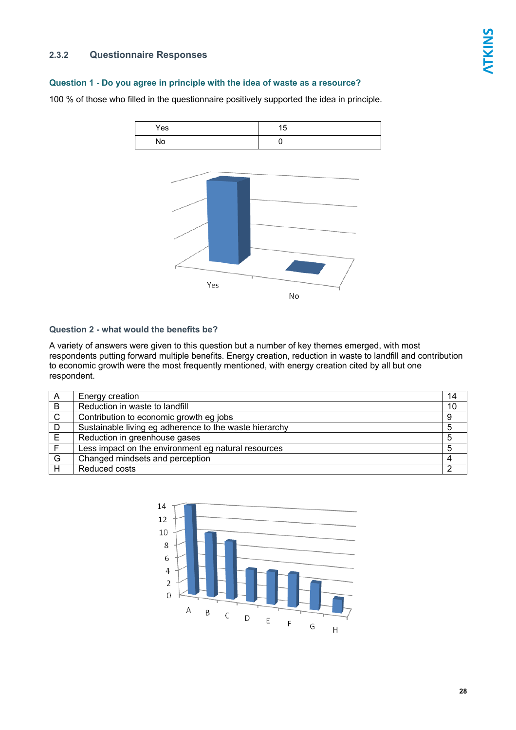### **2.3.2 Questionnaire Responses**

### **Question 1 - Do you agree in principle with the idea of waste as a resource?**

100 % of those who filled in the questionnaire positively supported the idea in principle.



### **Question 2 - what would the benefits be?**

A variety of answers were given to this question but a number of key themes emerged, with most respondents putting forward multiple benefits. Energy creation, reduction in waste to landfill and contribution to economic growth were the most frequently mentioned, with energy creation cited by all but one respondent.

| A | Energy creation                                        | 14 |
|---|--------------------------------------------------------|----|
| B | Reduction in waste to landfill                         | 10 |
| C | Contribution to economic growth eg jobs                | 9  |
| D | Sustainable living eg adherence to the waste hierarchy |    |
| E | Reduction in greenhouse gases                          |    |
|   | Less impact on the environment eg natural resources    |    |
| G | Changed mindsets and perception                        |    |
| Н | Reduced costs                                          |    |

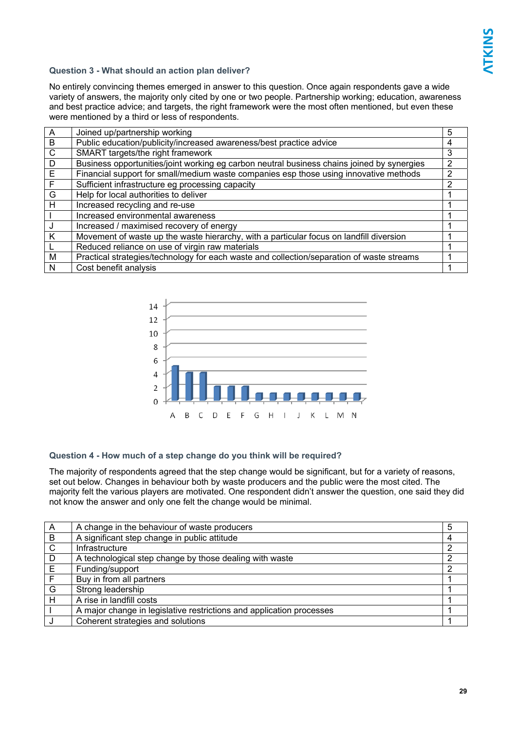### **Question 3 - What should an action plan deliver?**

No entirely convincing themes emerged in answer to this question. Once again respondents gave a wide variety of answers, the majority only cited by one or two people. Partnership working; education, awareness and best practice advice; and targets, the right framework were the most often mentioned, but even these were mentioned by a third or less of respondents.

| A | Joined up/partnership working                                                              | 5 |
|---|--------------------------------------------------------------------------------------------|---|
| B | Public education/publicity/increased awareness/best practice advice                        | 4 |
| C | SMART targets/the right framework                                                          | 3 |
| D | Business opportunities/joint working eg carbon neutral business chains joined by synergies | 2 |
| E | Financial support for small/medium waste companies esp those using innovative methods      | 2 |
| F | Sufficient infrastructure eg processing capacity                                           |   |
| G | Help for local authorities to deliver                                                      |   |
| н | Increased recycling and re-use                                                             |   |
|   | Increased environmental awareness                                                          |   |
|   | Increased / maximised recovery of energy                                                   |   |
| K | Movement of waste up the waste hierarchy, with a particular focus on landfill diversion    |   |
|   | Reduced reliance on use of virgin raw materials                                            |   |
| M | Practical strategies/technology for each waste and collection/separation of waste streams  |   |
| N | Cost benefit analysis                                                                      |   |



### **Question 4 - How much of a step change do you think will be required?**

The majority of respondents agreed that the step change would be significant, but for a variety of reasons, set out below. Changes in behaviour both by waste producers and the public were the most cited. The majority felt the various players are motivated. One respondent didn't answer the question, one said they did not know the answer and only one felt the change would be minimal.

| A              | A change in the behaviour of waste producers                         | 5 |
|----------------|----------------------------------------------------------------------|---|
| $\overline{B}$ | A significant step change in public attitude                         | 4 |
| $\mathsf{C}$   | Infrastructure                                                       | っ |
| D              | A technological step change by those dealing with waste              | っ |
| E              | Funding/support                                                      | っ |
| F              | Buy in from all partners                                             |   |
| G              | Strong leadership                                                    |   |
| H              | A rise in landfill costs                                             |   |
|                | A major change in legislative restrictions and application processes |   |
|                | Coherent strategies and solutions                                    |   |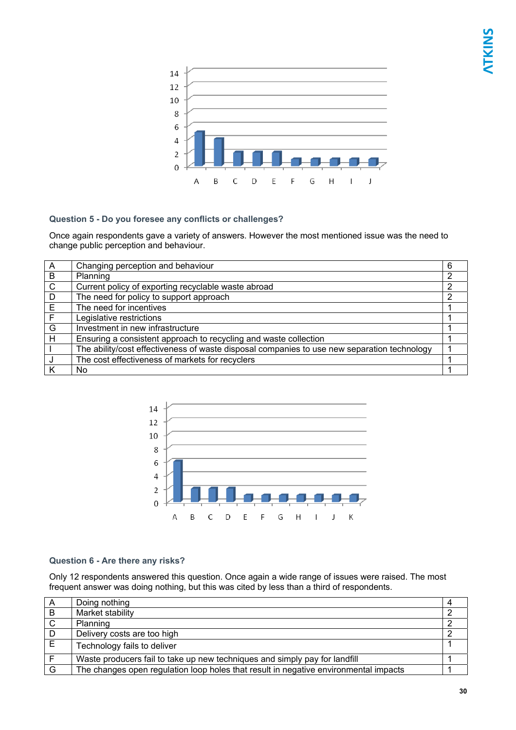

### **Question 5 - Do you foresee any conflicts or challenges?**

Once again respondents gave a variety of answers. However the most mentioned issue was the need to change public perception and behaviour.

| $\overline{A}$ | Changing perception and behaviour                                                           | 6 |
|----------------|---------------------------------------------------------------------------------------------|---|
| B              | Planning                                                                                    | 2 |
| $\mathsf{C}$   | Current policy of exporting recyclable waste abroad                                         | 2 |
| D              | The need for policy to support approach                                                     | 2 |
| E              | The need for incentives                                                                     |   |
| Ē              | Legislative restrictions                                                                    |   |
| G              | Investment in new infrastructure                                                            |   |
| H              | Ensuring a consistent approach to recycling and waste collection                            |   |
|                | The ability/cost effectiveness of waste disposal companies to use new separation technology |   |
|                | The cost effectiveness of markets for recyclers                                             |   |
|                | No                                                                                          |   |



### **Question 6 - Are there any risks?**

Only 12 respondents answered this question. Once again a wide range of issues were raised. The most frequent answer was doing nothing, but this was cited by less than a third of respondents.

| A   | Doing nothing                                                                        |  |
|-----|--------------------------------------------------------------------------------------|--|
| B   | Market stability                                                                     |  |
| C.  | Planning                                                                             |  |
| - D | Delivery costs are too high                                                          |  |
| E   | Technology fails to deliver                                                          |  |
|     | Waste producers fail to take up new techniques and simply pay for landfill           |  |
| G   | The changes open regulation loop holes that result in negative environmental impacts |  |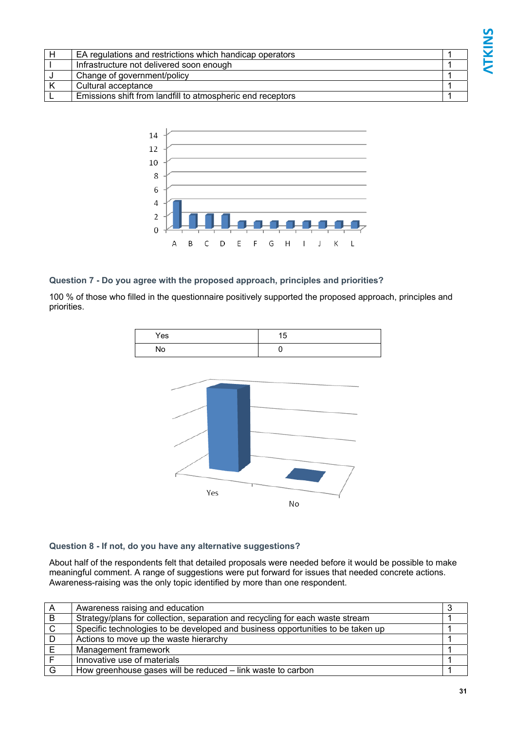| EA regulations and restrictions which handicap operators   |  |
|------------------------------------------------------------|--|
| Infrastructure not delivered soon enough                   |  |
| Change of government/policy                                |  |
| Cultural acceptance                                        |  |
| Emissions shift from landfill to atmospheric end receptors |  |



### **Question 7 - Do you agree with the proposed approach, principles and priorities?**

100 % of those who filled in the questionnaire positively supported the proposed approach, principles and priorities.





### **Question 8 - If not, do you have any alternative suggestions?**

About half of the respondents felt that detailed proposals were needed before it would be possible to make meaningful comment. A range of suggestions were put forward for issues that needed concrete actions. Awareness-raising was the only topic identified by more than one respondent.

| $\overline{A}$ | Awareness raising and education                                                 |  |
|----------------|---------------------------------------------------------------------------------|--|
| B              | Strategy/plans for collection, separation and recycling for each waste stream   |  |
| $\mathsf{C}$   | Specific technologies to be developed and business opportunities to be taken up |  |
|                | Actions to move up the waste hierarchy                                          |  |
|                | Management framework                                                            |  |
|                | Innovative use of materials                                                     |  |
| G              | How greenhouse gases will be reduced – link waste to carbon                     |  |

**NTKINS**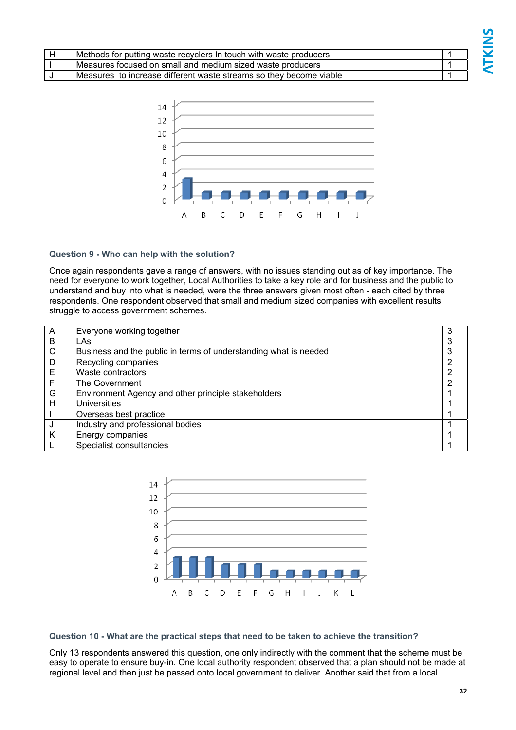| Methods for putting waste recyclers In touch with waste producers  |  |
|--------------------------------------------------------------------|--|
| Measures focused on small and medium sized waste producers         |  |
| Measures to increase different waste streams so they become viable |  |



### **Question 9 - Who can help with the solution?**

Once again respondents gave a range of answers, with no issues standing out as of key importance. The need for everyone to work together, Local Authorities to take a key role and for business and the public to understand and buy into what is needed, were the three answers given most often - each cited by three respondents. One respondent observed that small and medium sized companies with excellent results struggle to access government schemes.

| $\overline{A}$ | Everyone working together                                        | 3 |
|----------------|------------------------------------------------------------------|---|
| $\overline{B}$ | LAs                                                              | 3 |
| $\mathsf{C}$   | Business and the public in terms of understanding what is needed | 3 |
| D              | Recycling companies                                              | 2 |
| E              | Waste contractors                                                | 2 |
| $\mathsf{F}$   | The Government                                                   | 2 |
| G              | Environment Agency and other principle stakeholders              |   |
| H              | <b>Universities</b>                                              |   |
|                | Overseas best practice                                           |   |
|                | Industry and professional bodies                                 |   |
| K              | Energy companies                                                 |   |
|                | Specialist consultancies                                         |   |



### **Question 10 - What are the practical steps that need to be taken to achieve the transition?**

Only 13 respondents answered this question, one only indirectly with the comment that the scheme must be easy to operate to ensure buy-in. One local authority respondent observed that a plan should not be made at regional level and then just be passed onto local government to deliver. Another said that from a local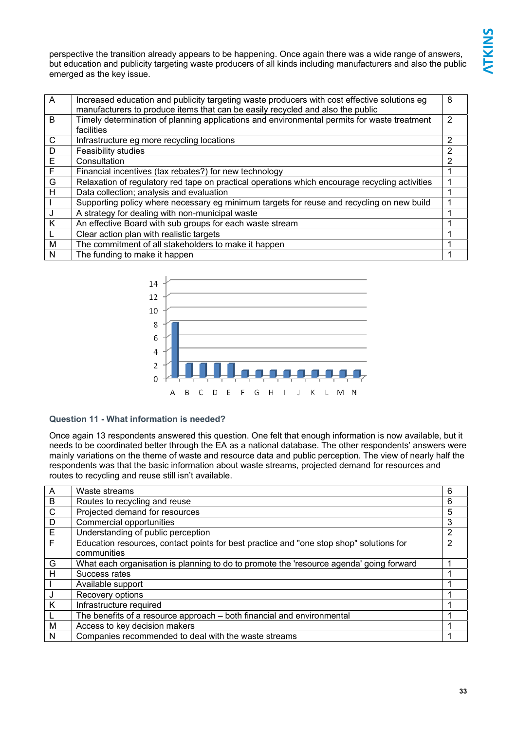perspective the transition already appears to be happening. Once again there was a wide range of answers, but education and publicity targeting waste producers of all kinds including manufacturers and also the public emerged as the key issue.

| A | Increased education and publicity targeting waste producers with cost effective solutions eg<br>manufacturers to produce items that can be easily recycled and also the public | 8 |
|---|--------------------------------------------------------------------------------------------------------------------------------------------------------------------------------|---|
| B | Timely determination of planning applications and environmental permits for waste treatment<br>facilities                                                                      | 2 |
| C | Infrastructure eg more recycling locations                                                                                                                                     | 2 |
| D | <b>Feasibility studies</b>                                                                                                                                                     | 2 |
| E | Consultation                                                                                                                                                                   | 2 |
| F | Financial incentives (tax rebates?) for new technology                                                                                                                         |   |
| G | Relaxation of regulatory red tape on practical operations which encourage recycling activities                                                                                 |   |
| H | Data collection; analysis and evaluation                                                                                                                                       |   |
|   | Supporting policy where necessary eg minimum targets for reuse and recycling on new build                                                                                      |   |
| J | A strategy for dealing with non-municipal waste                                                                                                                                |   |
| K | An effective Board with sub groups for each waste stream                                                                                                                       |   |
|   | Clear action plan with realistic targets                                                                                                                                       |   |
| м | The commitment of all stakeholders to make it happen                                                                                                                           |   |
| N | The funding to make it happen                                                                                                                                                  |   |



### **Question 11 - What information is needed?**

Once again 13 respondents answered this question. One felt that enough information is now available, but it needs to be coordinated better through the EA as a national database. The other respondents' answers were mainly variations on the theme of waste and resource data and public perception. The view of nearly half the respondents was that the basic information about waste streams, projected demand for resources and routes to recycling and reuse still isn't available.

| $\overline{A}$          | Waste streams                                                                           | 6              |
|-------------------------|-----------------------------------------------------------------------------------------|----------------|
| $\overline{B}$          | Routes to recycling and reuse                                                           | 6              |
| $\overline{\mathsf{C}}$ | Projected demand for resources                                                          | 5              |
| $\overline{D}$          | Commercial opportunities                                                                | 3              |
| $\overline{\mathsf{E}}$ | Understanding of public perception                                                      | $\overline{2}$ |
| $\overline{\mathsf{F}}$ | Education resources, contact points for best practice and "one stop shop" solutions for | 2              |
|                         | communities                                                                             |                |
| G                       | What each organisation is planning to do to promote the 'resource agenda' going forward |                |
| H                       | Success rates                                                                           |                |
|                         | Available support                                                                       |                |
| $\overline{\mathsf{J}}$ | Recovery options                                                                        |                |
| $\overline{\mathsf{K}}$ | Infrastructure required                                                                 |                |
| $\mathbf{L}$            | The benefits of a resource approach - both financial and environmental                  |                |
| M                       | Access to key decision makers                                                           |                |
| N                       | Companies recommended to deal with the waste streams                                    |                |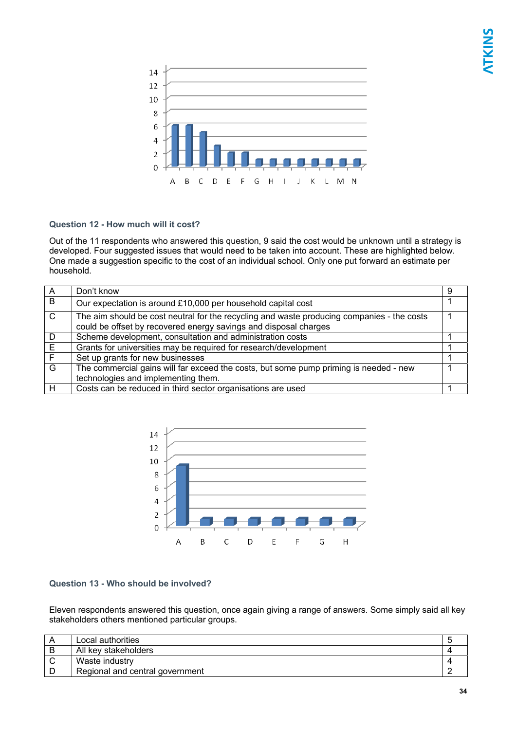

### **Question 12 - How much will it cost?**

Out of the 11 respondents who answered this question, 9 said the cost would be unknown until a strategy is developed. Four suggested issues that would need to be taken into account. These are highlighted below. One made a suggestion specific to the cost of an individual school. Only one put forward an estimate per household.

| A            | Don't know                                                                                                                                                     | 9 |
|--------------|----------------------------------------------------------------------------------------------------------------------------------------------------------------|---|
| B            | Our expectation is around £10,000 per household capital cost                                                                                                   |   |
| $\mathsf{C}$ | The aim should be cost neutral for the recycling and waste producing companies - the costs<br>could be offset by recovered energy savings and disposal charges |   |
| D            | Scheme development, consultation and administration costs                                                                                                      |   |
| E            | Grants for universities may be required for research/development                                                                                               |   |
| F            | Set up grants for new businesses                                                                                                                               |   |
| G            | The commercial gains will far exceed the costs, but some pump priming is needed - new                                                                          |   |
|              | technologies and implementing them.                                                                                                                            |   |
| H            | Costs can be reduced in third sector organisations are used                                                                                                    |   |



### **Question 13 - Who should be involved?**

Eleven respondents answered this question, once again giving a range of answers. Some simply said all key stakeholders others mentioned particular groups.

| Local authorities               |  |
|---------------------------------|--|
| All key stakeholders            |  |
| Waste industry                  |  |
| Regional and central government |  |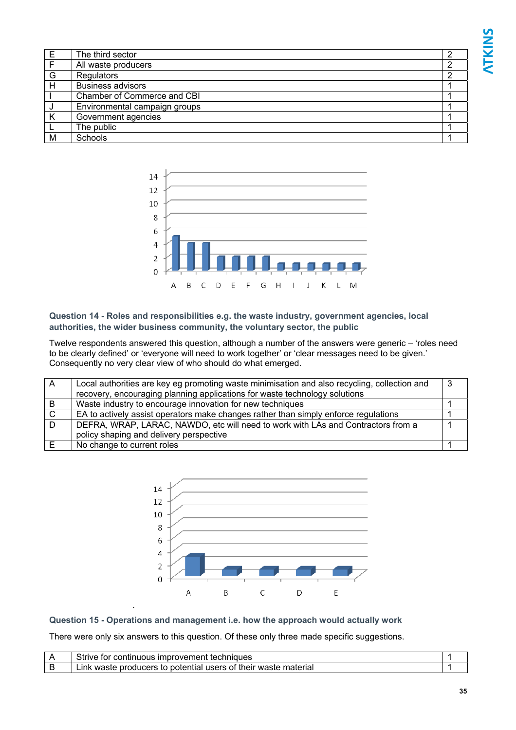| Е            | The third sector              |  |
|--------------|-------------------------------|--|
| $\mathsf{F}$ | All waste producers           |  |
| G            | Regulators                    |  |
| H            | <b>Business advisors</b>      |  |
|              | Chamber of Commerce and CBI   |  |
|              | Environmental campaign groups |  |
| K            | Government agencies           |  |
|              | The public                    |  |
| M            | Schools                       |  |



**Question 14 - Roles and responsibilities e.g. the waste industry, government agencies, local authorities, the wider business community, the voluntary sector, the public** 

Twelve respondents answered this question, although a number of the answers were generic – 'roles need to be clearly defined' or 'everyone will need to work together' or 'clear messages need to be given.' Consequently no very clear view of who should do what emerged.

| A   | Local authorities are key eg promoting waste minimisation and also recycling, collection and |  |
|-----|----------------------------------------------------------------------------------------------|--|
|     | recovery, encouraging planning applications for waste technology solutions                   |  |
| B   | Waste industry to encourage innovation for new techniques                                    |  |
| - C | EA to actively assist operators make changes rather than simply enforce regulations          |  |
| - D | DEFRA, WRAP, LARAC, NAWDO, etc will need to work with LAs and Contractors from a             |  |
|     | policy shaping and delivery perspective                                                      |  |
| E   | No change to current roles                                                                   |  |



### **Question 15 - Operations and management i.e. how the approach would actually work**

.

There were only six answers to this question. Of these only three made specific suggestions.

| Strive<br>continuous improvement techniques <sup>.</sup><br>tor          |  |
|--------------------------------------------------------------------------|--|
| potential users of their waste material<br>producers to<br>.ınk<br>waste |  |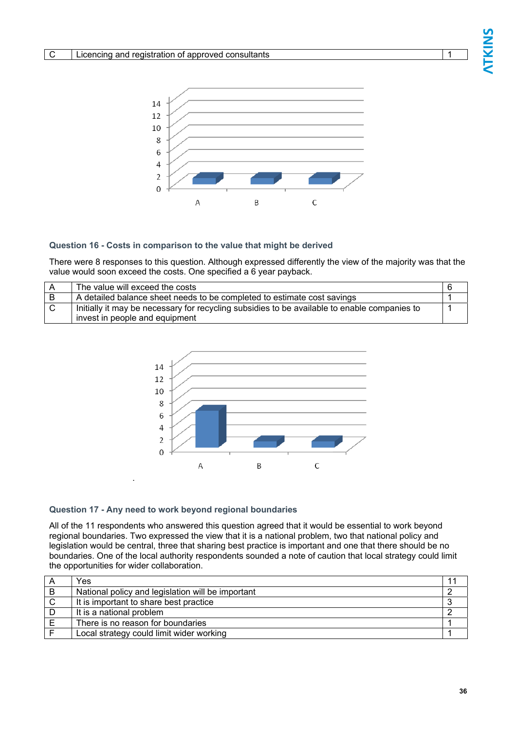

#### **Question 16 - Costs in comparison to the value that might be derived**

There were 8 responses to this question. Although expressed differently the view of the majority was that the value would soon exceed the costs. One specified a 6 year payback.

| The value will exceed the costs                                                              |  |
|----------------------------------------------------------------------------------------------|--|
| A detailed balance sheet needs to be completed to estimate cost savings                      |  |
| Initially it may be necessary for recycling subsidies to be available to enable companies to |  |
| invest in people and equipment                                                               |  |



#### **Question 17 - Any need to work beyond regional boundaries**

.

All of the 11 respondents who answered this question agreed that it would be essential to work beyond regional boundaries. Two expressed the view that it is a national problem, two that national policy and legislation would be central, three that sharing best practice is important and one that there should be no boundaries. One of the local authority respondents sounded a note of caution that local strategy could limit the opportunities for wider collaboration.

| Yes                                               |  |
|---------------------------------------------------|--|
| National policy and legislation will be important |  |
| It is important to share best practice            |  |
| It is a national problem                          |  |
| There is no reason for boundaries                 |  |
| Local strategy could limit wider working          |  |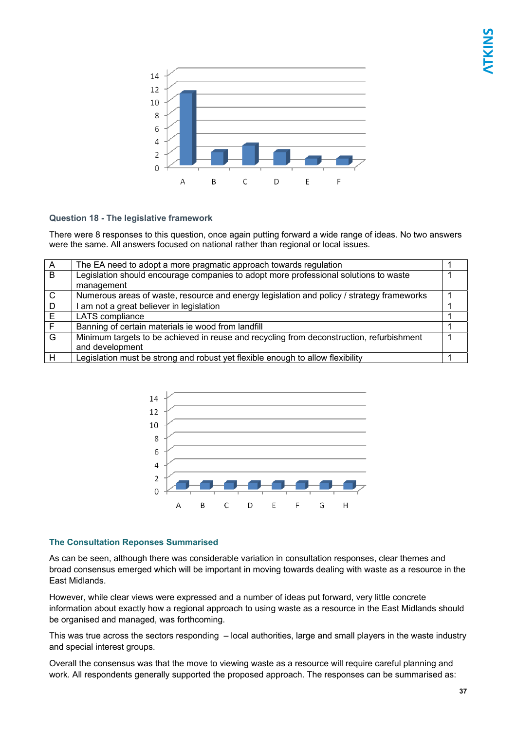

### **Question 18 - The legislative framework**

There were 8 responses to this question, once again putting forward a wide range of ideas. No two answers were the same. All answers focused on national rather than regional or local issues.

| $\overline{A}$ | The EA need to adopt a more pragmatic approach towards regulation                         |  |
|----------------|-------------------------------------------------------------------------------------------|--|
| B              | Legislation should encourage companies to adopt more professional solutions to waste      |  |
|                | management                                                                                |  |
| $\mathsf{C}$   | Numerous areas of waste, resource and energy legislation and policy / strategy frameworks |  |
| D              | I am not a great believer in legislation                                                  |  |
| E              | LATS compliance                                                                           |  |
| F              | Banning of certain materials ie wood from landfill                                        |  |
| G              | Minimum targets to be achieved in reuse and recycling from deconstruction, refurbishment  |  |
|                | and development                                                                           |  |
|                | Legislation must be strong and robust yet flexible enough to allow flexibility            |  |



### **The Consultation Reponses Summarised**

As can be seen, although there was considerable variation in consultation responses, clear themes and broad consensus emerged which will be important in moving towards dealing with waste as a resource in the East Midlands.

However, while clear views were expressed and a number of ideas put forward, very little concrete information about exactly how a regional approach to using waste as a resource in the East Midlands should be organised and managed, was forthcoming.

This was true across the sectors responding – local authorities, large and small players in the waste industry and special interest groups.

Overall the consensus was that the move to viewing waste as a resource will require careful planning and work. All respondents generally supported the proposed approach. The responses can be summarised as: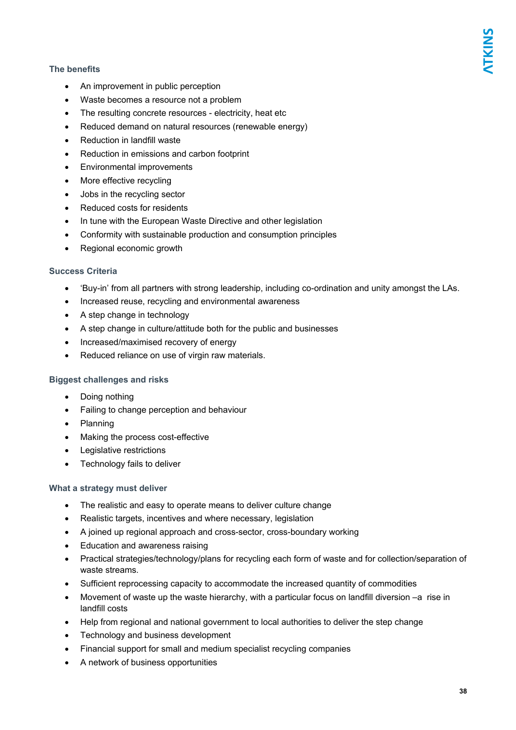### **The benefits**

- An improvement in public perception
- Waste becomes a resource not a problem
- The resulting concrete resources electricity, heat etc
- Reduced demand on natural resources (renewable energy)
- Reduction in landfill waste
- Reduction in emissions and carbon footprint
- Environmental improvements
- More effective recycling
- Jobs in the recycling sector
- Reduced costs for residents
- In tune with the European Waste Directive and other legislation
- Conformity with sustainable production and consumption principles
- Regional economic growth

### **Success Criteria**

- 'Buy-in' from all partners with strong leadership, including co-ordination and unity amongst the LAs.
- Increased reuse, recycling and environmental awareness
- A step change in technology
- A step change in culture/attitude both for the public and businesses
- Increased/maximised recovery of energy
- Reduced reliance on use of virgin raw materials.

### **Biggest challenges and risks**

- Doing nothing
- Failing to change perception and behaviour
- Planning
- Making the process cost-effective
- Legislative restrictions
- Technology fails to deliver

### **What a strategy must deliver**

- The realistic and easy to operate means to deliver culture change
- Realistic targets, incentives and where necessary, legislation
- A joined up regional approach and cross-sector, cross-boundary working
- Education and awareness raising
- Practical strategies/technology/plans for recycling each form of waste and for collection/separation of waste streams.
- Sufficient reprocessing capacity to accommodate the increased quantity of commodities
- Movement of waste up the waste hierarchy, with a particular focus on landfill diversion –a rise in landfill costs
- Help from regional and national government to local authorities to deliver the step change
- Technology and business development
- Financial support for small and medium specialist recycling companies
- A network of business opportunities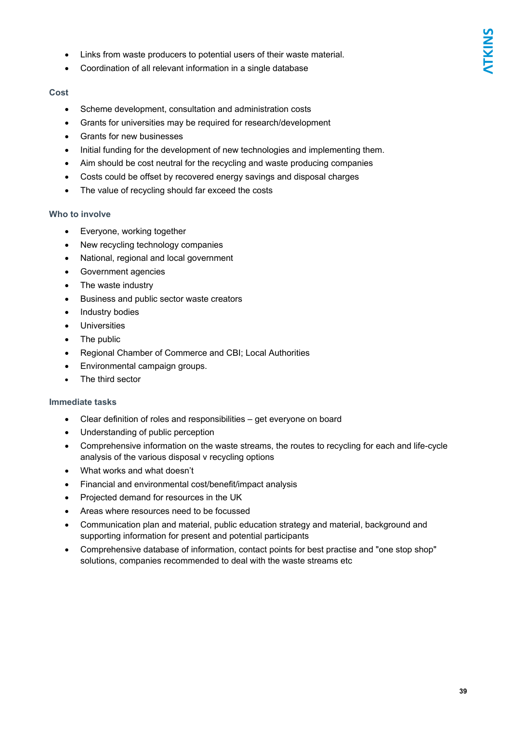- Links from waste producers to potential users of their waste material.
- Coordination of all relevant information in a single database

### **Cost**

- Scheme development, consultation and administration costs
- Grants for universities may be required for research/development
- Grants for new businesses
- Initial funding for the development of new technologies and implementing them.
- Aim should be cost neutral for the recycling and waste producing companies
- Costs could be offset by recovered energy savings and disposal charges
- The value of recycling should far exceed the costs

### **Who to involve**

- Everyone, working together
- New recycling technology companies
- National, regional and local government
- Government agencies
- The waste industry
- Business and public sector waste creators
- Industry bodies
- **Universities**
- The public
- Regional Chamber of Commerce and CBI; Local Authorities
- Environmental campaign groups.
- The third sector

### **Immediate tasks**

- Clear definition of roles and responsibilities get everyone on board
- Understanding of public perception
- Comprehensive information on the waste streams, the routes to recycling for each and life-cycle analysis of the various disposal v recycling options
- What works and what doesn't
- Financial and environmental cost/benefit/impact analysis
- Projected demand for resources in the UK
- Areas where resources need to be focussed
- Communication plan and material, public education strategy and material, background and supporting information for present and potential participants
- Comprehensive database of information, contact points for best practise and "one stop shop" solutions, companies recommended to deal with the waste streams etc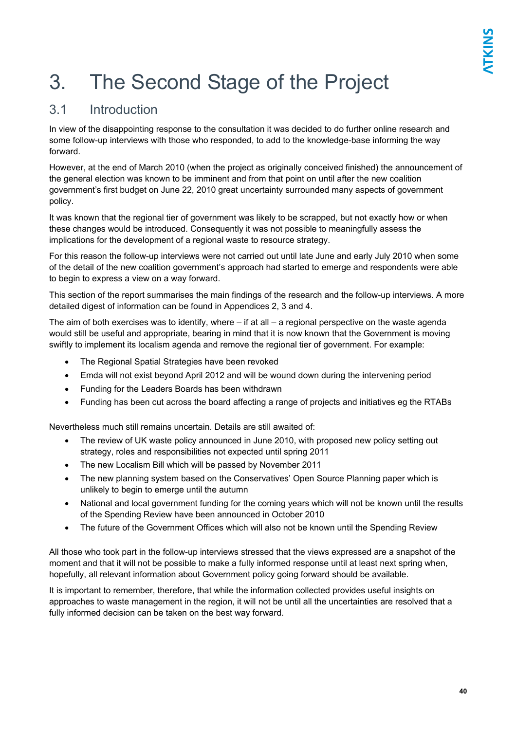## 3. The Second Stage of the Project

### 3.1 Introduction

In view of the disappointing response to the consultation it was decided to do further online research and some follow-up interviews with those who responded, to add to the knowledge-base informing the way forward.

However, at the end of March 2010 (when the project as originally conceived finished) the announcement of the general election was known to be imminent and from that point on until after the new coalition government's first budget on June 22, 2010 great uncertainty surrounded many aspects of government policy.

It was known that the regional tier of government was likely to be scrapped, but not exactly how or when these changes would be introduced. Consequently it was not possible to meaningfully assess the implications for the development of a regional waste to resource strategy.

For this reason the follow-up interviews were not carried out until late June and early July 2010 when some of the detail of the new coalition government's approach had started to emerge and respondents were able to begin to express a view on a way forward.

This section of the report summarises the main findings of the research and the follow-up interviews. A more detailed digest of information can be found in Appendices 2, 3 and 4.

The aim of both exercises was to identify, where – if at all – a regional perspective on the waste agenda would still be useful and appropriate, bearing in mind that it is now known that the Government is moving swiftly to implement its localism agenda and remove the regional tier of government. For example:

- The Regional Spatial Strategies have been revoked
- Emda will not exist beyond April 2012 and will be wound down during the intervening period
- Funding for the Leaders Boards has been withdrawn
- Funding has been cut across the board affecting a range of projects and initiatives eg the RTABs

Nevertheless much still remains uncertain. Details are still awaited of:

- The review of UK waste policy announced in June 2010, with proposed new policy setting out strategy, roles and responsibilities not expected until spring 2011
- The new Localism Bill which will be passed by November 2011
- The new planning system based on the Conservatives' Open Source Planning paper which is unlikely to begin to emerge until the autumn
- National and local government funding for the coming years which will not be known until the results of the Spending Review have been announced in October 2010
- The future of the Government Offices which will also not be known until the Spending Review

All those who took part in the follow-up interviews stressed that the views expressed are a snapshot of the moment and that it will not be possible to make a fully informed response until at least next spring when, hopefully, all relevant information about Government policy going forward should be available.

It is important to remember, therefore, that while the information collected provides useful insights on approaches to waste management in the region, it will not be until all the uncertainties are resolved that a fully informed decision can be taken on the best way forward.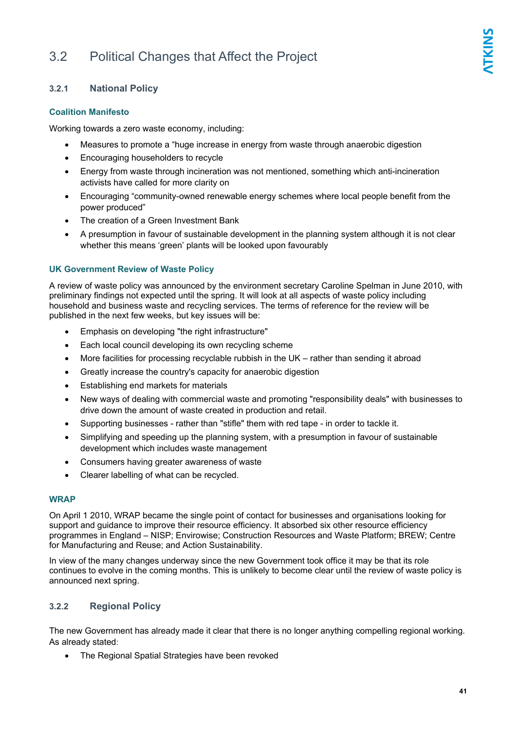### 3.2 Political Changes that Affect the Project

### **3.2.1 National Policy**

### **Coalition Manifesto**

Working towards a zero waste economy, including:

- Measures to promote a "huge increase in energy from waste through anaerobic digestion
- Encouraging householders to recycle
- Energy from waste through incineration was not mentioned, something which anti-incineration activists have called for more clarity on
- Encouraging "community-owned renewable energy schemes where local people benefit from the power produced"
- The creation of a Green Investment Bank
- A presumption in favour of sustainable development in the planning system although it is not clear whether this means 'green' plants will be looked upon favourably

### **UK Government Review of Waste Policy**

A review of waste policy was announced by the environment secretary Caroline Spelman in June 2010, with preliminary findings not expected until the spring. It will look at all aspects of waste policy including household and business waste and recycling services. The terms of reference for the review will be published in the next few weeks, but key issues will be:

- Emphasis on developing "the right infrastructure"
- Each local council developing its own recycling scheme
- More facilities for processing recyclable rubbish in the UK rather than sending it abroad
- Greatly increase the country's capacity for anaerobic digestion
- Establishing end markets for materials
- New ways of dealing with commercial waste and promoting "responsibility deals" with businesses to drive down the amount of waste created in production and retail.
- Supporting businesses rather than "stifle" them with red tape in order to tackle it.
- Simplifying and speeding up the planning system, with a presumption in favour of sustainable development which includes waste management
- Consumers having greater awareness of waste
- Clearer labelling of what can be recycled.

### **WRAP**

On April 1 2010, WRAP became the single point of contact for businesses and organisations looking for support and guidance to improve their resource efficiency. It absorbed six other resource efficiency programmes in England – NISP; Envirowise; Construction Resources and Waste Platform; BREW; Centre for Manufacturing and Reuse; and Action Sustainability.

In view of the many changes underway since the new Government took office it may be that its role continues to evolve in the coming months. This is unlikely to become clear until the review of waste policy is announced next spring.

### **3.2.2 Regional Policy**

The new Government has already made it clear that there is no longer anything compelling regional working. As already stated:

• The Regional Spatial Strategies have been revoked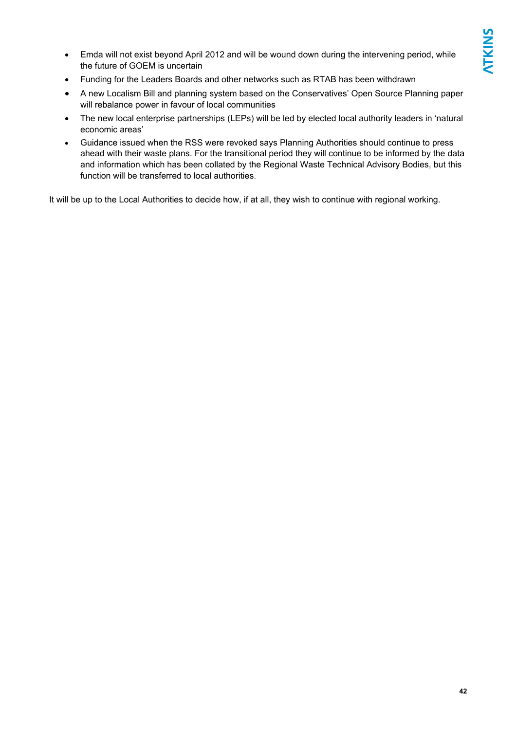- Emda will not exist beyond April 2012 and will be wound down during the intervening period, while the future of GOEM is uncertain
- Funding for the Leaders Boards and other networks such as RTAB has been withdrawn
- A new Localism Bill and planning system based on the Conservatives' Open Source Planning paper will rebalance power in favour of local communities
- The new local enterprise partnerships (LEPs) will be led by elected local authority leaders in 'natural economic areas'
- Guidance issued when the RSS were revoked says Planning Authorities should continue to press ahead with their waste plans. For the transitional period they will continue to be informed by the data and information which has been collated by the Regional Waste Technical Advisory Bodies, but this function will be transferred to local authorities.

It will be up to the Local Authorities to decide how, if at all, they wish to continue with regional working.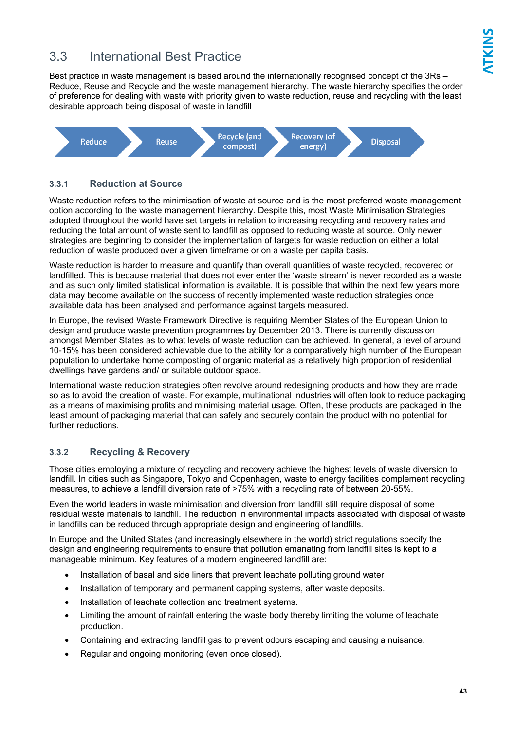### 3.3 International Best Practice

Best practice in waste management is based around the internationally recognised concept of the 3Rs – Reduce, Reuse and Recycle and the waste management hierarchy. The waste hierarchy specifies the order of preference for dealing with waste with priority given to waste reduction, reuse and recycling with the least desirable approach being disposal of waste in landfill



### **3.3.1 Reduction at Source**

Waste reduction refers to the minimisation of waste at source and is the most preferred waste management option according to the waste management hierarchy. Despite this, most Waste Minimisation Strategies adopted throughout the world have set targets in relation to increasing recycling and recovery rates and reducing the total amount of waste sent to landfill as opposed to reducing waste at source. Only newer strategies are beginning to consider the implementation of targets for waste reduction on either a total reduction of waste produced over a given timeframe or on a waste per capita basis.

Waste reduction is harder to measure and quantify than overall quantities of waste recycled, recovered or landfilled. This is because material that does not ever enter the 'waste stream' is never recorded as a waste and as such only limited statistical information is available. It is possible that within the next few years more data may become available on the success of recently implemented waste reduction strategies once available data has been analysed and performance against targets measured.

In Europe, the revised Waste Framework Directive is requiring Member States of the European Union to design and produce waste prevention programmes by December 2013. There is currently discussion amongst Member States as to what levels of waste reduction can be achieved. In general, a level of around 10-15% has been considered achievable due to the ability for a comparatively high number of the European population to undertake home composting of organic material as a relatively high proportion of residential dwellings have gardens and/ or suitable outdoor space.

International waste reduction strategies often revolve around redesigning products and how they are made so as to avoid the creation of waste. For example, multinational industries will often look to reduce packaging as a means of maximising profits and minimising material usage. Often, these products are packaged in the least amount of packaging material that can safely and securely contain the product with no potential for further reductions.

### **3.3.2 Recycling & Recovery**

Those cities employing a mixture of recycling and recovery achieve the highest levels of waste diversion to landfill. In cities such as Singapore, Tokyo and Copenhagen, waste to energy facilities complement recycling measures, to achieve a landfill diversion rate of >75% with a recycling rate of between 20-55%.

Even the world leaders in waste minimisation and diversion from landfill still require disposal of some residual waste materials to landfill. The reduction in environmental impacts associated with disposal of waste in landfills can be reduced through appropriate design and engineering of landfills.

In Europe and the United States (and increasingly elsewhere in the world) strict regulations specify the design and engineering requirements to ensure that pollution emanating from landfill sites is kept to a manageable minimum. Key features of a modern engineered landfill are:

- Installation of basal and side liners that prevent leachate polluting ground water
- Installation of temporary and permanent capping systems, after waste deposits.
- Installation of leachate collection and treatment systems.
- Limiting the amount of rainfall entering the waste body thereby limiting the volume of leachate production.
- Containing and extracting landfill gas to prevent odours escaping and causing a nuisance.
- Regular and ongoing monitoring (even once closed).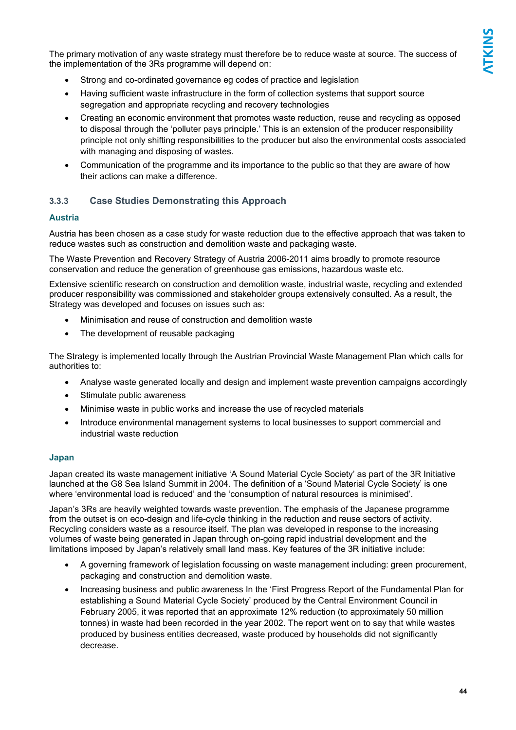The primary motivation of any waste strategy must therefore be to reduce waste at source. The success of the implementation of the 3Rs programme will depend on:

- Strong and co-ordinated governance eg codes of practice and legislation
- Having sufficient waste infrastructure in the form of collection systems that support source segregation and appropriate recycling and recovery technologies
- Creating an economic environment that promotes waste reduction, reuse and recycling as opposed to disposal through the 'polluter pays principle.' This is an extension of the producer responsibility principle not only shifting responsibilities to the producer but also the environmental costs associated with managing and disposing of wastes.
- Communication of the programme and its importance to the public so that they are aware of how their actions can make a difference.

### **3.3.3 Case Studies Demonstrating this Approach**

### **Austria**

Austria has been chosen as a case study for waste reduction due to the effective approach that was taken to reduce wastes such as construction and demolition waste and packaging waste.

The Waste Prevention and Recovery Strategy of Austria 2006-2011 aims broadly to promote resource conservation and reduce the generation of greenhouse gas emissions, hazardous waste etc.

Extensive scientific research on construction and demolition waste, industrial waste, recycling and extended producer responsibility was commissioned and stakeholder groups extensively consulted. As a result, the Strategy was developed and focuses on issues such as:

- Minimisation and reuse of construction and demolition waste
- The development of reusable packaging

The Strategy is implemented locally through the Austrian Provincial Waste Management Plan which calls for authorities to:

- Analyse waste generated locally and design and implement waste prevention campaigns accordingly
- Stimulate public awareness
- Minimise waste in public works and increase the use of recycled materials
- Introduce environmental management systems to local businesses to support commercial and industrial waste reduction

### **Japan**

Japan created its waste management initiative 'A Sound Material Cycle Society' as part of the 3R Initiative launched at the G8 Sea Island Summit in 2004. The definition of a 'Sound Material Cycle Society' is one where 'environmental load is reduced' and the 'consumption of natural resources is minimised'.

Japan's 3Rs are heavily weighted towards waste prevention. The emphasis of the Japanese programme from the outset is on eco-design and life-cycle thinking in the reduction and reuse sectors of activity. Recycling considers waste as a resource itself. The plan was developed in response to the increasing volumes of waste being generated in Japan through on-going rapid industrial development and the limitations imposed by Japan's relatively small land mass. Key features of the 3R initiative include:

- A governing framework of legislation focussing on waste management including: green procurement, packaging and construction and demolition waste.
- Increasing business and public awareness In the 'First Progress Report of the Fundamental Plan for establishing a Sound Material Cycle Society' produced by the Central Environment Council in February 2005, it was reported that an approximate 12% reduction (to approximately 50 million tonnes) in waste had been recorded in the year 2002. The report went on to say that while wastes produced by business entities decreased, waste produced by households did not significantly decrease.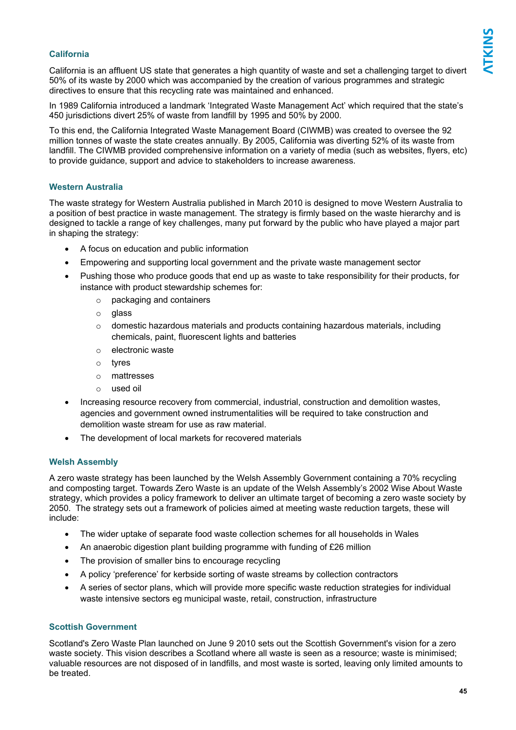### **California**

California is an affluent US state that generates a high quantity of waste and set a challenging target to divert 50% of its waste by 2000 which was accompanied by the creation of various programmes and strategic directives to ensure that this recycling rate was maintained and enhanced.

In 1989 California introduced a landmark 'Integrated Waste Management Act' which required that the state's 450 jurisdictions divert 25% of waste from landfill by 1995 and 50% by 2000.

To this end, the California Integrated Waste Management Board (CIWMB) was created to oversee the 92 million tonnes of waste the state creates annually. By 2005, California was diverting 52% of its waste from landfill. The CIWMB provided comprehensive information on a variety of media (such as websites, flyers, etc) to provide guidance, support and advice to stakeholders to increase awareness.

#### **Western Australia**

The waste strategy for Western Australia published in March 2010 is designed to move Western Australia to a position of best practice in waste management. The strategy is firmly based on the waste hierarchy and is designed to tackle a range of key challenges, many put forward by the public who have played a major part in shaping the strategy:

- A focus on education and public information
- Empowering and supporting local government and the private waste management sector
- Pushing those who produce goods that end up as waste to take responsibility for their products, for instance with product stewardship schemes for:
	- o packaging and containers
	- o glass
	- $\circ$  domestic hazardous materials and products containing hazardous materials, including chemicals, paint, fluorescent lights and batteries
	- o electronic waste
	- o tyres
	- o mattresses
	- o used oil
- Increasing resource recovery from commercial, industrial, construction and demolition wastes, agencies and government owned instrumentalities will be required to take construction and demolition waste stream for use as raw material.
- The development of local markets for recovered materials

### **Welsh Assembly**

A zero waste strategy has been launched by the Welsh Assembly Government containing a 70% recycling and composting target. Towards Zero Waste is an update of the Welsh Assembly's 2002 Wise About Waste strategy, which provides a policy framework to deliver an ultimate target of becoming a zero waste society by 2050. The strategy sets out a framework of policies aimed at meeting waste reduction targets, these will include:

- The wider uptake of separate food waste collection schemes for all households in Wales
- An anaerobic digestion plant building programme with funding of £26 million
- The provision of smaller bins to encourage recycling
- A policy 'preference' for kerbside sorting of waste streams by collection contractors
- A series of sector plans, which will provide more specific waste reduction strategies for individual waste intensive sectors eg municipal waste, retail, construction, infrastructure

### **Scottish Government**

Scotland's Zero Waste Plan launched on June 9 2010 sets out the Scottish Government's vision for a zero waste society. This vision describes a Scotland where all waste is seen as a resource; waste is minimised; valuable resources are not disposed of in landfills, and most waste is sorted, leaving only limited amounts to be treated.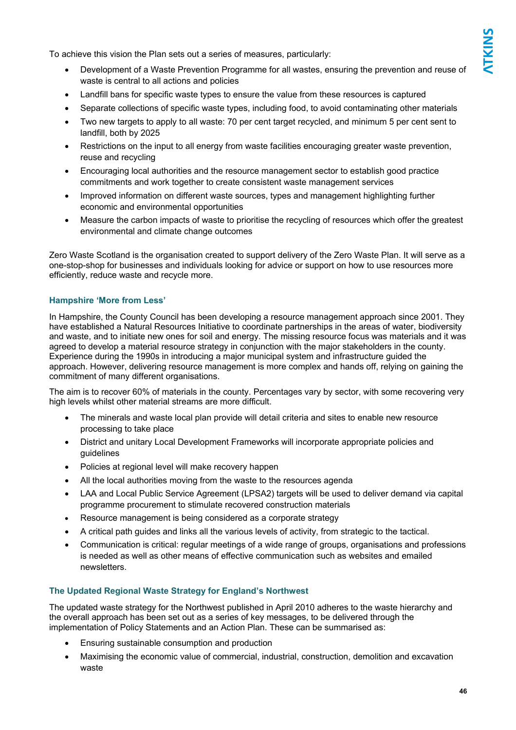To achieve this vision the Plan sets out a series of measures, particularly:

- Development of a Waste Prevention Programme for all wastes, ensuring the prevention and reuse of waste is central to all actions and policies
- Landfill bans for specific waste types to ensure the value from these resources is captured
- Separate collections of specific waste types, including food, to avoid contaminating other materials
- Two new targets to apply to all waste: 70 per cent target recycled, and minimum 5 per cent sent to landfill, both by 2025
- Restrictions on the input to all energy from waste facilities encouraging greater waste prevention, reuse and recycling
- Encouraging local authorities and the resource management sector to establish good practice commitments and work together to create consistent waste management services
- Improved information on different waste sources, types and management highlighting further economic and environmental opportunities
- Measure the carbon impacts of waste to prioritise the recycling of resources which offer the greatest environmental and climate change outcomes

Zero Waste Scotland is the organisation created to support delivery of the Zero Waste Plan. It will serve as a one-stop-shop for businesses and individuals looking for advice or support on how to use resources more efficiently, reduce waste and recycle more.

#### **Hampshire 'More from Less'**

In Hampshire, the County Council has been developing a resource management approach since 2001. They have established a Natural Resources Initiative to coordinate partnerships in the areas of water, biodiversity and waste, and to initiate new ones for soil and energy. The missing resource focus was materials and it was agreed to develop a material resource strategy in conjunction with the major stakeholders in the county. Experience during the 1990s in introducing a major municipal system and infrastructure guided the approach. However, delivering resource management is more complex and hands off, relying on gaining the commitment of many different organisations.

The aim is to recover 60% of materials in the county. Percentages vary by sector, with some recovering very high levels whilst other material streams are more difficult.

- The minerals and waste local plan provide will detail criteria and sites to enable new resource processing to take place
- District and unitary Local Development Frameworks will incorporate appropriate policies and guidelines
- Policies at regional level will make recovery happen
- All the local authorities moving from the waste to the resources agenda
- LAA and Local Public Service Agreement (LPSA2) targets will be used to deliver demand via capital programme procurement to stimulate recovered construction materials
- Resource management is being considered as a corporate strategy
- A critical path guides and links all the various levels of activity, from strategic to the tactical.
- Communication is critical: regular meetings of a wide range of groups, organisations and professions is needed as well as other means of effective communication such as websites and emailed newsletters.

#### **The Updated Regional Waste Strategy for England's Northwest**

The updated waste strategy for the Northwest published in April 2010 adheres to the waste hierarchy and the overall approach has been set out as a series of key messages, to be delivered through the implementation of Policy Statements and an Action Plan. These can be summarised as:

- Ensuring sustainable consumption and production
- Maximising the economic value of commercial, industrial, construction, demolition and excavation waste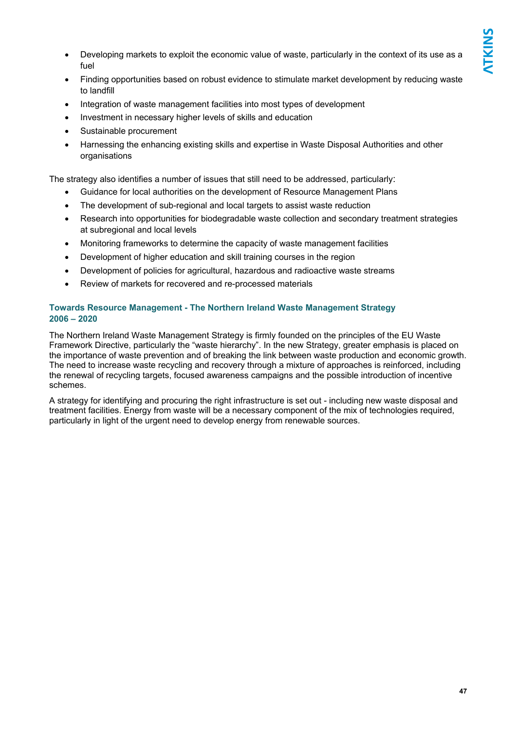- Developing markets to exploit the economic value of waste, particularly in the context of its use as a fuel
- Finding opportunities based on robust evidence to stimulate market development by reducing waste to landfill
- Integration of waste management facilities into most types of development
- Investment in necessary higher levels of skills and education
- Sustainable procurement
- Harnessing the enhancing existing skills and expertise in Waste Disposal Authorities and other organisations

The strategy also identifies a number of issues that still need to be addressed, particularly:

- Guidance for local authorities on the development of Resource Management Plans
- The development of sub-regional and local targets to assist waste reduction
- Research into opportunities for biodegradable waste collection and secondary treatment strategies at subregional and local levels
- Monitoring frameworks to determine the capacity of waste management facilities
- Development of higher education and skill training courses in the region
- Development of policies for agricultural, hazardous and radioactive waste streams
- Review of markets for recovered and re-processed materials

### **Towards Resource Management - The Northern Ireland Waste Management Strategy 2006 – 2020**

The Northern Ireland Waste Management Strategy is firmly founded on the principles of the EU Waste Framework Directive, particularly the "waste hierarchy". In the new Strategy, greater emphasis is placed on the importance of waste prevention and of breaking the link between waste production and economic growth. The need to increase waste recycling and recovery through a mixture of approaches is reinforced, including the renewal of recycling targets, focused awareness campaigns and the possible introduction of incentive schemes.

A strategy for identifying and procuring the right infrastructure is set out - including new waste disposal and treatment facilities. Energy from waste will be a necessary component of the mix of technologies required, particularly in light of the urgent need to develop energy from renewable sources.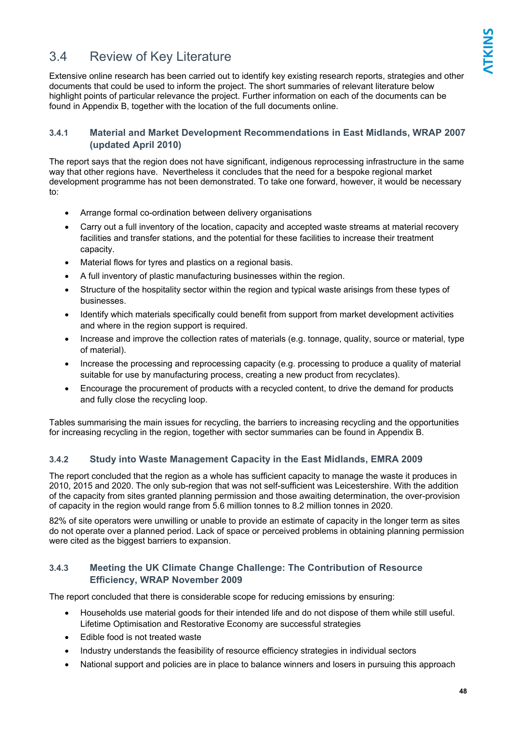### 3.4 Review of Key Literature

Extensive online research has been carried out to identify key existing research reports, strategies and other documents that could be used to inform the project. The short summaries of relevant literature below highlight points of particular relevance the project. Further information on each of the documents can be found in Appendix B, together with the location of the full documents online.

### **3.4.1 Material and Market Development Recommendations in East Midlands, WRAP 2007 (updated April 2010)**

The report says that the region does not have significant, indigenous reprocessing infrastructure in the same way that other regions have. Nevertheless it concludes that the need for a bespoke regional market development programme has not been demonstrated. To take one forward, however, it would be necessary to:

- Arrange formal co-ordination between delivery organisations
- Carry out a full inventory of the location, capacity and accepted waste streams at material recovery facilities and transfer stations, and the potential for these facilities to increase their treatment capacity.
- Material flows for tyres and plastics on a regional basis.
- A full inventory of plastic manufacturing businesses within the region.
- Structure of the hospitality sector within the region and typical waste arisings from these types of businesses.
- Identify which materials specifically could benefit from support from market development activities and where in the region support is required.
- Increase and improve the collection rates of materials (e.g. tonnage, quality, source or material, type of material).
- Increase the processing and reprocessing capacity (e.g. processing to produce a quality of material suitable for use by manufacturing process, creating a new product from recyclates).
- Encourage the procurement of products with a recycled content, to drive the demand for products and fully close the recycling loop.

Tables summarising the main issues for recycling, the barriers to increasing recycling and the opportunities for increasing recycling in the region, together with sector summaries can be found in Appendix B.

### **3.4.2 Study into Waste Management Capacity in the East Midlands, EMRA 2009**

The report concluded that the region as a whole has sufficient capacity to manage the waste it produces in 2010, 2015 and 2020. The only sub-region that was not self-sufficient was Leicestershire. With the addition of the capacity from sites granted planning permission and those awaiting determination, the over-provision of capacity in the region would range from 5.6 million tonnes to 8.2 million tonnes in 2020.

82% of site operators were unwilling or unable to provide an estimate of capacity in the longer term as sites do not operate over a planned period. Lack of space or perceived problems in obtaining planning permission were cited as the biggest barriers to expansion.

### **3.4.3 Meeting the UK Climate Change Challenge: The Contribution of Resource Efficiency, WRAP November 2009**

The report concluded that there is considerable scope for reducing emissions by ensuring:

- Households use material goods for their intended life and do not dispose of them while still useful. Lifetime Optimisation and Restorative Economy are successful strategies
- Edible food is not treated waste
- Industry understands the feasibility of resource efficiency strategies in individual sectors
- National support and policies are in place to balance winners and losers in pursuing this approach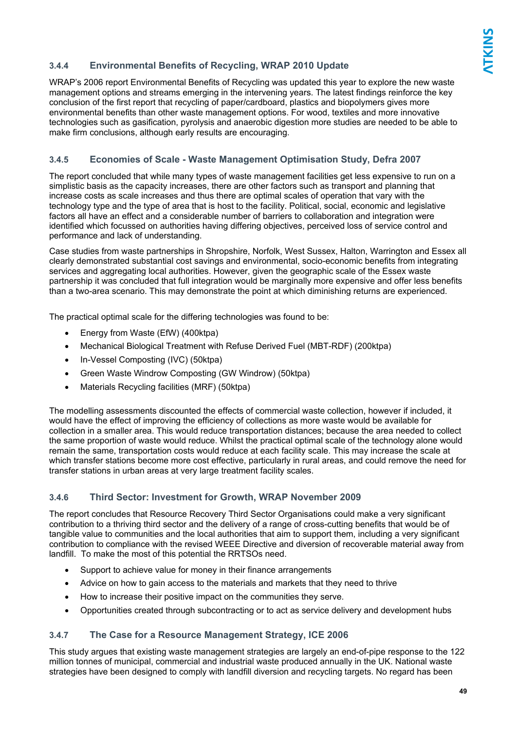### **3.4.4 Environmental Benefits of Recycling, WRAP 2010 Update**

WRAP's 2006 report Environmental Benefits of Recycling was updated this year to explore the new waste management options and streams emerging in the intervening years. The latest findings reinforce the key conclusion of the first report that recycling of paper/cardboard, plastics and biopolymers gives more environmental benefits than other waste management options. For wood, textiles and more innovative technologies such as gasification, pyrolysis and anaerobic digestion more studies are needed to be able to make firm conclusions, although early results are encouraging.

### **3.4.5 Economies of Scale - Waste Management Optimisation Study, Defra 2007**

The report concluded that while many types of waste management facilities get less expensive to run on a simplistic basis as the capacity increases, there are other factors such as transport and planning that increase costs as scale increases and thus there are optimal scales of operation that vary with the technology type and the type of area that is host to the facility. Political, social, economic and legislative factors all have an effect and a considerable number of barriers to collaboration and integration were identified which focussed on authorities having differing objectives, perceived loss of service control and performance and lack of understanding.

Case studies from waste partnerships in Shropshire, Norfolk, West Sussex, Halton, Warrington and Essex all clearly demonstrated substantial cost savings and environmental, socio-economic benefits from integrating services and aggregating local authorities. However, given the geographic scale of the Essex waste partnership it was concluded that full integration would be marginally more expensive and offer less benefits than a two-area scenario. This may demonstrate the point at which diminishing returns are experienced.

The practical optimal scale for the differing technologies was found to be:

- Energy from Waste (EfW) (400ktpa)
- Mechanical Biological Treatment with Refuse Derived Fuel (MBT-RDF) (200ktpa)
- In-Vessel Composting (IVC) (50ktpa)
- Green Waste Windrow Composting (GW Windrow) (50ktpa)
- Materials Recycling facilities (MRF) (50ktpa)

The modelling assessments discounted the effects of commercial waste collection, however if included, it would have the effect of improving the efficiency of collections as more waste would be available for collection in a smaller area. This would reduce transportation distances; because the area needed to collect the same proportion of waste would reduce. Whilst the practical optimal scale of the technology alone would remain the same, transportation costs would reduce at each facility scale. This may increase the scale at which transfer stations become more cost effective, particularly in rural areas, and could remove the need for transfer stations in urban areas at very large treatment facility scales.

### **3.4.6 Third Sector: Investment for Growth, WRAP November 2009**

The report concludes that Resource Recovery Third Sector Organisations could make a very significant contribution to a thriving third sector and the delivery of a range of cross-cutting benefits that would be of tangible value to communities and the local authorities that aim to support them, including a very significant contribution to compliance with the revised WEEE Directive and diversion of recoverable material away from landfill. To make the most of this potential the RRTSOs need.

- Support to achieve value for money in their finance arrangements
- Advice on how to gain access to the materials and markets that they need to thrive
- How to increase their positive impact on the communities they serve.
- Opportunities created through subcontracting or to act as service delivery and development hubs

### **3.4.7 The Case for a Resource Management Strategy, ICE 2006**

This study argues that existing waste management strategies are largely an end-of-pipe response to the 122 million tonnes of municipal, commercial and industrial waste produced annually in the UK. National waste strategies have been designed to comply with landfill diversion and recycling targets. No regard has been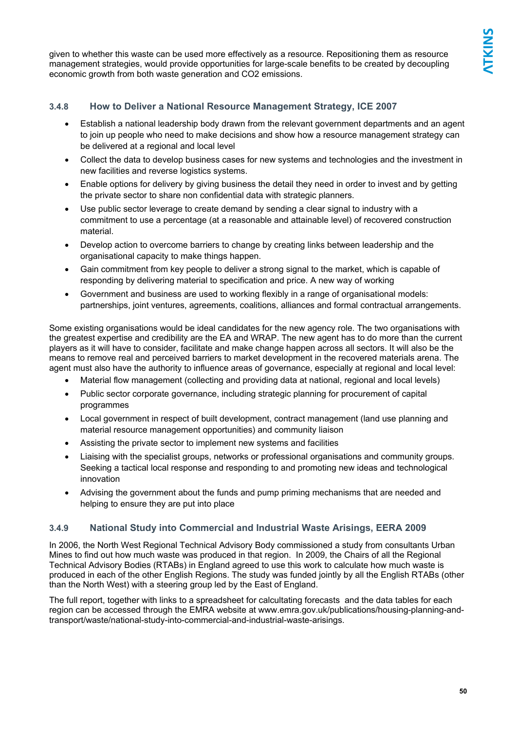given to whether this waste can be used more effectively as a resource. Repositioning them as resource management strategies, would provide opportunities for large-scale benefits to be created by decoupling economic growth from both waste generation and CO2 emissions.

### **3.4.8 How to Deliver a National Resource Management Strategy, ICE 2007**

- Establish a national leadership body drawn from the relevant government departments and an agent to join up people who need to make decisions and show how a resource management strategy can be delivered at a regional and local level
- Collect the data to develop business cases for new systems and technologies and the investment in new facilities and reverse logistics systems.
- Enable options for delivery by giving business the detail they need in order to invest and by getting the private sector to share non confidential data with strategic planners.
- Use public sector leverage to create demand by sending a clear signal to industry with a commitment to use a percentage (at a reasonable and attainable level) of recovered construction material.
- Develop action to overcome barriers to change by creating links between leadership and the organisational capacity to make things happen.
- Gain commitment from key people to deliver a strong signal to the market, which is capable of responding by delivering material to specification and price. A new way of working
- Government and business are used to working flexibly in a range of organisational models: partnerships, joint ventures, agreements, coalitions, alliances and formal contractual arrangements.

Some existing organisations would be ideal candidates for the new agency role. The two organisations with the greatest expertise and credibility are the EA and WRAP. The new agent has to do more than the current players as it will have to consider, facilitate and make change happen across all sectors. It will also be the means to remove real and perceived barriers to market development in the recovered materials arena. The agent must also have the authority to influence areas of governance, especially at regional and local level:

- Material flow management (collecting and providing data at national, regional and local levels)
- Public sector corporate governance, including strategic planning for procurement of capital programmes
- Local government in respect of built development, contract management (land use planning and material resource management opportunities) and community liaison
- Assisting the private sector to implement new systems and facilities
- Liaising with the specialist groups, networks or professional organisations and community groups. Seeking a tactical local response and responding to and promoting new ideas and technological innovation
- Advising the government about the funds and pump priming mechanisms that are needed and helping to ensure they are put into place

### **3.4.9 National Study into Commercial and Industrial Waste Arisings, EERA 2009**

In 2006, the North West Regional Technical Advisory Body commissioned a study from consultants Urban Mines to find out how much waste was produced in that region. In 2009, the Chairs of all the Regional Technical Advisory Bodies (RTABs) in England agreed to use this work to calculate how much waste is produced in each of the other English Regions. The study was funded jointly by all the English RTABs (other than the North West) with a steering group led by the East of England.

The full report, together with links to a spreadsheet for calcultating forecasts and the data tables for each region can be accessed through the EMRA website at www.emra.gov.uk/publications/housing-planning-andtransport/waste/national-study-into-commercial-and-industrial-waste-arisings.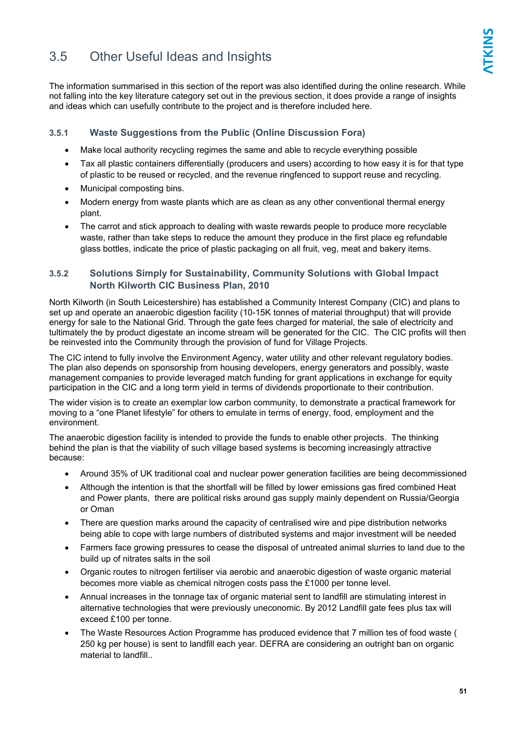### 3.5 Other Useful Ideas and Insights

The information summarised in this section of the report was also identified during the online research. While not falling into the key literature category set out in the previous section, it does provide a range of insights and ideas which can usefully contribute to the project and is therefore included here.

### **3.5.1 Waste Suggestions from the Public (Online Discussion Fora)**

- Make local authority recycling regimes the same and able to recycle everything possible
- Tax all plastic containers differentially (producers and users) according to how easy it is for that type of plastic to be reused or recycled, and the revenue ringfenced to support reuse and recycling.
- Municipal composting bins.
- Modern energy from waste plants which are as clean as any other conventional thermal energy plant.
- The carrot and stick approach to dealing with waste rewards people to produce more recyclable waste, rather than take steps to reduce the amount they produce in the first place eg refundable glass bottles, indicate the price of plastic packaging on all fruit, veg, meat and bakery items.

### **3.5.2 Solutions Simply for Sustainability, Community Solutions with Global Impact North Kilworth CIC Business Plan, 2010**

North Kilworth (in South Leicestershire) has established a Community Interest Company (CIC) and plans to set up and operate an anaerobic digestion facility (10-15K tonnes of material throughput) that will provide energy for sale to the National Grid. Through the gate fees charged for material, the sale of electricity and tultimately the by product digestate an income stream will be generated for the CIC. The CIC profits will then be reinvested into the Community through the provision of fund for Village Projects.

The CIC intend to fully involve the Environment Agency, water utility and other relevant regulatory bodies. The plan also depends on sponsorship from housing developers, energy generators and possibly, waste management companies to provide leveraged match funding for grant applications in exchange for equity participation in the CIC and a long term yield in terms of dividends proportionate to their contribution.

The wider vision is to create an exemplar low carbon community, to demonstrate a practical framework for moving to a "one Planet lifestyle" for others to emulate in terms of energy, food, employment and the environment.

The anaerobic digestion facility is intended to provide the funds to enable other projects. The thinking behind the plan is that the viability of such village based systems is becoming increasingly attractive because:

- Around 35% of UK traditional coal and nuclear power generation facilities are being decommissioned
- Although the intention is that the shortfall will be filled by lower emissions gas fired combined Heat and Power plants, there are political risks around gas supply mainly dependent on Russia/Georgia or Oman
- There are question marks around the capacity of centralised wire and pipe distribution networks being able to cope with large numbers of distributed systems and major investment will be needed
- Farmers face growing pressures to cease the disposal of untreated animal slurries to land due to the build up of nitrates salts in the soil
- Organic routes to nitrogen fertiliser via aerobic and anaerobic digestion of waste organic material becomes more viable as chemical nitrogen costs pass the £1000 per tonne level.
- Annual increases in the tonnage tax of organic material sent to landfill are stimulating interest in alternative technologies that were previously uneconomic. By 2012 Landfill gate fees plus tax will exceed £100 per tonne.
- The Waste Resources Action Programme has produced evidence that 7 million tes of food waste ( 250 kg per house) is sent to landfill each year. DEFRA are considering an outright ban on organic material to landfill..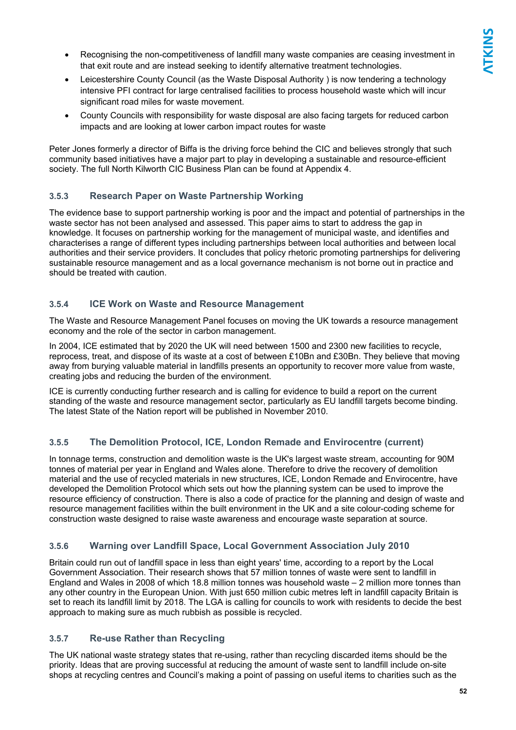- Recognising the non-competitiveness of landfill many waste companies are ceasing investment in that exit route and are instead seeking to identify alternative treatment technologies.
- Leicestershire County Council (as the Waste Disposal Authority) is now tendering a technology intensive PFI contract for large centralised facilities to process household waste which will incur significant road miles for waste movement.
- County Councils with responsibility for waste disposal are also facing targets for reduced carbon impacts and are looking at lower carbon impact routes for waste

Peter Jones formerly a director of Biffa is the driving force behind the CIC and believes strongly that such community based initiatives have a major part to play in developing a sustainable and resource-efficient society. The full North Kilworth CIC Business Plan can be found at Appendix 4.

### **3.5.3 Research Paper on Waste Partnership Working**

The evidence base to support partnership working is poor and the impact and potential of partnerships in the waste sector has not been analysed and assessed. This paper aims to start to address the gap in knowledge. It focuses on partnership working for the management of municipal waste, and identifies and characterises a range of different types including partnerships between local authorities and between local authorities and their service providers. It concludes that policy rhetoric promoting partnerships for delivering sustainable resource management and as a local governance mechanism is not borne out in practice and should be treated with caution.

### **3.5.4 ICE Work on Waste and Resource Management**

The Waste and Resource Management Panel focuses on moving the UK towards a resource management economy and the role of the sector in carbon management.

In 2004, ICE estimated that by 2020 the UK will need between 1500 and 2300 new facilities to recycle, reprocess, treat, and dispose of its waste at a cost of between £10Bn and £30Bn. They believe that moving away from burying valuable material in landfills presents an opportunity to recover more value from waste, creating jobs and reducing the burden of the environment.

ICE is currently conducting further research and is calling for evidence to build a report on the current standing of the waste and resource management sector, particularly as EU landfill targets become binding. The latest State of the Nation report will be published in November 2010.

### **3.5.5 The Demolition Protocol, ICE, London Remade and Envirocentre (current)**

In tonnage terms, construction and demolition waste is the UK's largest waste stream, accounting for 90M tonnes of material per year in England and Wales alone. Therefore to drive the recovery of demolition material and the use of recycled materials in new structures, ICE, London Remade and Envirocentre, have developed the Demolition Protocol which sets out how the planning system can be used to improve the resource efficiency of construction. There is also a code of practice for the planning and design of waste and resource management facilities within the built environment in the UK and a site colour-coding scheme for construction waste designed to raise waste awareness and encourage waste separation at source.

### **3.5.6 Warning over Landfill Space, Local Government Association July 2010**

Britain could run out of landfill space in less than eight years' time, according to a report by the Local Government Association. Their research shows that 57 million tonnes of waste were sent to landfill in England and Wales in 2008 of which 18.8 million tonnes was household waste – 2 million more tonnes than any other country in the European Union. With just 650 million cubic metres left in landfill capacity Britain is set to reach its landfill limit by 2018. The LGA is calling for councils to work with residents to decide the best approach to making sure as much rubbish as possible is recycled.

### **3.5.7 Re-use Rather than Recycling**

The UK national waste strategy states that re-using, rather than recycling discarded items should be the priority. Ideas that are proving successful at reducing the amount of waste sent to landfill include on-site shops at recycling centres and Council's making a point of passing on useful items to charities such as the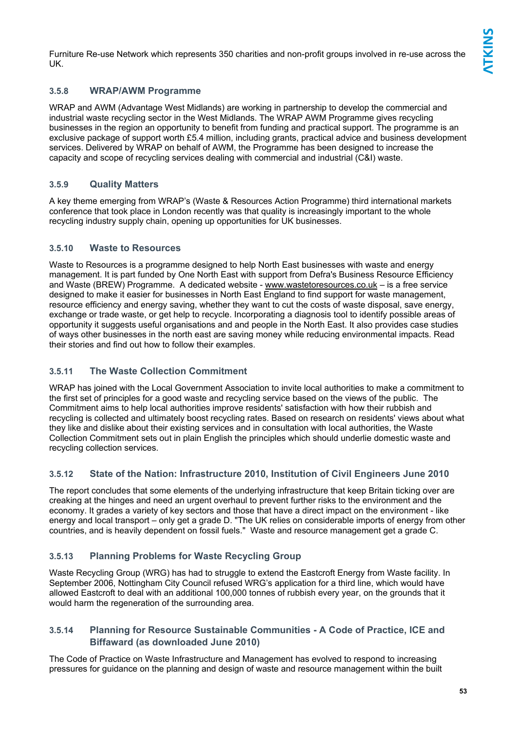Furniture Re-use Network which represents 350 charities and non-profit groups involved in re-use across the UK.

### **3.5.8 WRAP/AWM Programme**

WRAP and AWM (Advantage West Midlands) are working in partnership to develop the commercial and industrial waste recycling sector in the West Midlands. The WRAP AWM Programme gives recycling businesses in the region an opportunity to benefit from funding and practical support. The programme is an exclusive package of support worth £5.4 million, including grants, practical advice and business development services. Delivered by WRAP on behalf of AWM, the Programme has been designed to increase the capacity and scope of recycling services dealing with commercial and industrial (C&I) waste.

### **3.5.9 Quality Matters**

A key theme emerging from WRAP's (Waste & Resources Action Programme) third international markets conference that took place in London recently was that quality is increasingly important to the whole recycling industry supply chain, opening up opportunities for UK businesses.

### **3.5.10 Waste to Resources**

Waste to Resources is a programme designed to help North East businesses with waste and energy management. It is part funded by One North East with support from Defra's Business Resource Efficiency and Waste (BREW) Programme. A dedicated website - www.wastetoresources.co.uk – is a free service designed to make it easier for businesses in North East England to find support for waste management, resource efficiency and energy saving, whether they want to cut the costs of waste disposal, save energy, exchange or trade waste, or get help to recycle. Incorporating a diagnosis tool to identify possible areas of opportunity it suggests useful organisations and and people in the North East. It also provides case studies of ways other businesses in the north east are saving money while reducing environmental impacts. Read their stories and find out how to follow their examples.

### **3.5.11 The Waste Collection Commitment**

WRAP has joined with the Local Government Association to invite local authorities to make a commitment to the first set of principles for a good waste and recycling service based on the views of the public. The Commitment aims to help local authorities improve residents' satisfaction with how their rubbish and recycling is collected and ultimately boost recycling rates. Based on research on residents' views about what they like and dislike about their existing services and in consultation with local authorities, the Waste Collection Commitment sets out in plain English the principles which should underlie domestic waste and recycling collection services.

### **3.5.12 State of the Nation: Infrastructure 2010, Institution of Civil Engineers June 2010**

The report concludes that some elements of the underlying infrastructure that keep Britain ticking over are creaking at the hinges and need an urgent overhaul to prevent further risks to the environment and the economy. It grades a variety of key sectors and those that have a direct impact on the environment - like energy and local transport – only get a grade D. "The UK relies on considerable imports of energy from other countries, and is heavily dependent on fossil fuels." Waste and resource management get a grade C.

### **3.5.13 Planning Problems for Waste Recycling Group**

Waste Recycling Group (WRG) has had to struggle to extend the Eastcroft Energy from Waste facility. In September 2006, Nottingham City Council refused WRG's application for a third line, which would have allowed Eastcroft to deal with an additional 100,000 tonnes of rubbish every year, on the grounds that it would harm the regeneration of the surrounding area.

### **3.5.14 Planning for Resource Sustainable Communities - A Code of Practice, ICE and Biffaward (as downloaded June 2010)**

The Code of Practice on Waste Infrastructure and Management has evolved to respond to increasing pressures for guidance on the planning and design of waste and resource management within the built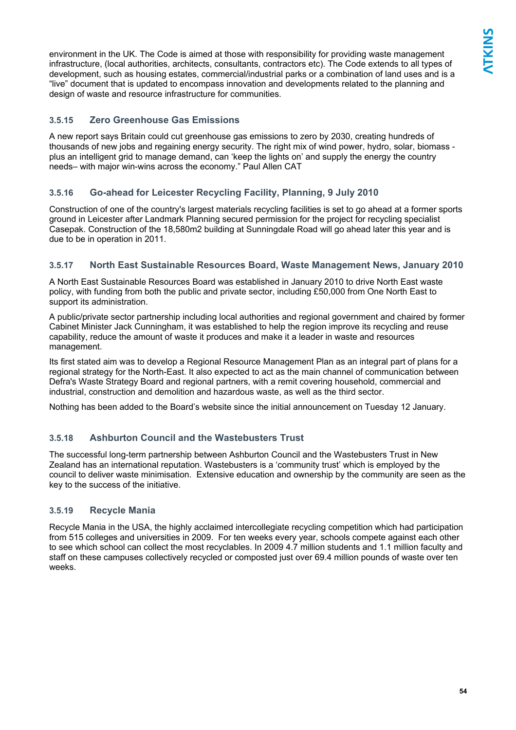environment in the UK. The Code is aimed at those with responsibility for providing waste management infrastructure, (local authorities, architects, consultants, contractors etc). The Code extends to all types of development, such as housing estates, commercial/industrial parks or a combination of land uses and is a "live" document that is updated to encompass innovation and developments related to the planning and design of waste and resource infrastructure for communities.

### **3.5.15 Zero Greenhouse Gas Emissions**

A new report says Britain could cut greenhouse gas emissions to zero by 2030, creating hundreds of thousands of new jobs and regaining energy security. The right mix of wind power, hydro, solar, biomass plus an intelligent grid to manage demand, can 'keep the lights on' and supply the energy the country needs– with major win-wins across the economy." Paul Allen CAT

### **3.5.16 Go-ahead for Leicester Recycling Facility, Planning, 9 July 2010**

Construction of one of the country's largest materials recycling facilities is set to go ahead at a former sports ground in Leicester after Landmark Planning secured permission for the project for recycling specialist Casepak. Construction of the 18,580m2 building at Sunningdale Road will go ahead later this year and is due to be in operation in 2011.

### **3.5.17 North East Sustainable Resources Board, Waste Management News, January 2010**

A North East Sustainable Resources Board was established in January 2010 to drive North East waste policy, with funding from both the public and private sector, including £50,000 from One North East to support its administration.

A public/private sector partnership including local authorities and regional government and chaired by former Cabinet Minister Jack Cunningham, it was established to help the region improve its recycling and reuse capability, reduce the amount of waste it produces and make it a leader in waste and resources management.

Its first stated aim was to develop a Regional Resource Management Plan as an integral part of plans for a regional strategy for the North-East. It also expected to act as the main channel of communication between Defra's Waste Strategy Board and regional partners, with a remit covering household, commercial and industrial, construction and demolition and hazardous waste, as well as the third sector.

Nothing has been added to the Board's website since the initial announcement on Tuesday 12 January.

### **3.5.18 Ashburton Council and the Wastebusters Trust**

The successful long-term partnership between Ashburton Council and the Wastebusters Trust in New Zealand has an international reputation. Wastebusters is a 'community trust' which is employed by the council to deliver waste minimisation. Extensive education and ownership by the community are seen as the key to the success of the initiative.

### **3.5.19 Recycle Mania**

Recycle Mania in the USA, the highly acclaimed intercollegiate recycling competition which had participation from 515 colleges and universities in 2009. For ten weeks every year, schools compete against each other to see which school can collect the most recyclables. In 2009 4.7 million students and 1.1 million faculty and staff on these campuses collectively recycled or composted just over 69.4 million pounds of waste over ten weeks.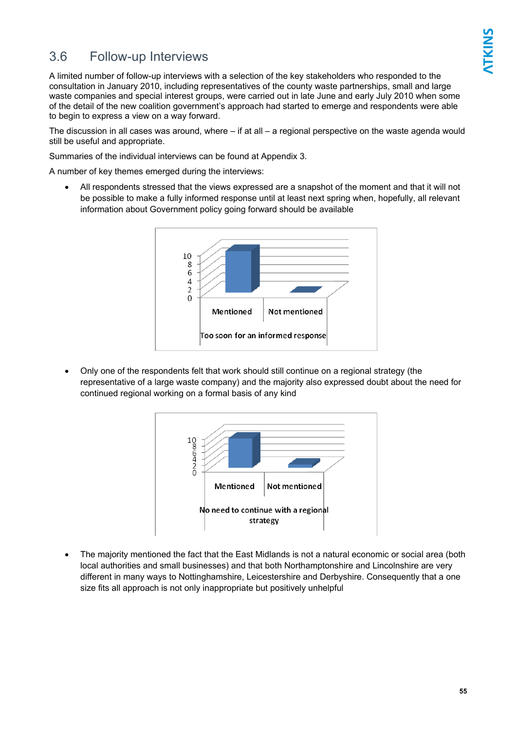### 3.6 Follow-up Interviews

A limited number of follow-up interviews with a selection of the key stakeholders who responded to the consultation in January 2010, including representatives of the county waste partnerships, small and large waste companies and special interest groups, were carried out in late June and early July 2010 when some of the detail of the new coalition government's approach had started to emerge and respondents were able to begin to express a view on a way forward.

The discussion in all cases was around, where – if at all – a regional perspective on the waste agenda would still be useful and appropriate.

Summaries of the individual interviews can be found at Appendix 3.

A number of key themes emerged during the interviews:

• All respondents stressed that the views expressed are a snapshot of the moment and that it will not be possible to make a fully informed response until at least next spring when, hopefully, all relevant information about Government policy going forward should be available



• Only one of the respondents felt that work should still continue on a regional strategy (the representative of a large waste company) and the majority also expressed doubt about the need for continued regional working on a formal basis of any kind



• The majority mentioned the fact that the East Midlands is not a natural economic or social area (both local authorities and small businesses) and that both Northamptonshire and Lincolnshire are very different in many ways to Nottinghamshire, Leicestershire and Derbyshire. Consequently that a one size fits all approach is not only inappropriate but positively unhelpful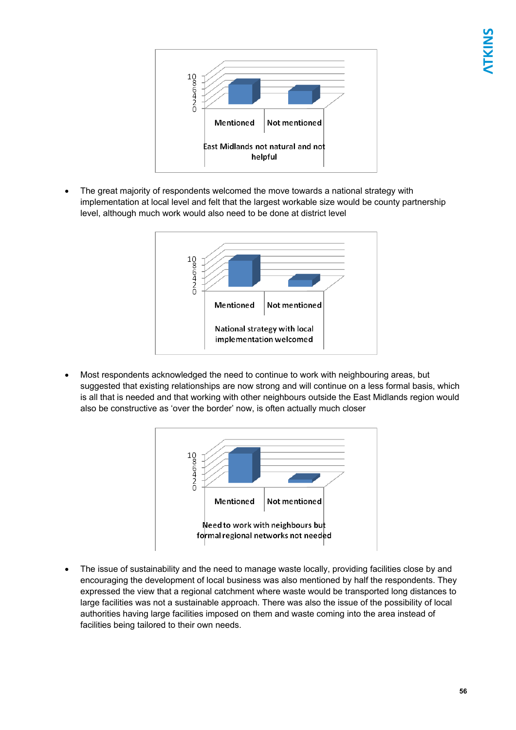

• The great majority of respondents welcomed the move towards a national strategy with implementation at local level and felt that the largest workable size would be county partnership level, although much work would also need to be done at district level



• Most respondents acknowledged the need to continue to work with neighbouring areas, but suggested that existing relationships are now strong and will continue on a less formal basis, which is all that is needed and that working with other neighbours outside the East Midlands region would also be constructive as 'over the border' now, is often actually much closer



• The issue of sustainability and the need to manage waste locally, providing facilities close by and encouraging the development of local business was also mentioned by half the respondents. They expressed the view that a regional catchment where waste would be transported long distances to large facilities was not a sustainable approach. There was also the issue of the possibility of local authorities having large facilities imposed on them and waste coming into the area instead of facilities being tailored to their own needs.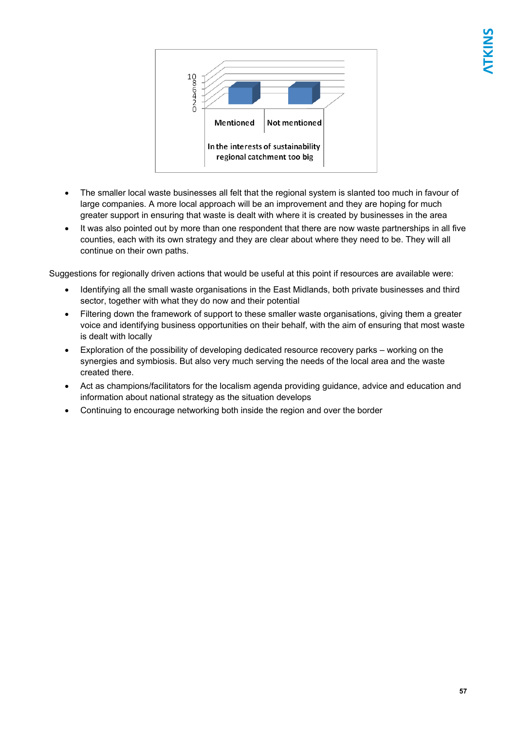

- The smaller local waste businesses all felt that the regional system is slanted too much in favour of large companies. A more local approach will be an improvement and they are hoping for much greater support in ensuring that waste is dealt with where it is created by businesses in the area
- It was also pointed out by more than one respondent that there are now waste partnerships in all five counties, each with its own strategy and they are clear about where they need to be. They will all continue on their own paths.

Suggestions for regionally driven actions that would be useful at this point if resources are available were:

- Identifying all the small waste organisations in the East Midlands, both private businesses and third sector, together with what they do now and their potential
- Filtering down the framework of support to these smaller waste organisations, giving them a greater voice and identifying business opportunities on their behalf, with the aim of ensuring that most waste is dealt with locally
- Exploration of the possibility of developing dedicated resource recovery parks working on the synergies and symbiosis. But also very much serving the needs of the local area and the waste created there.
- Act as champions/facilitators for the localism agenda providing guidance, advice and education and information about national strategy as the situation develops
- Continuing to encourage networking both inside the region and over the border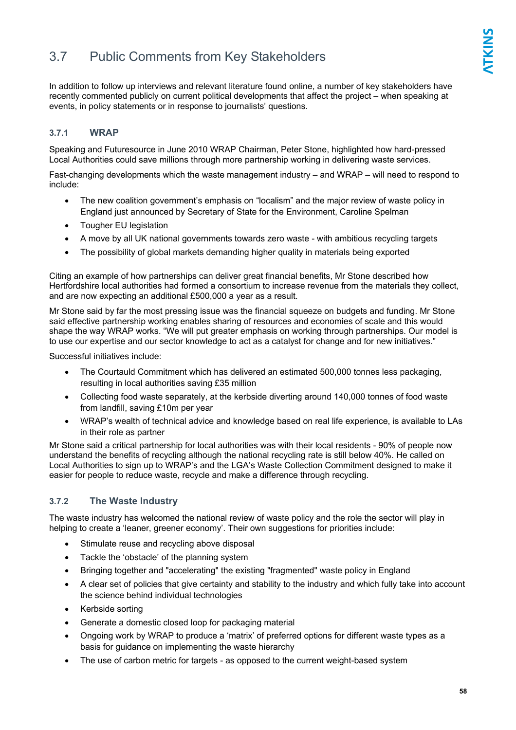### 3.7 Public Comments from Key Stakeholders

In addition to follow up interviews and relevant literature found online, a number of key stakeholders have recently commented publicly on current political developments that affect the project – when speaking at events, in policy statements or in response to journalists' questions.

### **3.7.1 WRAP**

Speaking and Futuresource in June 2010 WRAP Chairman, Peter Stone, highlighted how hard-pressed Local Authorities could save millions through more partnership working in delivering waste services.

Fast-changing developments which the waste management industry – and WRAP – will need to respond to include:

- The new coalition government's emphasis on "localism" and the major review of waste policy in England just announced by Secretary of State for the Environment, Caroline Spelman
- Tougher EU legislation
- A move by all UK national governments towards zero waste with ambitious recycling targets
- The possibility of global markets demanding higher quality in materials being exported

Citing an example of how partnerships can deliver great financial benefits, Mr Stone described how Hertfordshire local authorities had formed a consortium to increase revenue from the materials they collect, and are now expecting an additional £500,000 a year as a result.

Mr Stone said by far the most pressing issue was the financial squeeze on budgets and funding. Mr Stone said effective partnership working enables sharing of resources and economies of scale and this would shape the way WRAP works. "We will put greater emphasis on working through partnerships. Our model is to use our expertise and our sector knowledge to act as a catalyst for change and for new initiatives."

Successful initiatives include:

- The Courtauld Commitment which has delivered an estimated 500,000 tonnes less packaging, resulting in local authorities saving £35 million
- Collecting food waste separately, at the kerbside diverting around 140,000 tonnes of food waste from landfill, saving £10m per year
- WRAP's wealth of technical advice and knowledge based on real life experience, is available to LAs in their role as partner

Mr Stone said a critical partnership for local authorities was with their local residents - 90% of people now understand the benefits of recycling although the national recycling rate is still below 40%. He called on Local Authorities to sign up to WRAP's and the LGA's Waste Collection Commitment designed to make it easier for people to reduce waste, recycle and make a difference through recycling.

### **3.7.2 The Waste Industry**

The waste industry has welcomed the national review of waste policy and the role the sector will play in helping to create a 'leaner, greener economy'. Their own suggestions for priorities include:

- Stimulate reuse and recycling above disposal
- Tackle the 'obstacle' of the planning system
- Bringing together and "accelerating" the existing "fragmented" waste policy in England
- A clear set of policies that give certainty and stability to the industry and which fully take into account the science behind individual technologies
- Kerbside sorting
- Generate a domestic closed loop for packaging material
- Ongoing work by WRAP to produce a 'matrix' of preferred options for different waste types as a basis for guidance on implementing the waste hierarchy
- The use of carbon metric for targets as opposed to the current weight-based system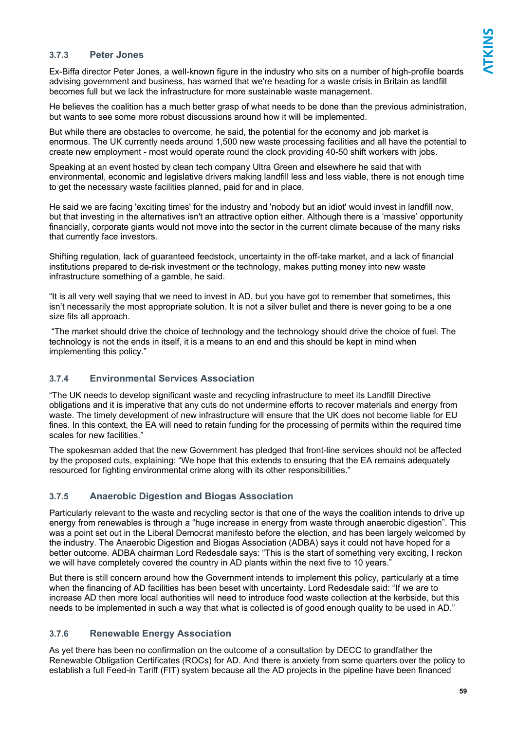### **3.7.3 Peter Jones**

Ex-Biffa director Peter Jones, a well-known figure in the industry who sits on a number of high-profile boards advising government and business, has warned that we're heading for a waste crisis in Britain as landfill becomes full but we lack the infrastructure for more sustainable waste management.

He believes the coalition has a much better grasp of what needs to be done than the previous administration, but wants to see some more robust discussions around how it will be implemented.

But while there are obstacles to overcome, he said, the potential for the economy and job market is enormous. The UK currently needs around 1,500 new waste processing facilities and all have the potential to create new employment - most would operate round the clock providing 40-50 shift workers with jobs.

Speaking at an event hosted by clean tech company Ultra Green and elsewhere he said that with environmental, economic and legislative drivers making landfill less and less viable, there is not enough time to get the necessary waste facilities planned, paid for and in place.

He said we are facing 'exciting times' for the industry and 'nobody but an idiot' would invest in landfill now, but that investing in the alternatives isn't an attractive option either. Although there is a 'massive' opportunity financially, corporate giants would not move into the sector in the current climate because of the many risks that currently face investors.

Shifting regulation, lack of guaranteed feedstock, uncertainty in the off-take market, and a lack of financial institutions prepared to de-risk investment or the technology, makes putting money into new waste infrastructure something of a gamble, he said.

"It is all very well saying that we need to invest in AD, but you have got to remember that sometimes, this isn't necessarily the most appropriate solution. It is not a silver bullet and there is never going to be a one size fits all approach.

 "The market should drive the choice of technology and the technology should drive the choice of fuel. The technology is not the ends in itself, it is a means to an end and this should be kept in mind when implementing this policy."

### **3.7.4 Environmental Services Association**

"The UK needs to develop significant waste and recycling infrastructure to meet its Landfill Directive obligations and it is imperative that any cuts do not undermine efforts to recover materials and energy from waste. The timely development of new infrastructure will ensure that the UK does not become liable for EU fines. In this context, the EA will need to retain funding for the processing of permits within the required time scales for new facilities."

The spokesman added that the new Government has pledged that front-line services should not be affected by the proposed cuts, explaining: "We hope that this extends to ensuring that the EA remains adequately resourced for fighting environmental crime along with its other responsibilities."

### **3.7.5 Anaerobic Digestion and Biogas Association**

Particularly relevant to the waste and recycling sector is that one of the ways the coalition intends to drive up energy from renewables is through a "huge increase in energy from waste through anaerobic digestion". This was a point set out in the Liberal Democrat manifesto before the election, and has been largely welcomed by the industry. The Anaerobic Digestion and Biogas Association (ADBA) says it could not have hoped for a better outcome. ADBA chairman Lord Redesdale says: "This is the start of something very exciting, I reckon we will have completely covered the country in AD plants within the next five to 10 years.'

But there is still concern around how the Government intends to implement this policy, particularly at a time when the financing of AD facilities has been beset with uncertainty. Lord Redesdale said: "If we are to increase AD then more local authorities will need to introduce food waste collection at the kerbside, but this needs to be implemented in such a way that what is collected is of good enough quality to be used in AD."

### **3.7.6 Renewable Energy Association**

As yet there has been no confirmation on the outcome of a consultation by DECC to grandfather the Renewable Obligation Certificates (ROCs) for AD. And there is anxiety from some quarters over the policy to establish a full Feed-in Tariff (FIT) system because all the AD projects in the pipeline have been financed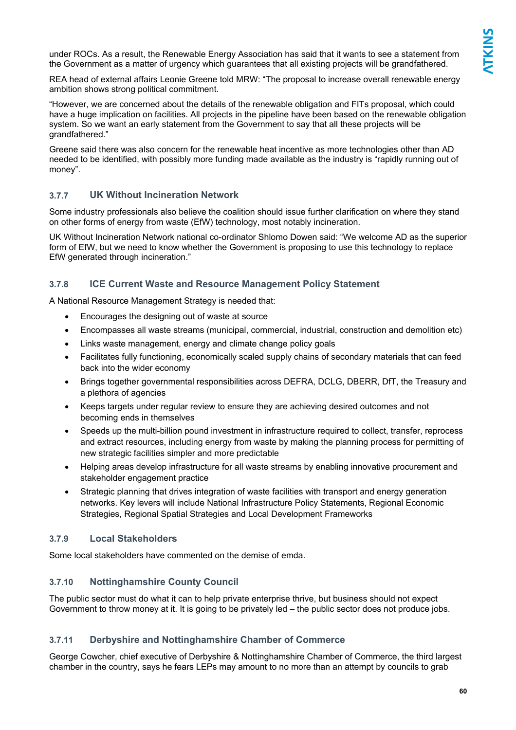under ROCs. As a result, the Renewable Energy Association has said that it wants to see a statement from the Government as a matter of urgency which guarantees that all existing projects will be grandfathered.

REA head of external affairs Leonie Greene told MRW: "The proposal to increase overall renewable energy ambition shows strong political commitment.

"However, we are concerned about the details of the renewable obligation and FITs proposal, which could have a huge implication on facilities. All projects in the pipeline have been based on the renewable obligation system. So we want an early statement from the Government to say that all these projects will be grandfathered."

Greene said there was also concern for the renewable heat incentive as more technologies other than AD needed to be identified, with possibly more funding made available as the industry is "rapidly running out of money".

### **3.7.7 UK Without Incineration Network**

Some industry professionals also believe the coalition should issue further clarification on where they stand on other forms of energy from waste (EfW) technology, most notably incineration.

UK Without Incineration Network national co-ordinator Shlomo Dowen said: "We welcome AD as the superior form of EfW, but we need to know whether the Government is proposing to use this technology to replace EfW generated through incineration."

### **3.7.8 ICE Current Waste and Resource Management Policy Statement**

A National Resource Management Strategy is needed that:

- Encourages the designing out of waste at source
- Encompasses all waste streams (municipal, commercial, industrial, construction and demolition etc)
- Links waste management, energy and climate change policy goals
- Facilitates fully functioning, economically scaled supply chains of secondary materials that can feed back into the wider economy
- Brings together governmental responsibilities across DEFRA, DCLG, DBERR, DfT, the Treasury and a plethora of agencies
- Keeps targets under regular review to ensure they are achieving desired outcomes and not becoming ends in themselves
- Speeds up the multi-billion pound investment in infrastructure required to collect, transfer, reprocess and extract resources, including energy from waste by making the planning process for permitting of new strategic facilities simpler and more predictable
- Helping areas develop infrastructure for all waste streams by enabling innovative procurement and stakeholder engagement practice
- Strategic planning that drives integration of waste facilities with transport and energy generation networks. Key levers will include National Infrastructure Policy Statements, Regional Economic Strategies, Regional Spatial Strategies and Local Development Frameworks

### **3.7.9 Local Stakeholders**

Some local stakeholders have commented on the demise of emda.

### **3.7.10 Nottinghamshire County Council**

The public sector must do what it can to help private enterprise thrive, but business should not expect Government to throw money at it. It is going to be privately led – the public sector does not produce jobs.

### **3.7.11 Derbyshire and Nottinghamshire Chamber of Commerce**

George Cowcher, chief executive of Derbyshire & Nottinghamshire Chamber of Commerce, the third largest chamber in the country, says he fears LEPs may amount to no more than an attempt by councils to grab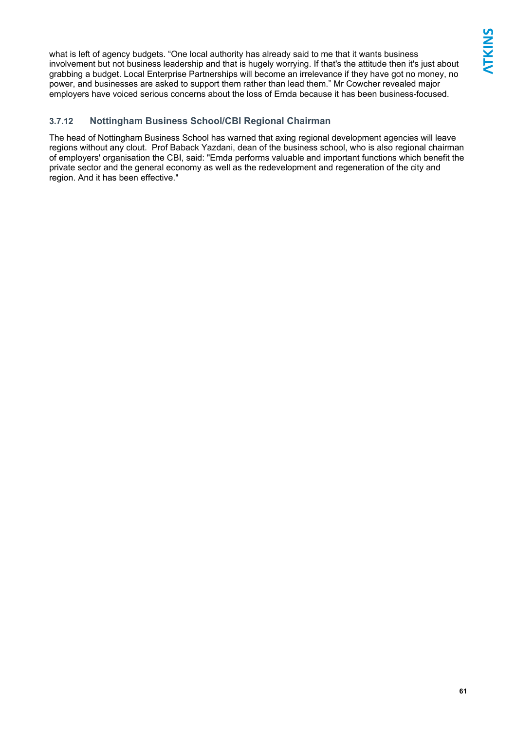what is left of agency budgets. "One local authority has already said to me that it wants business involvement but not business leadership and that is hugely worrying. If that's the attitude then it's just about grabbing a budget. Local Enterprise Partnerships will become an irrelevance if they have got no money, no power, and businesses are asked to support them rather than lead them." Mr Cowcher revealed major employers have voiced serious concerns about the loss of Emda because it has been business-focused.

### **3.7.12 Nottingham Business School/CBI Regional Chairman**

The head of Nottingham Business School has warned that axing regional development agencies will leave regions without any clout. Prof Baback Yazdani, dean of the business school, who is also regional chairman of employers' organisation the CBI, said: "Emda performs valuable and important functions which benefit the private sector and the general economy as well as the redevelopment and regeneration of the city and region. And it has been effective."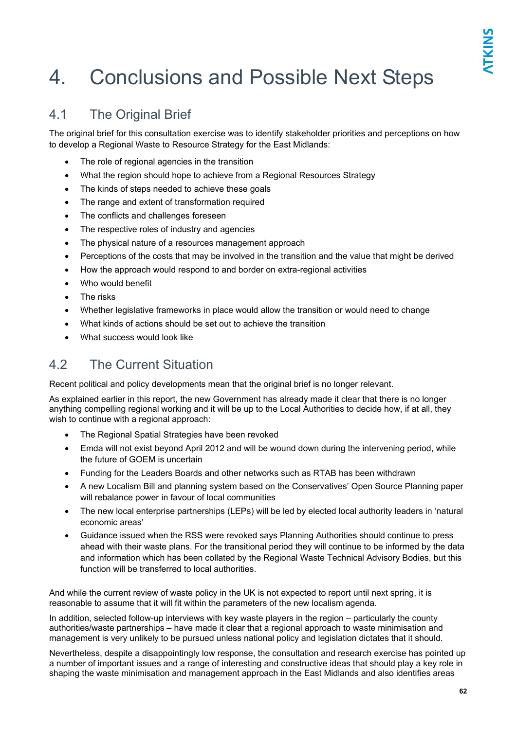## 4. Conclusions and Possible Next Steps

### 4.1 The Original Brief

The original brief for this consultation exercise was to identify stakeholder priorities and perceptions on how to develop a Regional Waste to Resource Strategy for the East Midlands:

- The role of regional agencies in the transition
- What the region should hope to achieve from a Regional Resources Strategy
- The kinds of steps needed to achieve these goals
- The range and extent of transformation required
- The conflicts and challenges foreseen
- The respective roles of industry and agencies
- The physical nature of a resources management approach
- Perceptions of the costs that may be involved in the transition and the value that might be derived
- How the approach would respond to and border on extra-regional activities
- Who would benefit
- The risks
- Whether legislative frameworks in place would allow the transition or would need to change
- What kinds of actions should be set out to achieve the transition
- What success would look like

### 4.2 The Current Situation

Recent political and policy developments mean that the original brief is no longer relevant.

As explained earlier in this report, the new Government has already made it clear that there is no longer anything compelling regional working and it will be up to the Local Authorities to decide how, if at all, they wish to continue with a regional approach:

- The Regional Spatial Strategies have been revoked
- Emda will not exist beyond April 2012 and will be wound down during the intervening period, while the future of GOEM is uncertain
- Funding for the Leaders Boards and other networks such as RTAB has been withdrawn
- A new Localism Bill and planning system based on the Conservatives' Open Source Planning paper will rebalance power in favour of local communities
- The new local enterprise partnerships (LEPs) will be led by elected local authority leaders in 'natural economic areas'
- Guidance issued when the RSS were revoked says Planning Authorities should continue to press ahead with their waste plans. For the transitional period they will continue to be informed by the data and information which has been collated by the Regional Waste Technical Advisory Bodies, but this function will be transferred to local authorities.

And while the current review of waste policy in the UK is not expected to report until next spring, it is reasonable to assume that it will fit within the parameters of the new localism agenda.

In addition, selected follow-up interviews with key waste players in the region – particularly the county authorities/waste partnerships – have made it clear that a regional approach to waste minimisation and management is very unlikely to be pursued unless national policy and legislation dictates that it should.

Nevertheless, despite a disappointingly low response, the consultation and research exercise has pointed up a number of important issues and a range of interesting and constructive ideas that should play a key role in shaping the waste minimisation and management approach in the East Midlands and also identifies areas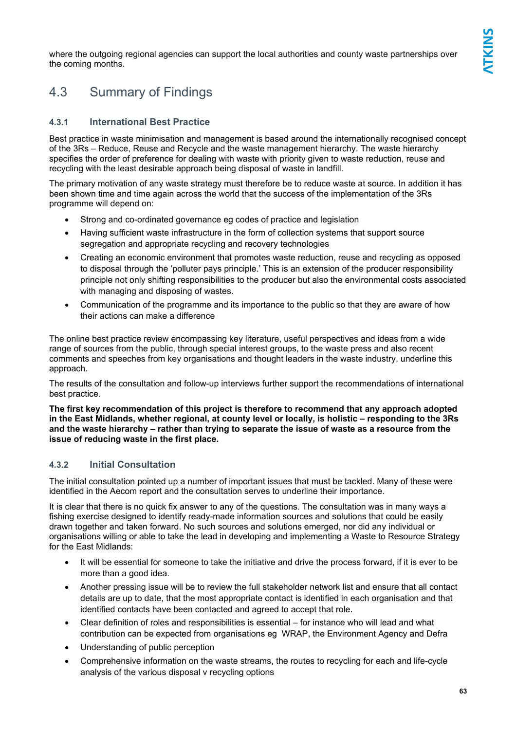where the outgoing regional agencies can support the local authorities and county waste partnerships over the coming months.

## 4.3 Summary of Findings

### **4.3.1 International Best Practice**

Best practice in waste minimisation and management is based around the internationally recognised concept of the 3Rs – Reduce, Reuse and Recycle and the waste management hierarchy. The waste hierarchy specifies the order of preference for dealing with waste with priority given to waste reduction, reuse and recycling with the least desirable approach being disposal of waste in landfill.

The primary motivation of any waste strategy must therefore be to reduce waste at source. In addition it has been shown time and time again across the world that the success of the implementation of the 3Rs programme will depend on:

- Strong and co-ordinated governance eg codes of practice and legislation
- Having sufficient waste infrastructure in the form of collection systems that support source segregation and appropriate recycling and recovery technologies
- Creating an economic environment that promotes waste reduction, reuse and recycling as opposed to disposal through the 'polluter pays principle.' This is an extension of the producer responsibility principle not only shifting responsibilities to the producer but also the environmental costs associated with managing and disposing of wastes.
- Communication of the programme and its importance to the public so that they are aware of how their actions can make a difference

The online best practice review encompassing key literature, useful perspectives and ideas from a wide range of sources from the public, through special interest groups, to the waste press and also recent comments and speeches from key organisations and thought leaders in the waste industry, underline this approach.

The results of the consultation and follow-up interviews further support the recommendations of international best practice.

**The first key recommendation of this project is therefore to recommend that any approach adopted in the East Midlands, whether regional, at county level or locally, is holistic – responding to the 3Rs and the waste hierarchy – rather than trying to separate the issue of waste as a resource from the issue of reducing waste in the first place.** 

### **4.3.2 Initial Consultation**

The initial consultation pointed up a number of important issues that must be tackled. Many of these were identified in the Aecom report and the consultation serves to underline their importance.

It is clear that there is no quick fix answer to any of the questions. The consultation was in many ways a fishing exercise designed to identify ready-made information sources and solutions that could be easily drawn together and taken forward. No such sources and solutions emerged, nor did any individual or organisations willing or able to take the lead in developing and implementing a Waste to Resource Strategy for the East Midlands:

- It will be essential for someone to take the initiative and drive the process forward, if it is ever to be more than a good idea.
- Another pressing issue will be to review the full stakeholder network list and ensure that all contact details are up to date, that the most appropriate contact is identified in each organisation and that identified contacts have been contacted and agreed to accept that role.
- Clear definition of roles and responsibilities is essential for instance who will lead and what contribution can be expected from organisations eg WRAP, the Environment Agency and Defra
- Understanding of public perception
- Comprehensive information on the waste streams, the routes to recycling for each and life-cycle analysis of the various disposal v recycling options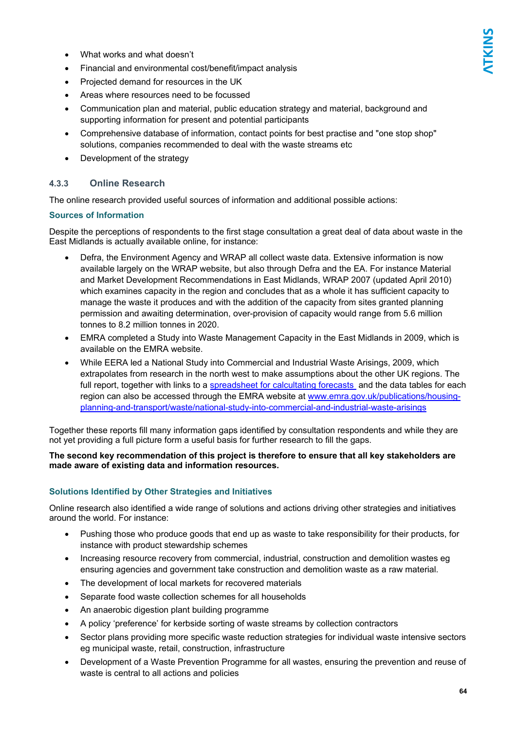- What works and what doesn't
- Financial and environmental cost/benefit/impact analysis
- Projected demand for resources in the UK
- Areas where resources need to be focussed
- Communication plan and material, public education strategy and material, background and supporting information for present and potential participants
- Comprehensive database of information, contact points for best practise and "one stop shop" solutions, companies recommended to deal with the waste streams etc
- Development of the strategy

### **4.3.3 Online Research**

The online research provided useful sources of information and additional possible actions:

### **Sources of Information**

Despite the perceptions of respondents to the first stage consultation a great deal of data about waste in the East Midlands is actually available online, for instance:

- Defra, the Environment Agency and WRAP all collect waste data. Extensive information is now available largely on the WRAP website, but also through Defra and the EA. For instance Material and Market Development Recommendations in East Midlands, WRAP 2007 (updated April 2010) which examines capacity in the region and concludes that as a whole it has sufficient capacity to manage the waste it produces and with the addition of the capacity from sites granted planning permission and awaiting determination, over-provision of capacity would range from 5.6 million tonnes to 8.2 million tonnes in 2020.
- EMRA completed a Study into Waste Management Capacity in the East Midlands in 2009, which is available on the EMRA website.
- While EERA led a National Study into Commercial and Industrial Waste Arisings, 2009, which extrapolates from research in the north west to make assumptions about the other UK regions. The full report, together with links to a spreadsheet for calcultating forecasts and the data tables for each region can also be accessed through the EMRA website at www.emra.gov.uk/publications/housingplanning-and-transport/waste/national-study-into-commercial-and-industrial-waste-arisings

Together these reports fill many information gaps identified by consultation respondents and while they are not yet providing a full picture form a useful basis for further research to fill the gaps.

#### **The second key recommendation of this project is therefore to ensure that all key stakeholders are made aware of existing data and information resources.**

### **Solutions Identified by Other Strategies and Initiatives**

Online research also identified a wide range of solutions and actions driving other strategies and initiatives around the world. For instance:

- Pushing those who produce goods that end up as waste to take responsibility for their products, for instance with product stewardship schemes
- Increasing resource recovery from commercial, industrial, construction and demolition wastes eg ensuring agencies and government take construction and demolition waste as a raw material.
- The development of local markets for recovered materials
- Separate food waste collection schemes for all households
- An anaerobic digestion plant building programme
- A policy 'preference' for kerbside sorting of waste streams by collection contractors
- Sector plans providing more specific waste reduction strategies for individual waste intensive sectors eg municipal waste, retail, construction, infrastructure
- Development of a Waste Prevention Programme for all wastes, ensuring the prevention and reuse of waste is central to all actions and policies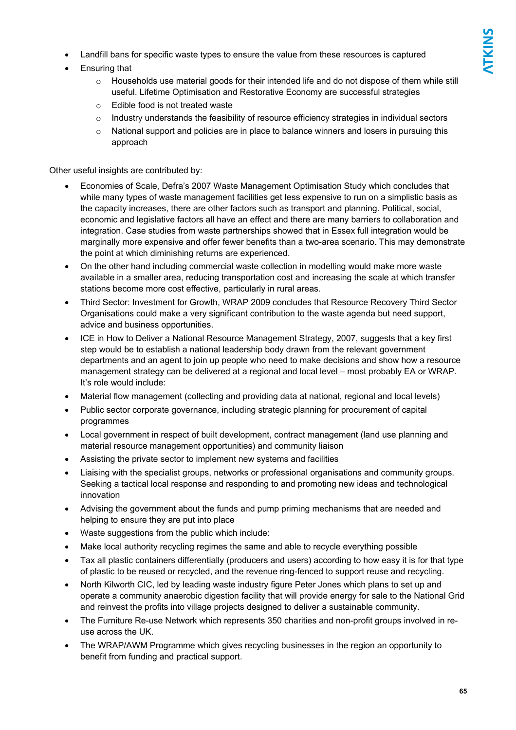- Landfill bans for specific waste types to ensure the value from these resources is captured
- Ensuring that
	- o Households use material goods for their intended life and do not dispose of them while still useful. Lifetime Optimisation and Restorative Economy are successful strategies
	- o Edible food is not treated waste
	- $\circ$  Industry understands the feasibility of resource efficiency strategies in individual sectors
	- $\circ$  National support and policies are in place to balance winners and losers in pursuing this approach

Other useful insights are contributed by:

- Economies of Scale, Defra's 2007 Waste Management Optimisation Study which concludes that while many types of waste management facilities get less expensive to run on a simplistic basis as the capacity increases, there are other factors such as transport and planning. Political, social, economic and legislative factors all have an effect and there are many barriers to collaboration and integration. Case studies from waste partnerships showed that in Essex full integration would be marginally more expensive and offer fewer benefits than a two-area scenario. This may demonstrate the point at which diminishing returns are experienced.
- On the other hand including commercial waste collection in modelling would make more waste available in a smaller area, reducing transportation cost and increasing the scale at which transfer stations become more cost effective, particularly in rural areas.
- Third Sector: Investment for Growth, WRAP 2009 concludes that Resource Recovery Third Sector Organisations could make a very significant contribution to the waste agenda but need support, advice and business opportunities.
- ICE in How to Deliver a National Resource Management Strategy, 2007, suggests that a key first step would be to establish a national leadership body drawn from the relevant government departments and an agent to join up people who need to make decisions and show how a resource management strategy can be delivered at a regional and local level – most probably EA or WRAP. It's role would include:
- Material flow management (collecting and providing data at national, regional and local levels)
- Public sector corporate governance, including strategic planning for procurement of capital programmes
- Local government in respect of built development, contract management (land use planning and material resource management opportunities) and community liaison
- Assisting the private sector to implement new systems and facilities
- Liaising with the specialist groups, networks or professional organisations and community groups. Seeking a tactical local response and responding to and promoting new ideas and technological innovation
- Advising the government about the funds and pump priming mechanisms that are needed and helping to ensure they are put into place
- Waste suggestions from the public which include:
- Make local authority recycling regimes the same and able to recycle everything possible
- Tax all plastic containers differentially (producers and users) according to how easy it is for that type of plastic to be reused or recycled, and the revenue ring-fenced to support reuse and recycling.
- North Kilworth CIC, led by leading waste industry figure Peter Jones which plans to set up and operate a community anaerobic digestion facility that will provide energy for sale to the National Grid and reinvest the profits into village projects designed to deliver a sustainable community.
- The Furniture Re-use Network which represents 350 charities and non-profit groups involved in reuse across the UK.
- The WRAP/AWM Programme which gives recycling businesses in the region an opportunity to benefit from funding and practical support.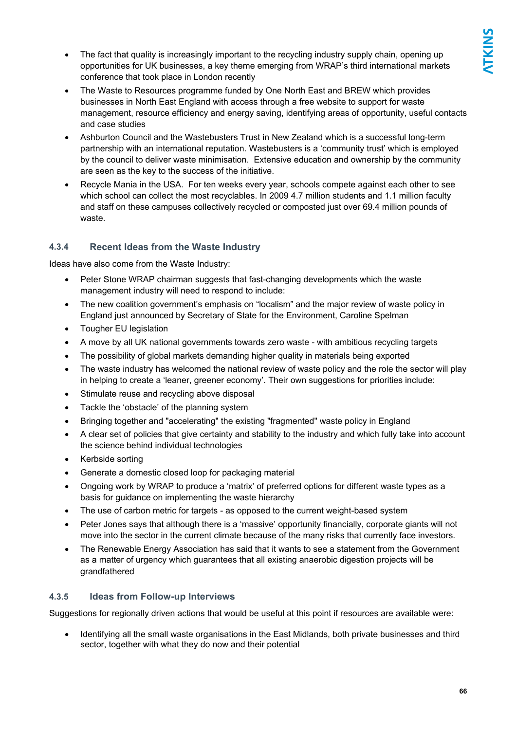- The fact that quality is increasingly important to the recycling industry supply chain, opening up opportunities for UK businesses, a key theme emerging from WRAP's third international markets conference that took place in London recently
- The Waste to Resources programme funded by One North East and BREW which provides businesses in North East England with access through a free website to support for waste management, resource efficiency and energy saving, identifying areas of opportunity, useful contacts and case studies
- Ashburton Council and the Wastebusters Trust in New Zealand which is a successful long-term partnership with an international reputation. Wastebusters is a 'community trust' which is employed by the council to deliver waste minimisation. Extensive education and ownership by the community are seen as the key to the success of the initiative.
- Recycle Mania in the USA. For ten weeks every year, schools compete against each other to see which school can collect the most recyclables. In 2009 4.7 million students and 1.1 million faculty and staff on these campuses collectively recycled or composted just over 69.4 million pounds of waste.

### **4.3.4 Recent Ideas from the Waste Industry**

Ideas have also come from the Waste Industry:

- Peter Stone WRAP chairman suggests that fast-changing developments which the waste management industry will need to respond to include:
- The new coalition government's emphasis on "localism" and the major review of waste policy in England just announced by Secretary of State for the Environment, Caroline Spelman
- Tougher EU legislation
- A move by all UK national governments towards zero waste with ambitious recycling targets
- The possibility of global markets demanding higher quality in materials being exported
- The waste industry has welcomed the national review of waste policy and the role the sector will play in helping to create a 'leaner, greener economy'. Their own suggestions for priorities include:
- Stimulate reuse and recycling above disposal
- Tackle the 'obstacle' of the planning system
- Bringing together and "accelerating" the existing "fragmented" waste policy in England
- A clear set of policies that give certainty and stability to the industry and which fully take into account the science behind individual technologies
- Kerbside sorting
- Generate a domestic closed loop for packaging material
- Ongoing work by WRAP to produce a 'matrix' of preferred options for different waste types as a basis for guidance on implementing the waste hierarchy
- The use of carbon metric for targets as opposed to the current weight-based system
- Peter Jones says that although there is a 'massive' opportunity financially, corporate giants will not move into the sector in the current climate because of the many risks that currently face investors.
- The Renewable Energy Association has said that it wants to see a statement from the Government as a matter of urgency which guarantees that all existing anaerobic digestion projects will be grandfathered

### **4.3.5 Ideas from Follow-up Interviews**

Suggestions for regionally driven actions that would be useful at this point if resources are available were:

• Identifying all the small waste organisations in the East Midlands, both private businesses and third sector, together with what they do now and their potential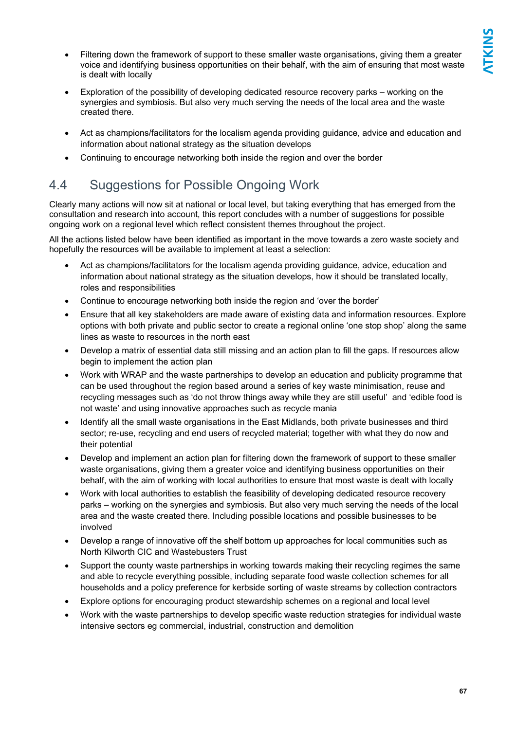- Filtering down the framework of support to these smaller waste organisations, giving them a greater voice and identifying business opportunities on their behalf, with the aim of ensuring that most waste is dealt with locally
- Exploration of the possibility of developing dedicated resource recovery parks working on the synergies and symbiosis. But also very much serving the needs of the local area and the waste created there.
- Act as champions/facilitators for the localism agenda providing guidance, advice and education and information about national strategy as the situation develops
- Continuing to encourage networking both inside the region and over the border

### 4.4 Suggestions for Possible Ongoing Work

Clearly many actions will now sit at national or local level, but taking everything that has emerged from the consultation and research into account, this report concludes with a number of suggestions for possible ongoing work on a regional level which reflect consistent themes throughout the project.

All the actions listed below have been identified as important in the move towards a zero waste society and hopefully the resources will be available to implement at least a selection:

- Act as champions/facilitators for the localism agenda providing guidance, advice, education and information about national strategy as the situation develops, how it should be translated locally, roles and responsibilities
- Continue to encourage networking both inside the region and 'over the border'
- Ensure that all key stakeholders are made aware of existing data and information resources. Explore options with both private and public sector to create a regional online 'one stop shop' along the same lines as waste to resources in the north east
- Develop a matrix of essential data still missing and an action plan to fill the gaps. If resources allow begin to implement the action plan
- Work with WRAP and the waste partnerships to develop an education and publicity programme that can be used throughout the region based around a series of key waste minimisation, reuse and recycling messages such as 'do not throw things away while they are still useful' and 'edible food is not waste' and using innovative approaches such as recycle mania
- Identify all the small waste organisations in the East Midlands, both private businesses and third sector; re-use, recycling and end users of recycled material; together with what they do now and their potential
- Develop and implement an action plan for filtering down the framework of support to these smaller waste organisations, giving them a greater voice and identifying business opportunities on their behalf, with the aim of working with local authorities to ensure that most waste is dealt with locally
- Work with local authorities to establish the feasibility of developing dedicated resource recovery parks – working on the synergies and symbiosis. But also very much serving the needs of the local area and the waste created there. Including possible locations and possible businesses to be involved
- Develop a range of innovative off the shelf bottom up approaches for local communities such as North Kilworth CIC and Wastebusters Trust
- Support the county waste partnerships in working towards making their recycling regimes the same and able to recycle everything possible, including separate food waste collection schemes for all households and a policy preference for kerbside sorting of waste streams by collection contractors
- Explore options for encouraging product stewardship schemes on a regional and local level
- Work with the waste partnerships to develop specific waste reduction strategies for individual waste intensive sectors eg commercial, industrial, construction and demolition